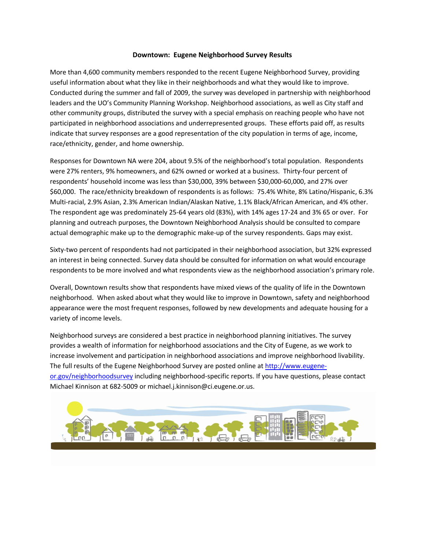#### **Downtown: Eugene Neighborhood Survey Results**

More than 4,600 community members responded to the recent Eugene Neighborhood Survey, providing useful information about what they like in their neighborhoods and what they would like to improve. Conducted during the summer and fall of 2009, the survey was developed in partnership with neighborhood leaders and the UO's Community Planning Workshop. Neighborhood associations, as well as City staff and other community groups, distributed the survey with a special emphasis on reaching people who have not participated in neighborhood associations and underrepresented groups. These efforts paid off, as results indicate that survey responses are a good representation of the city population in terms of age, income, race/ethnicity, gender, and home ownership.

Responses for Downtown NA were 204, about 9.5% of the neighborhood's total population. Respondents were 27% renters, 9% homeowners, and 62% owned or worked at a business. Thirty-four percent of respondents' household income was less than \$30,000, 39% between \$30,000-60,000, and 27% over \$60,000. The race/ethnicity breakdown of respondents is as follows: 75.4% White, 8% Latino/Hispanic, 6.3% Multi-racial, 2.9% Asian, 2.3% American Indian/Alaskan Native, 1.1% Black/African American, and 4% other. The respondent age was predominately 25-64 years old (83%), with 14% ages 17-24 and 3% 65 or over. For planning and outreach purposes, the Downtown Neighborhood Analysis should be consulted to compare actual demographic make up to the demographic make-up of the survey respondents. Gaps may exist.

Sixty-two percent of respondents had not participated in their neighborhood association, but 32% expressed an interest in being connected. Survey data should be consulted for information on what would encourage respondents to be more involved and what respondents view as the neighborhood association's primary role.

Overall, Downtown results show that respondents have mixed views of the quality of life in the Downtown neighborhood. When asked about what they would like to improve in Downtown, safety and neighborhood appearance were the most frequent responses, followed by new developments and adequate housing for a variety of income levels.

Neighborhood surveys are considered a best practice in neighborhood planning initiatives. The survey provides a wealth of information for neighborhood associations and the City of Eugene, as we work to increase involvement and participation in neighborhood associations and improve neighborhood livability. The full results of the Eugene Neighborhood Survey are posted online at [http://www.eugene](http://www.eugene-or.gov/neighborhoodsurvey)[or.gov/neighborhoodsurvey](http://www.eugene-or.gov/neighborhoodsurvey) including neighborhood-specific reports. If you have questions, please contact Michael Kinnison at 682-5009 or michael.j.kinnison@ci.eugene.or.us.

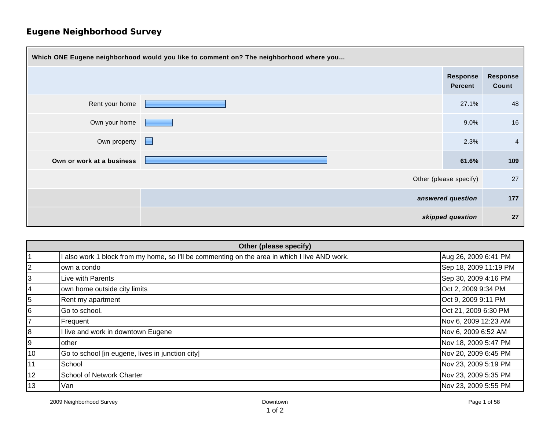| Which ONE Eugene neighborhood would you like to comment on? The neighborhood where you |   |                     |                          |
|----------------------------------------------------------------------------------------|---|---------------------|--------------------------|
|                                                                                        |   | Response<br>Percent | <b>Response</b><br>Count |
| Rent your home                                                                         |   | 27.1%               | 48                       |
| Own your home                                                                          |   | 9.0%                | 16                       |
| Own property                                                                           | E | 2.3%                | $\overline{4}$           |
| Own or work at a business                                                              |   | 61.6%               | 109                      |
| Other (please specify)                                                                 |   |                     | 27                       |
| answered question                                                                      |   | 177                 |                          |
| skipped question                                                                       |   | 27                  |                          |

| Other (please specify) |                                                                                             |                       |  |
|------------------------|---------------------------------------------------------------------------------------------|-----------------------|--|
|                        | also work 1 block from my home, so I'll be commenting on the area in which I live AND work. | Aug 26, 2009 6:41 PM  |  |
| $\overline{2}$         | own a condo                                                                                 | Sep 18, 2009 11:19 PM |  |
| 3                      | Live with Parents                                                                           | Sep 30, 2009 4:16 PM  |  |
| 4                      | own home outside city limits                                                                | Oct 2, 2009 9:34 PM   |  |
| 5                      | Rent my apartment                                                                           | Oct 9, 2009 9:11 PM   |  |
| 6                      | Go to school.                                                                               | Oct 21, 2009 6:30 PM  |  |
| $\overline{7}$         | Frequent                                                                                    | Nov 6, 2009 12:23 AM  |  |
| 8                      | I live and work in downtown Eugene                                                          | Nov 6, 2009 6:52 AM   |  |
| 9                      | other                                                                                       | Nov 18, 2009 5:47 PM  |  |
| 10                     | Go to school [in eugene, lives in junction city]                                            | Nov 20, 2009 6:45 PM  |  |
| 11                     | School                                                                                      | Nov 23, 2009 5:19 PM  |  |
| 12                     | <b>School of Network Charter</b>                                                            | Nov 23, 2009 5:35 PM  |  |
| 13                     | Van                                                                                         | Nov 23, 2009 5:55 PM  |  |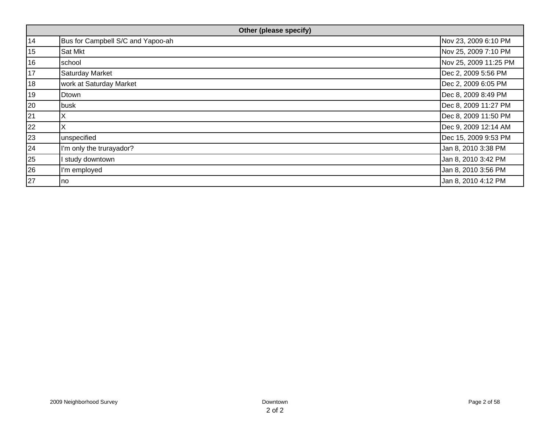| Other (please specify) |                                   |                       |  |
|------------------------|-----------------------------------|-----------------------|--|
| 14                     | Bus for Campbell S/C and Yapoo-ah | Nov 23, 2009 6:10 PM  |  |
| 15                     | Sat Mkt                           | Nov 25, 2009 7:10 PM  |  |
| 16                     | school                            | Nov 25, 2009 11:25 PM |  |
| 17                     | <b>Saturday Market</b>            | Dec 2, 2009 5:56 PM   |  |
| 18                     | work at Saturday Market           | Dec 2, 2009 6:05 PM   |  |
| 19                     | Dtown                             | Dec 8, 2009 8:49 PM   |  |
| 20                     | busk                              | Dec 8, 2009 11:27 PM  |  |
| 21                     | ΙX                                | Dec 8, 2009 11:50 PM  |  |
| 22                     |                                   | Dec 9, 2009 12:14 AM  |  |
| 23                     | unspecified                       | Dec 15, 2009 9:53 PM  |  |
| 24                     | I'm only the trurayador?          | Jan 8, 2010 3:38 PM   |  |
| 25                     | I study downtown                  | Jan 8, 2010 3:42 PM   |  |
| 26                     | I'm employed                      | Jan 8, 2010 3:56 PM   |  |
| 27                     | no.                               | Jan 8, 2010 4:12 PM   |  |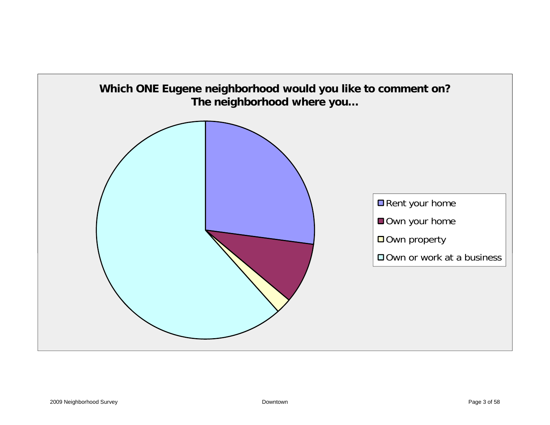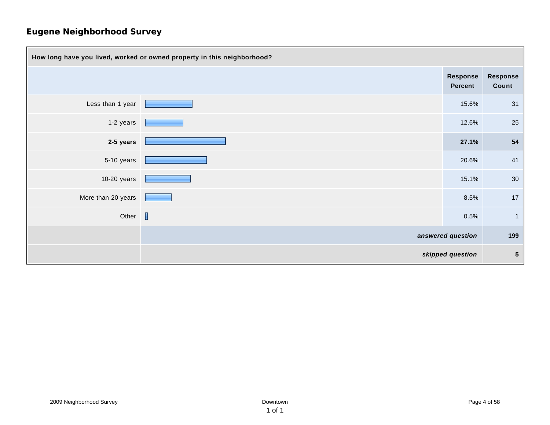| How long have you lived, worked or owned property in this neighborhood? |  |                                   |                         |
|-------------------------------------------------------------------------|--|-----------------------------------|-------------------------|
|                                                                         |  | <b>Response</b><br><b>Percent</b> | Response<br>Count       |
| Less than 1 year                                                        |  | 15.6%                             | 31                      |
| 1-2 years                                                               |  | 12.6%                             | 25                      |
| 2-5 years                                                               |  | 27.1%                             | 54                      |
| 5-10 years                                                              |  | 20.6%                             | 41                      |
| $10-20$ years                                                           |  | 15.1%                             | 30                      |
| More than 20 years                                                      |  | 8.5%                              | 17                      |
| Other $\Box$                                                            |  | 0.5%                              | $\overline{\mathbf{1}}$ |
|                                                                         |  | answered question                 | 199                     |
| skipped question                                                        |  | ${\bf 5}$                         |                         |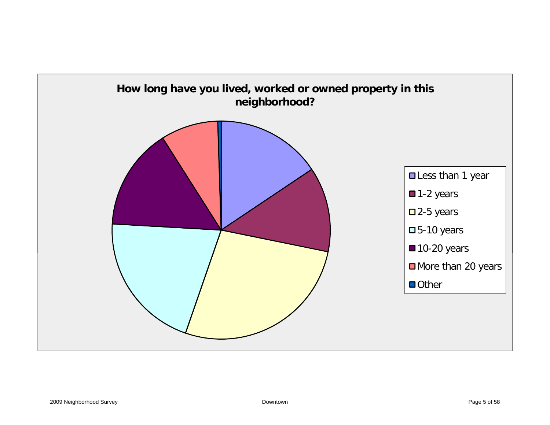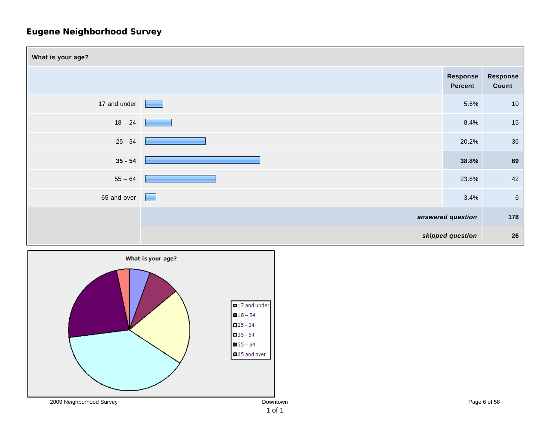

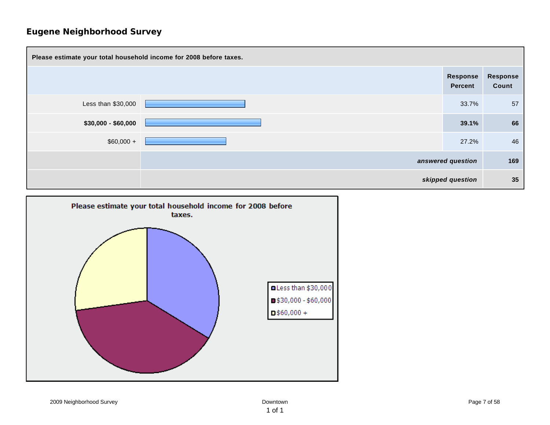

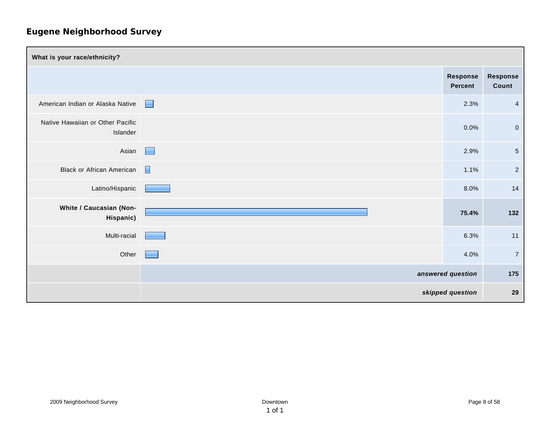| What is your race/ethnicity?                 |                          |                            |                   |
|----------------------------------------------|--------------------------|----------------------------|-------------------|
|                                              |                          | Response<br><b>Percent</b> | Response<br>Count |
| American Indian or Alaska Native             | Е                        | 2.3%                       | $\overline{4}$    |
| Native Hawaiian or Other Pacific<br>Islander |                          | 0.0%                       | $\overline{0}$    |
| Asian                                        | <b>The Second Second</b> | 2.9%                       | $\overline{5}$    |
| <b>Black or African American</b>             | E                        | 1.1%                       | $\overline{2}$    |
| Latino/Hispanic                              |                          | 8.0%                       | 14                |
| White / Caucasian (Non-<br>Hispanic)         |                          | 75.4%                      | 132               |
| Multi-racial                                 |                          | 6.3%                       | 11                |
| Other                                        |                          | 4.0%                       | $\overline{7}$    |
|                                              |                          | answered question          | 175               |
|                                              |                          | skipped question           | 29                |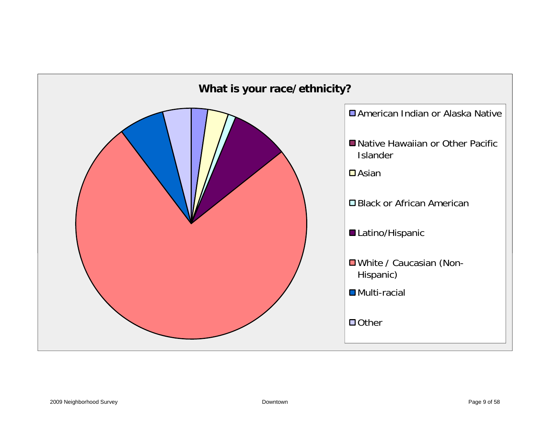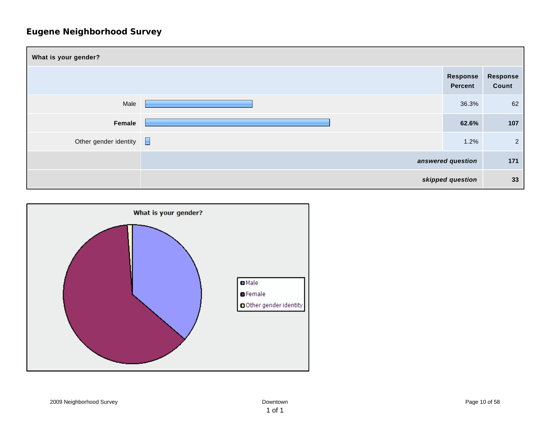| What is your gender?  |                |  |                            |                   |
|-----------------------|----------------|--|----------------------------|-------------------|
|                       |                |  | Response<br><b>Percent</b> | Response<br>Count |
| Male                  |                |  | 36.3%                      | 62                |
| Female                |                |  | 62.6%                      | 107               |
| Other gender identity | $\blacksquare$ |  | 1.2%                       | $\overline{2}$    |
|                       |                |  | answered question          | 171               |
|                       |                |  | skipped question           | 33                |

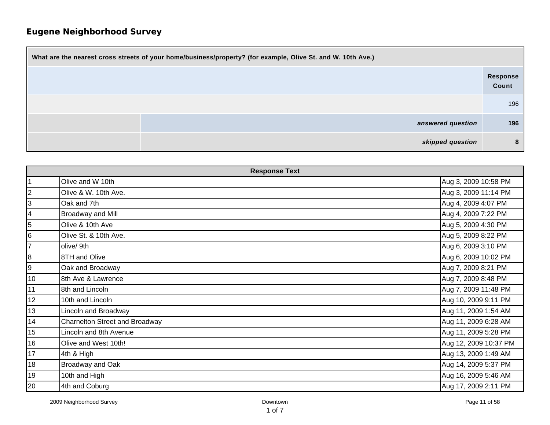| What are the nearest cross streets of your home/business/property? (for example, Olive St. and W. 10th Ave.) |                   |  |  |
|--------------------------------------------------------------------------------------------------------------|-------------------|--|--|
|                                                                                                              | Response<br>Count |  |  |
|                                                                                                              | 196               |  |  |
| answered question                                                                                            | 196               |  |  |
| skipped question                                                                                             | -8                |  |  |

| <b>Response Text</b> |                                |                       |  |
|----------------------|--------------------------------|-----------------------|--|
| $\vert$ 1            | Olive and W 10th               | Aug 3, 2009 10:58 PM  |  |
| $\overline{2}$       | Olive & W. 10th Ave.           | Aug 3, 2009 11:14 PM  |  |
| 3                    | Oak and 7th                    | Aug 4, 2009 4:07 PM   |  |
| $\overline{4}$       | <b>Broadway and Mill</b>       | Aug 4, 2009 7:22 PM   |  |
| 5                    | Olive & 10th Ave               | Aug 5, 2009 4:30 PM   |  |
| 6                    | Olive St. & 10th Ave.          | Aug 5, 2009 8:22 PM   |  |
| 7                    | olive/9th                      | Aug 6, 2009 3:10 PM   |  |
| 8                    | 8TH and Olive                  | Aug 6, 2009 10:02 PM  |  |
| 9                    | Oak and Broadway               | Aug 7, 2009 8:21 PM   |  |
| 10                   | 8th Ave & Lawrence             | Aug 7, 2009 8:48 PM   |  |
| 11                   | 8th and Lincoln                | Aug 7, 2009 11:48 PM  |  |
| 12                   | 10th and Lincoln               | Aug 10, 2009 9:11 PM  |  |
| 13                   | Lincoln and Broadway           | Aug 11, 2009 1:54 AM  |  |
| 14                   | Charnelton Street and Broadway | Aug 11, 2009 6:28 AM  |  |
| 15                   | Lincoln and 8th Avenue         | Aug 11, 2009 5:28 PM  |  |
| 16                   | Olive and West 10th!           | Aug 12, 2009 10:37 PM |  |
| 17                   | 4th & High                     | Aug 13, 2009 1:49 AM  |  |
| 18                   | Broadway and Oak               | Aug 14, 2009 5:37 PM  |  |
| 19                   | 10th and High                  | Aug 16, 2009 5:46 AM  |  |
| 20                   | 4th and Coburg                 | Aug 17, 2009 2:11 PM  |  |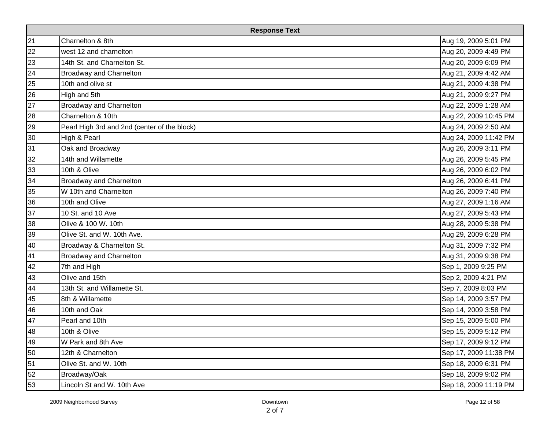| <b>Response Text</b> |                                              |                       |  |
|----------------------|----------------------------------------------|-----------------------|--|
| 21                   | Charnelton & 8th                             | Aug 19, 2009 5:01 PM  |  |
| 22                   | west 12 and charnelton                       | Aug 20, 2009 4:49 PM  |  |
| 23                   | 14th St. and Charnelton St.                  | Aug 20, 2009 6:09 PM  |  |
| 24                   | <b>Broadway and Charnelton</b>               | Aug 21, 2009 4:42 AM  |  |
| 25                   | 10th and olive st                            | Aug 21, 2009 4:38 PM  |  |
| 26                   | High and 5th                                 | Aug 21, 2009 9:27 PM  |  |
| 27                   | <b>Broadway and Charnelton</b>               | Aug 22, 2009 1:28 AM  |  |
| 28                   | Charnelton & 10th                            | Aug 22, 2009 10:45 PM |  |
| 29                   | Pearl High 3rd and 2nd (center of the block) | Aug 24, 2009 2:50 AM  |  |
| 30                   | High & Pearl                                 | Aug 24, 2009 11:42 PM |  |
| 31                   | Oak and Broadway                             | Aug 26, 2009 3:11 PM  |  |
| 32                   | 14th and Willamette                          | Aug 26, 2009 5:45 PM  |  |
| 33                   | 10th & Olive                                 | Aug 26, 2009 6:02 PM  |  |
| 34                   | <b>Broadway and Charnelton</b>               | Aug 26, 2009 6:41 PM  |  |
| 35                   | W 10th and Charnelton                        | Aug 26, 2009 7:40 PM  |  |
| 36                   | 10th and Olive                               | Aug 27, 2009 1:16 AM  |  |
| 37                   | 10 St. and 10 Ave                            | Aug 27, 2009 5:43 PM  |  |
| 38                   | Olive & 100 W. 10th                          | Aug 28, 2009 5:38 PM  |  |
| 39                   | Olive St. and W. 10th Ave.                   | Aug 29, 2009 6:28 PM  |  |
| 40                   | Broadway & Charnelton St.                    | Aug 31, 2009 7:32 PM  |  |
| 41                   | <b>Broadway and Charnelton</b>               | Aug 31, 2009 9:38 PM  |  |
| 42                   | 7th and High                                 | Sep 1, 2009 9:25 PM   |  |
| 43                   | Olive and 15th                               | Sep 2, 2009 4:21 PM   |  |
| 44                   | 13th St. and Willamette St.                  | Sep 7, 2009 8:03 PM   |  |
| 45                   | 8th & Willamette                             | Sep 14, 2009 3:57 PM  |  |
| 46                   | 10th and Oak                                 | Sep 14, 2009 3:58 PM  |  |
| 47                   | Pearl and 10th                               | Sep 15, 2009 5:00 PM  |  |
| 48                   | 10th & Olive                                 | Sep 15, 2009 5:12 PM  |  |
| 49                   | W Park and 8th Ave                           | Sep 17, 2009 9:12 PM  |  |
| 50                   | 12th & Charnelton                            | Sep 17, 2009 11:38 PM |  |
| 51                   | Olive St. and W. 10th                        | Sep 18, 2009 6:31 PM  |  |
| 52                   | Broadway/Oak                                 | Sep 18, 2009 9:02 PM  |  |
| 53                   | Lincoln St and W. 10th Ave                   | Sep 18, 2009 11:19 PM |  |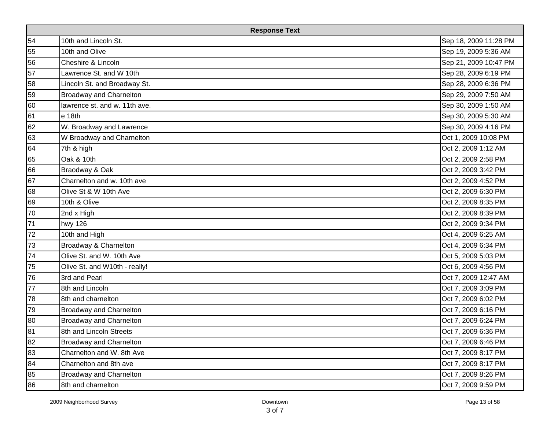| <b>Response Text</b> |                                |                       |  |
|----------------------|--------------------------------|-----------------------|--|
| 54                   | 10th and Lincoln St.           | Sep 18, 2009 11:28 PM |  |
| 55                   | 10th and Olive                 | Sep 19, 2009 5:36 AM  |  |
| 56                   | Cheshire & Lincoln             | Sep 21, 2009 10:47 PM |  |
| 57                   | Lawrence St. and W 10th        | Sep 28, 2009 6:19 PM  |  |
| 58                   | Lincoln St. and Broadway St.   | Sep 28, 2009 6:36 PM  |  |
| 59                   | <b>Broadway and Charnelton</b> | Sep 29, 2009 7:50 AM  |  |
| 60                   | lawrence st. and w. 11th ave.  | Sep 30, 2009 1:50 AM  |  |
| 61                   | $e$ 18th                       | Sep 30, 2009 5:30 AM  |  |
| 62                   | W. Broadway and Lawrence       | Sep 30, 2009 4:16 PM  |  |
| 63                   | W Broadway and Charnelton      | Oct 1, 2009 10:08 PM  |  |
| 64                   | 7th & high                     | Oct 2, 2009 1:12 AM   |  |
| 65                   | Oak & 10th                     | Oct 2, 2009 2:58 PM   |  |
| 66                   | Braodway & Oak                 | Oct 2, 2009 3:42 PM   |  |
| 67                   | Charnelton and w. 10th ave     | Oct 2, 2009 4:52 PM   |  |
| 68                   | Olive St & W 10th Ave          | Oct 2, 2009 6:30 PM   |  |
| 69                   | 10th & Olive                   | Oct 2, 2009 8:35 PM   |  |
| 70                   | 2nd x High                     | Oct 2, 2009 8:39 PM   |  |
| 71                   | hwy 126                        | Oct 2, 2009 9:34 PM   |  |
| 72                   | 10th and High                  | Oct 4, 2009 6:25 AM   |  |
| 73                   | Broadway & Charnelton          | Oct 4, 2009 6:34 PM   |  |
| 74                   | Olive St. and W. 10th Ave      | Oct 5, 2009 5:03 PM   |  |
| 75                   | Olive St. and W10th - really!  | Oct 6, 2009 4:56 PM   |  |
| 76                   | 3rd and Pearl                  | Oct 7, 2009 12:47 AM  |  |
| 77                   | 8th and Lincoln                | Oct 7, 2009 3:09 PM   |  |
| 78                   | 8th and charnelton             | Oct 7, 2009 6:02 PM   |  |
| 79                   | <b>Broadway and Charnelton</b> | Oct 7, 2009 6:16 PM   |  |
| 80                   | <b>Broadway and Charnelton</b> | Oct 7, 2009 6:24 PM   |  |
| 81                   | 8th and Lincoln Streets        | Oct 7, 2009 6:36 PM   |  |
| 82                   | <b>Broadway and Charnelton</b> | Oct 7, 2009 6:46 PM   |  |
| 83                   | Charnelton and W. 8th Ave      | Oct 7, 2009 8:17 PM   |  |
| 84                   | Charnelton and 8th ave         | Oct 7, 2009 8:17 PM   |  |
| 85                   | Broadway and Charnelton        | Oct 7, 2009 8:26 PM   |  |
| 86                   | 8th and charnelton             | Oct 7, 2009 9:59 PM   |  |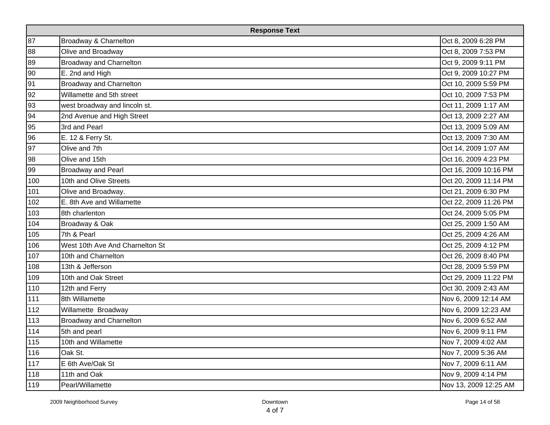| <b>Response Text</b> |                                 |                       |  |
|----------------------|---------------------------------|-----------------------|--|
| 87                   | Broadway & Charnelton           | Oct 8, 2009 6:28 PM   |  |
| 88                   | Olive and Broadway              | Oct 8, 2009 7:53 PM   |  |
| 89                   | <b>Broadway and Charnelton</b>  | Oct 9, 2009 9:11 PM   |  |
| 90                   | E. 2nd and High                 | Oct 9, 2009 10:27 PM  |  |
| 91                   | <b>Broadway and Charnelton</b>  | Oct 10, 2009 5:59 PM  |  |
| 92                   | Willamette and 5th street       | Oct 10, 2009 7:53 PM  |  |
| 93                   | west broadway and lincoln st.   | Oct 11, 2009 1:17 AM  |  |
| 94                   | 2nd Avenue and High Street      | Oct 13, 2009 2:27 AM  |  |
| 95                   | 3rd and Pearl                   | Oct 13, 2009 5:09 AM  |  |
| 96                   | E. 12 & Ferry St.               | Oct 13, 2009 7:30 AM  |  |
| 97                   | Olive and 7th                   | Oct 14, 2009 1:07 AM  |  |
| 98                   | Olive and 15th                  | Oct 16, 2009 4:23 PM  |  |
| 99                   | <b>Broadway and Pearl</b>       | Oct 16, 2009 10:16 PM |  |
| 100                  | 10th and Olive Streets          | Oct 20, 2009 11:14 PM |  |
| 101                  | Olive and Broadway.             | Oct 21, 2009 6:30 PM  |  |
| 102                  | E. 8th Ave and Willamette       | Oct 22, 2009 11:26 PM |  |
| 103                  | 8th charlenton                  | Oct 24, 2009 5:05 PM  |  |
| 104                  | Broadway & Oak                  | Oct 25, 2009 1:50 AM  |  |
| 105                  | 7th & Pearl                     | Oct 25, 2009 4:26 AM  |  |
| 106                  | West 10th Ave And Charnelton St | Oct 25, 2009 4:12 PM  |  |
| 107                  | 10th and Charnelton             | Oct 26, 2009 8:40 PM  |  |
| 108                  | 13th & Jefferson                | Oct 28, 2009 5:59 PM  |  |
| 109                  | 10th and Oak Street             | Oct 29, 2009 11:22 PM |  |
| 110                  | 12th and Ferry                  | Oct 30, 2009 2:43 AM  |  |
| 111                  | 8th Willamette                  | Nov 6, 2009 12:14 AM  |  |
| 112                  | Willamette Broadway             | Nov 6, 2009 12:23 AM  |  |
| 113                  | <b>Broadway and Charnelton</b>  | Nov 6, 2009 6:52 AM   |  |
| 114                  | 5th and pearl                   | Nov 6, 2009 9:11 PM   |  |
| 115                  | 10th and Willamette             | Nov 7, 2009 4:02 AM   |  |
| 116                  | Oak St.                         | Nov 7, 2009 5:36 AM   |  |
| 117                  | E 6th Ave/Oak St                | Nov 7, 2009 6:11 AM   |  |
| 118                  | 11th and Oak                    | Nov 9, 2009 4:14 PM   |  |
| 119                  | Pearl/Willamette                | Nov 13, 2009 12:25 AM |  |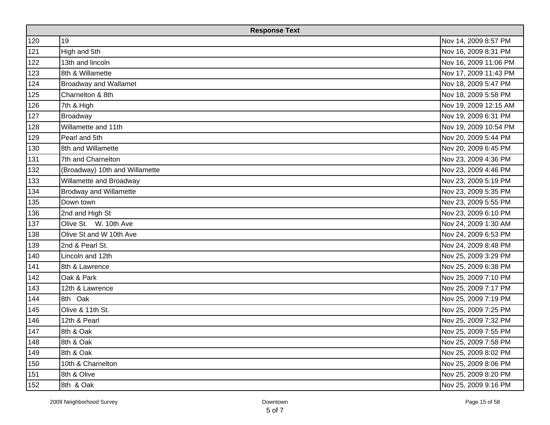| <b>Response Text</b> |                                |                       |  |
|----------------------|--------------------------------|-----------------------|--|
| 120                  | 19                             | Nov 14, 2009 8:57 PM  |  |
| 121                  | High and 5th                   | Nov 16, 2009 8:31 PM  |  |
| 122                  | 13th and lincoln               | Nov 16, 2009 11:06 PM |  |
| 123                  | 8th & Willamette               | Nov 17, 2009 11:43 PM |  |
| 124                  | <b>Broadway and Wallamet</b>   | Nov 18, 2009 5:47 PM  |  |
| 125                  | Charnelton & 8th               | Nov 18, 2009 5:58 PM  |  |
| 126                  | 7th & High                     | Nov 19, 2009 12:15 AM |  |
| 127                  | Broadway                       | Nov 19, 2009 6:31 PM  |  |
| 128                  | Willamette and 11th            | Nov 19, 2009 10:54 PM |  |
| 129                  | Pearl and 5th                  | Nov 20, 2009 5:44 PM  |  |
| 130                  | 8th and Willamette             | Nov 20, 2009 6:45 PM  |  |
| 131                  | 7th and Charnelton             | Nov 23, 2009 4:36 PM  |  |
| 132                  | (Broadway) 10th and Willamette | Nov 23, 2009 4:46 PM  |  |
| 133                  | Willamette and Broadway        | Nov 23, 2009 5:19 PM  |  |
| 134                  | <b>Brodway and Willamette</b>  | Nov 23, 2009 5:35 PM  |  |
| 135                  | Down town                      | Nov 23, 2009 5:55 PM  |  |
| 136                  | 2nd and High St                | Nov 23, 2009 6:10 PM  |  |
| 137                  | Olive St. W. 10th Ave          | Nov 24, 2009 1:30 AM  |  |
| 138                  | Olive St and W 10th Ave        | Nov 24, 2009 6:53 PM  |  |
| 139                  | 2nd & Pearl St.                | Nov 24, 2009 8:48 PM  |  |
| 140                  | Lincoln and 12th               | Nov 25, 2009 3:29 PM  |  |
| 141                  | 8th & Lawrence                 | Nov 25, 2009 6:38 PM  |  |
| 142                  | Oak & Park                     | Nov 25, 2009 7:10 PM  |  |
| 143                  | 12th & Lawrence                | Nov 25, 2009 7:17 PM  |  |
| 144                  | 8th Oak                        | Nov 25, 2009 7:19 PM  |  |
| 145                  | Olive & 11th St.               | Nov 25, 2009 7:25 PM  |  |
| 146                  | 12th & Pearl                   | Nov 25, 2009 7:32 PM  |  |
| 147                  | 8th & Oak                      | Nov 25, 2009 7:55 PM  |  |
| 148                  | 8th & Oak                      | Nov 25, 2009 7:58 PM  |  |
| 149                  | 8th & Oak                      | Nov 25, 2009 8:02 PM  |  |
| 150                  | 10th & Charnelton              | Nov 25, 2009 8:06 PM  |  |
| 151                  | 8th & Olive                    | Nov 25, 2009 8:20 PM  |  |
| 152                  | 8th & Oak                      | Nov 25, 2009 9:16 PM  |  |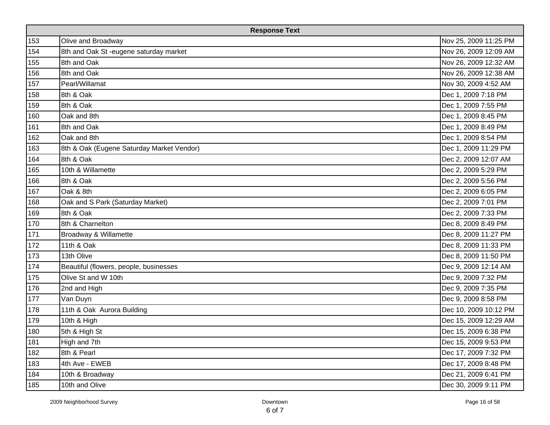|     | <b>Response Text</b>                      |                       |  |  |  |  |
|-----|-------------------------------------------|-----------------------|--|--|--|--|
| 153 | Olive and Broadway                        | Nov 25, 2009 11:25 PM |  |  |  |  |
| 154 | 8th and Oak St-eugene saturday market     | Nov 26, 2009 12:09 AM |  |  |  |  |
| 155 | 8th and Oak                               | Nov 26, 2009 12:32 AM |  |  |  |  |
| 156 | 8th and Oak                               | Nov 26, 2009 12:38 AM |  |  |  |  |
| 157 | Pearl/Willamat                            | Nov 30, 2009 4:52 AM  |  |  |  |  |
| 158 | 8th & Oak                                 | Dec 1, 2009 7:18 PM   |  |  |  |  |
| 159 | 8th & Oak                                 | Dec 1, 2009 7:55 PM   |  |  |  |  |
| 160 | Oak and 8th                               | Dec 1, 2009 8:45 PM   |  |  |  |  |
| 161 | 8th and Oak                               | Dec 1, 2009 8:49 PM   |  |  |  |  |
| 162 | Oak and 8th                               | Dec 1, 2009 8:54 PM   |  |  |  |  |
| 163 | 8th & Oak (Eugene Saturday Market Vendor) | Dec 1, 2009 11:29 PM  |  |  |  |  |
| 164 | 8th & Oak                                 | Dec 2, 2009 12:07 AM  |  |  |  |  |
| 165 | 10th & Willamette                         | Dec 2, 2009 5:29 PM   |  |  |  |  |
| 166 | 8th & Oak                                 | Dec 2, 2009 5:56 PM   |  |  |  |  |
| 167 | Oak & 8th                                 | Dec 2, 2009 6:05 PM   |  |  |  |  |
| 168 | Oak and S Park (Saturday Market)          | Dec 2, 2009 7:01 PM   |  |  |  |  |
| 169 | 8th & Oak                                 | Dec 2, 2009 7:33 PM   |  |  |  |  |
| 170 | 8th & Charnelton                          | Dec 8, 2009 8:49 PM   |  |  |  |  |
| 171 | Broadway & Willamette                     | Dec 8, 2009 11:27 PM  |  |  |  |  |
| 172 | 11th & Oak                                | Dec 8, 2009 11:33 PM  |  |  |  |  |
| 173 | 13th Olive                                | Dec 8, 2009 11:50 PM  |  |  |  |  |
| 174 | Beautiful (flowers, people, businesses    | Dec 9, 2009 12:14 AM  |  |  |  |  |
| 175 | Olive St and W 10th                       | Dec 9, 2009 7:32 PM   |  |  |  |  |
| 176 | 2nd and High                              | Dec 9, 2009 7:35 PM   |  |  |  |  |
| 177 | Van Duyn                                  | Dec 9, 2009 8:58 PM   |  |  |  |  |
| 178 | 11th & Oak Aurora Building                | Dec 10, 2009 10:12 PM |  |  |  |  |
| 179 | 10th & High                               | Dec 15, 2009 12:29 AM |  |  |  |  |
| 180 | 5th & High St                             | Dec 15, 2009 6:38 PM  |  |  |  |  |
| 181 | High and 7th                              | Dec 15, 2009 9:53 PM  |  |  |  |  |
| 182 | 8th & Pearl                               | Dec 17, 2009 7:32 PM  |  |  |  |  |
| 183 | 4th Ave - EWEB                            | Dec 17, 2009 8:48 PM  |  |  |  |  |
| 184 | 10th & Broadway                           | Dec 21, 2009 6:41 PM  |  |  |  |  |
| 185 | 10th and Olive                            | Dec 30, 2009 9:11 PM  |  |  |  |  |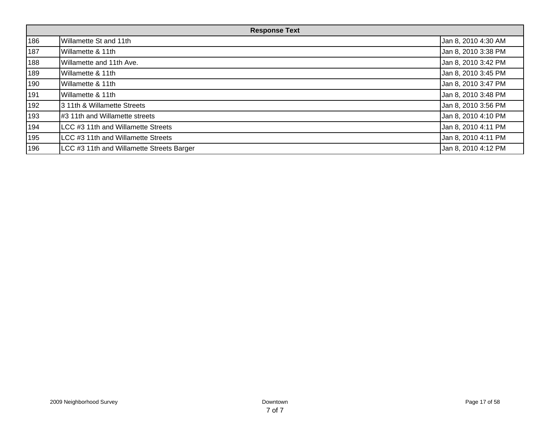| <b>Response Text</b> |                                           |                     |  |  |
|----------------------|-------------------------------------------|---------------------|--|--|
| 186                  | Willamette St and 11th                    | Jan 8, 2010 4:30 AM |  |  |
| 187                  | Willamette & 11th                         | Jan 8, 2010 3:38 PM |  |  |
| 188                  | Willamette and 11th Ave.                  | Jan 8, 2010 3:42 PM |  |  |
| 189                  | Willamette & 11th                         | Jan 8, 2010 3:45 PM |  |  |
| 190                  | Willamette & 11th                         | Jan 8, 2010 3:47 PM |  |  |
| 191                  | Willamette & 11th                         | Jan 8, 2010 3:48 PM |  |  |
| 192                  | 3 11th & Willamette Streets               | Jan 8, 2010 3:56 PM |  |  |
| 193                  | #3 11th and Willamette streets            | Jan 8, 2010 4:10 PM |  |  |
| 194                  | LCC #3 11th and Willamette Streets        | Jan 8, 2010 4:11 PM |  |  |
| 195                  | LCC #3 11th and Willamette Streets        | Jan 8, 2010 4:11 PM |  |  |
| 196                  | LCC #3 11th and Willamette Streets Barger | Jan 8, 2010 4:12 PM |  |  |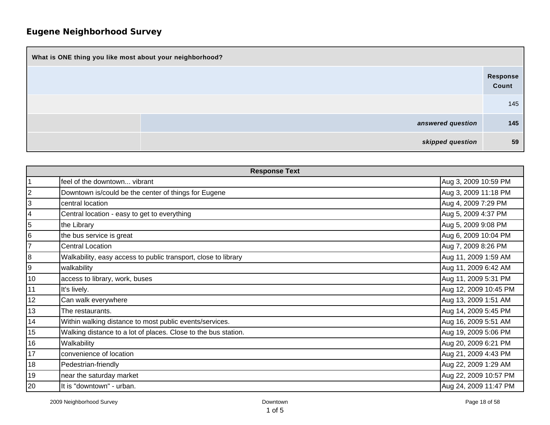| What is ONE thing you like most about your neighborhood? |                   |  |  |  |  |
|----------------------------------------------------------|-------------------|--|--|--|--|
|                                                          | Response<br>Count |  |  |  |  |
|                                                          | 145               |  |  |  |  |
| answered question                                        | 145               |  |  |  |  |
| skipped question                                         | 59                |  |  |  |  |

|                | <b>Response Text</b>                                           |                       |  |  |  |
|----------------|----------------------------------------------------------------|-----------------------|--|--|--|
| $\vert$ 1      | feel of the downtown vibrant                                   | Aug 3, 2009 10:59 PM  |  |  |  |
| 2              | Downtown is/could be the center of things for Eugene           | Aug 3, 2009 11:18 PM  |  |  |  |
| 3              | central location                                               | Aug 4, 2009 7:29 PM   |  |  |  |
| 4              | Central location - easy to get to everything                   | Aug 5, 2009 4:37 PM   |  |  |  |
| 5              | the Library                                                    | Aug 5, 2009 9:08 PM   |  |  |  |
| 6              | the bus service is great                                       | Aug 6, 2009 10:04 PM  |  |  |  |
| $\overline{7}$ | <b>Central Location</b>                                        | Aug 7, 2009 8:26 PM   |  |  |  |
| 8              | Walkability, easy access to public transport, close to library | Aug 11, 2009 1:59 AM  |  |  |  |
| 9              | walkability                                                    | Aug 11, 2009 6:42 AM  |  |  |  |
| 10             | access to library, work, buses                                 | Aug 11, 2009 5:31 PM  |  |  |  |
| 11             | It's lively.                                                   | Aug 12, 2009 10:45 PM |  |  |  |
| 12             | Can walk everywhere                                            | Aug 13, 2009 1:51 AM  |  |  |  |
| 13             | The restaurants.                                               | Aug 14, 2009 5:45 PM  |  |  |  |
| 14             | Within walking distance to most public events/services.        | Aug 16, 2009 5:51 AM  |  |  |  |
| 15             | Walking distance to a lot of places. Close to the bus station. | Aug 19, 2009 5:06 PM  |  |  |  |
| 16             | Walkability                                                    | Aug 20, 2009 6:21 PM  |  |  |  |
| 17             | convenience of location                                        | Aug 21, 2009 4:43 PM  |  |  |  |
| 18             | Pedestrian-friendly                                            | Aug 22, 2009 1:29 AM  |  |  |  |
| 19             | near the saturday market                                       | Aug 22, 2009 10:57 PM |  |  |  |
| 20             | It is "downtown" - urban.                                      | Aug 24, 2009 11:47 PM |  |  |  |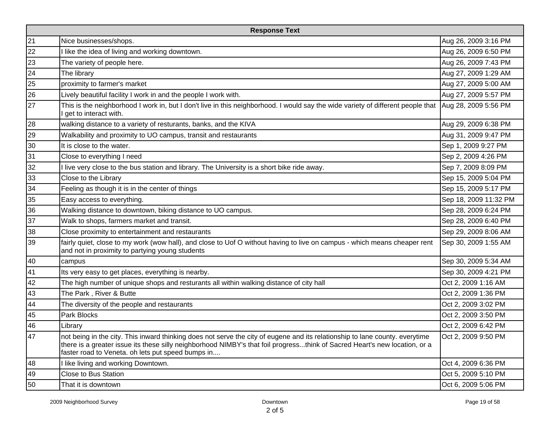| <b>Response Text</b> |                                                                                                                                                                                                                                                                                                                 |                       |  |  |  |  |
|----------------------|-----------------------------------------------------------------------------------------------------------------------------------------------------------------------------------------------------------------------------------------------------------------------------------------------------------------|-----------------------|--|--|--|--|
| 21                   | Nice businesses/shops.                                                                                                                                                                                                                                                                                          | Aug 26, 2009 3:16 PM  |  |  |  |  |
| 22                   | like the idea of living and working downtown.                                                                                                                                                                                                                                                                   | Aug 26, 2009 6:50 PM  |  |  |  |  |
| 23                   | The variety of people here.                                                                                                                                                                                                                                                                                     | Aug 26, 2009 7:43 PM  |  |  |  |  |
| 24                   | The library                                                                                                                                                                                                                                                                                                     | Aug 27, 2009 1:29 AM  |  |  |  |  |
| 25                   | proximity to farmer's market                                                                                                                                                                                                                                                                                    | Aug 27, 2009 5:00 AM  |  |  |  |  |
| 26                   | Lively beautiful facility I work in and the people I work with.                                                                                                                                                                                                                                                 | Aug 27, 2009 5:57 PM  |  |  |  |  |
| 27                   | This is the neighborhood I work in, but I don't live in this neighborhood. I would say the wide variety of different people that<br>get to interact with.                                                                                                                                                       | Aug 28, 2009 5:56 PM  |  |  |  |  |
| 28                   | walking distance to a variety of resturants, banks, and the KIVA                                                                                                                                                                                                                                                | Aug 29, 2009 6:38 PM  |  |  |  |  |
| 29                   | Walkability and proximity to UO campus, transit and restaurants                                                                                                                                                                                                                                                 | Aug 31, 2009 9:47 PM  |  |  |  |  |
| 30                   | It is close to the water.                                                                                                                                                                                                                                                                                       | Sep 1, 2009 9:27 PM   |  |  |  |  |
| 31                   | Close to everything I need                                                                                                                                                                                                                                                                                      | Sep 2, 2009 4:26 PM   |  |  |  |  |
| 32                   | live very close to the bus station and library. The University is a short bike ride away.                                                                                                                                                                                                                       | Sep 7, 2009 8:09 PM   |  |  |  |  |
| 33                   | Close to the Library                                                                                                                                                                                                                                                                                            | Sep 15, 2009 5:04 PM  |  |  |  |  |
| 34                   | Feeling as though it is in the center of things                                                                                                                                                                                                                                                                 | Sep 15, 2009 5:17 PM  |  |  |  |  |
| 35                   | Easy access to everything.                                                                                                                                                                                                                                                                                      | Sep 18, 2009 11:32 PM |  |  |  |  |
| 36                   | Walking distance to downtown, biking distance to UO campus.                                                                                                                                                                                                                                                     | Sep 28, 2009 6:24 PM  |  |  |  |  |
| 37                   | Walk to shops, farmers market and transit.                                                                                                                                                                                                                                                                      | Sep 28, 2009 6:40 PM  |  |  |  |  |
| 38                   | Close proximity to entertainment and restaurants                                                                                                                                                                                                                                                                | Sep 29, 2009 8:06 AM  |  |  |  |  |
| 39                   | fairly quiet, close to my work (wow hall), and close to Uof O without having to live on campus - which means cheaper rent<br>and not in proximity to partying young students                                                                                                                                    | Sep 30, 2009 1:55 AM  |  |  |  |  |
| 40                   | campus                                                                                                                                                                                                                                                                                                          | Sep 30, 2009 5:34 AM  |  |  |  |  |
| 41                   | Its very easy to get places, everything is nearby.                                                                                                                                                                                                                                                              | Sep 30, 2009 4:21 PM  |  |  |  |  |
| 42                   | The high number of unique shops and resturants all within walking distance of city hall                                                                                                                                                                                                                         | Oct 2, 2009 1:16 AM   |  |  |  |  |
| 43                   | The Park, River & Butte                                                                                                                                                                                                                                                                                         | Oct 2, 2009 1:36 PM   |  |  |  |  |
| 44                   | The diversity of the people and restaurants                                                                                                                                                                                                                                                                     | Oct 2, 2009 3:02 PM   |  |  |  |  |
| 45                   | Park Blocks                                                                                                                                                                                                                                                                                                     | Oct 2, 2009 3:50 PM   |  |  |  |  |
| 46                   | Library                                                                                                                                                                                                                                                                                                         | Oct 2, 2009 6:42 PM   |  |  |  |  |
| 47                   | not being in the city. This inward thinking does not serve the city of eugene and its relationship to lane county. everytime<br>there is a greater issue its these silly neighborhood NIMBY's that foil progressthink of Sacred Heart's new location, or a<br>faster road to Veneta. oh lets put speed bumps in | Oct 2, 2009 9:50 PM   |  |  |  |  |
| 48                   | I like living and working Downtown.                                                                                                                                                                                                                                                                             | Oct 4, 2009 6:36 PM   |  |  |  |  |
| 49                   | <b>Close to Bus Station</b>                                                                                                                                                                                                                                                                                     | Oct 5, 2009 5:10 PM   |  |  |  |  |
| 50                   | That it is downtown                                                                                                                                                                                                                                                                                             | Oct 6, 2009 5:06 PM   |  |  |  |  |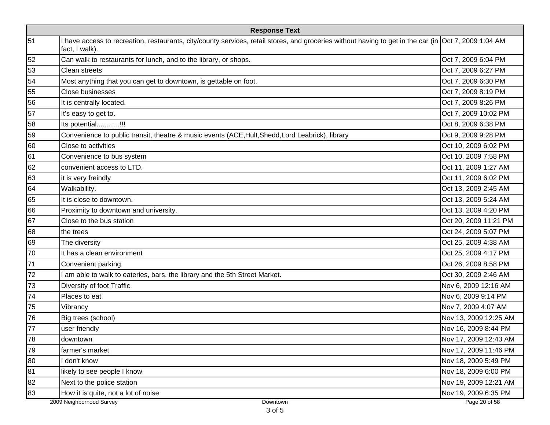| <b>Response Text</b> |                                                                                                                                                                         |                       |  |  |  |
|----------------------|-------------------------------------------------------------------------------------------------------------------------------------------------------------------------|-----------------------|--|--|--|
| 51                   | I have access to recreation, restaurants, city/county services, retail stores, and groceries without having to get in the car (in Oct 7, 2009 1:04 AM<br>fact, I walk). |                       |  |  |  |
| 52                   | Can walk to restaurants for lunch, and to the library, or shops.                                                                                                        | Oct 7, 2009 6:04 PM   |  |  |  |
| 53                   | Clean streets                                                                                                                                                           | Oct 7, 2009 6:27 PM   |  |  |  |
| 54                   | Most anything that you can get to downtown, is gettable on foot.                                                                                                        | Oct 7, 2009 6:30 PM   |  |  |  |
| 55                   | <b>Close businesses</b>                                                                                                                                                 | Oct 7, 2009 8:19 PM   |  |  |  |
| 56                   | It is centrally located.                                                                                                                                                | Oct 7, 2009 8:26 PM   |  |  |  |
| 57                   | It's easy to get to.                                                                                                                                                    | Oct 7, 2009 10:02 PM  |  |  |  |
| 58                   | Its potential!!!                                                                                                                                                        | Oct 8, 2009 6:38 PM   |  |  |  |
| 59                   | Convenience to public transit, theatre & music events (ACE,Hult,Shedd,Lord Leabrick), library                                                                           | Oct 9, 2009 9:28 PM   |  |  |  |
| 60                   | Close to activities                                                                                                                                                     | Oct 10, 2009 6:02 PM  |  |  |  |
| 61                   | Convenience to bus system                                                                                                                                               | Oct 10, 2009 7:58 PM  |  |  |  |
| 62                   | convenient access to LTD.                                                                                                                                               | Oct 11, 2009 1:27 AM  |  |  |  |
| 63                   | it is very freindly                                                                                                                                                     | Oct 11, 2009 6:02 PM  |  |  |  |
| 64                   | Walkability.                                                                                                                                                            | Oct 13, 2009 2:45 AM  |  |  |  |
| 65                   | It is close to downtown.                                                                                                                                                | Oct 13, 2009 5:24 AM  |  |  |  |
| 66                   | Proximity to downtown and university.                                                                                                                                   | Oct 13, 2009 4:20 PM  |  |  |  |
| 67                   | Close to the bus station                                                                                                                                                | Oct 20, 2009 11:21 PM |  |  |  |
| 68                   | the trees                                                                                                                                                               | Oct 24, 2009 5:07 PM  |  |  |  |
| 69                   | The diversity                                                                                                                                                           | Oct 25, 2009 4:38 AM  |  |  |  |
| 70                   | It has a clean environment                                                                                                                                              | Oct 25, 2009 4:17 PM  |  |  |  |
| 71                   | Convenient parking.                                                                                                                                                     | Oct 26, 2009 8:58 PM  |  |  |  |
| 72                   | I am able to walk to eateries, bars, the library and the 5th Street Market.                                                                                             | Oct 30, 2009 2:46 AM  |  |  |  |
| 73                   | Diversity of foot Traffic                                                                                                                                               | Nov 6, 2009 12:16 AM  |  |  |  |
| 74                   | Places to eat                                                                                                                                                           | Nov 6, 2009 9:14 PM   |  |  |  |
| 75                   | Vibrancy                                                                                                                                                                | Nov 7, 2009 4:07 AM   |  |  |  |
| 76                   | Big trees (school)                                                                                                                                                      | Nov 13, 2009 12:25 AM |  |  |  |
| 77                   | user friendly                                                                                                                                                           | Nov 16, 2009 8:44 PM  |  |  |  |
| 78                   | downtown                                                                                                                                                                | Nov 17, 2009 12:43 AM |  |  |  |
| 79                   | farmer's market                                                                                                                                                         | Nov 17, 2009 11:46 PM |  |  |  |
| 80                   | I don't know                                                                                                                                                            | Nov 18, 2009 5:49 PM  |  |  |  |
| 81                   | likely to see people I know                                                                                                                                             | Nov 18, 2009 6:00 PM  |  |  |  |
| 82                   | Next to the police station                                                                                                                                              | Nov 19, 2009 12:21 AM |  |  |  |
| 83                   | How it is quite, not a lot of noise                                                                                                                                     | Nov 19, 2009 6:35 PM  |  |  |  |
|                      | 2009 Neighborhood Survey<br>Downtown                                                                                                                                    | Page 20 of 58         |  |  |  |

3 of 5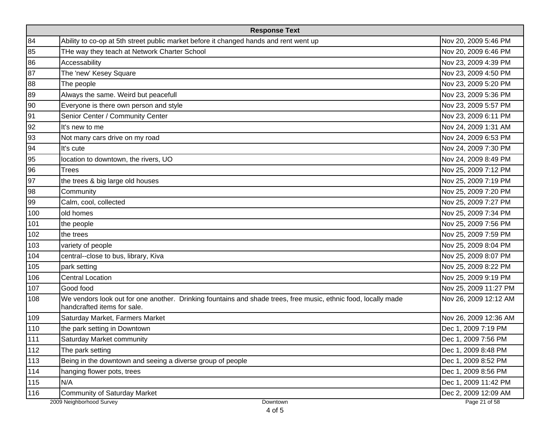|     | <b>Response Text</b>                                                                                                                          |                       |  |  |  |  |
|-----|-----------------------------------------------------------------------------------------------------------------------------------------------|-----------------------|--|--|--|--|
| 84  | Ability to co-op at 5th street public market before it changed hands and rent went up                                                         | Nov 20, 2009 5:46 PM  |  |  |  |  |
| 85  | THe way they teach at Network Charter School                                                                                                  | Nov 20, 2009 6:46 PM  |  |  |  |  |
| 86  | Accessability                                                                                                                                 | Nov 23, 2009 4:39 PM  |  |  |  |  |
| 87  | The 'new' Kesey Square                                                                                                                        | Nov 23, 2009 4:50 PM  |  |  |  |  |
| 88  | The people                                                                                                                                    | Nov 23, 2009 5:20 PM  |  |  |  |  |
| 89  | Always the same. Weird but peacefull                                                                                                          | Nov 23, 2009 5:36 PM  |  |  |  |  |
| 90  | Everyone is there own person and style                                                                                                        | Nov 23, 2009 5:57 PM  |  |  |  |  |
| 91  | Senior Center / Community Center                                                                                                              | Nov 23, 2009 6:11 PM  |  |  |  |  |
| 92  | It's new to me                                                                                                                                | Nov 24, 2009 1:31 AM  |  |  |  |  |
| 93  | Not many cars drive on my road                                                                                                                | Nov 24, 2009 6:53 PM  |  |  |  |  |
| 94  | It's cute                                                                                                                                     | Nov 24, 2009 7:30 PM  |  |  |  |  |
| 95  | location to downtown, the rivers, UO                                                                                                          | Nov 24, 2009 8:49 PM  |  |  |  |  |
| 96  | <b>Trees</b>                                                                                                                                  | Nov 25, 2009 7:12 PM  |  |  |  |  |
| 97  | the trees & big large old houses                                                                                                              | Nov 25, 2009 7:19 PM  |  |  |  |  |
| 98  | Community                                                                                                                                     | Nov 25, 2009 7:20 PM  |  |  |  |  |
| 99  | Calm, cool, collected                                                                                                                         | Nov 25, 2009 7:27 PM  |  |  |  |  |
| 100 | old homes                                                                                                                                     | Nov 25, 2009 7:34 PM  |  |  |  |  |
| 101 | the people                                                                                                                                    | Nov 25, 2009 7:56 PM  |  |  |  |  |
| 102 | the trees                                                                                                                                     | Nov 25, 2009 7:59 PM  |  |  |  |  |
| 103 | variety of people                                                                                                                             | Nov 25, 2009 8:04 PM  |  |  |  |  |
| 104 | central--close to bus, library, Kiva                                                                                                          | Nov 25, 2009 8:07 PM  |  |  |  |  |
| 105 | park setting                                                                                                                                  | Nov 25, 2009 8:22 PM  |  |  |  |  |
| 106 | <b>Central Location</b>                                                                                                                       | Nov 25, 2009 9:19 PM  |  |  |  |  |
| 107 | Good food                                                                                                                                     | Nov 25, 2009 11:27 PM |  |  |  |  |
| 108 | We vendors look out for one another. Drinking fountains and shade trees, free music, ethnic food, locally made<br>handcrafted items for sale. | Nov 26, 2009 12:12 AM |  |  |  |  |
| 109 | Saturday Market, Farmers Market                                                                                                               | Nov 26, 2009 12:36 AM |  |  |  |  |
| 110 | the park setting in Downtown                                                                                                                  | Dec 1, 2009 7:19 PM   |  |  |  |  |
| 111 | Saturday Market community                                                                                                                     | Dec 1, 2009 7:56 PM   |  |  |  |  |
| 112 | The park setting                                                                                                                              | Dec 1, 2009 8:48 PM   |  |  |  |  |
| 113 | Being in the downtown and seeing a diverse group of people                                                                                    | Dec 1, 2009 8:52 PM   |  |  |  |  |
| 114 | hanging flower pots, trees                                                                                                                    | Dec 1, 2009 8:56 PM   |  |  |  |  |
| 115 | N/A                                                                                                                                           | Dec 1, 2009 11:42 PM  |  |  |  |  |
| 116 | <b>Community of Saturday Market</b>                                                                                                           | Dec 2, 2009 12:09 AM  |  |  |  |  |
|     | 2009 Neighborhood Survey<br>Downtown                                                                                                          | Page 21 of 58         |  |  |  |  |

4 of 5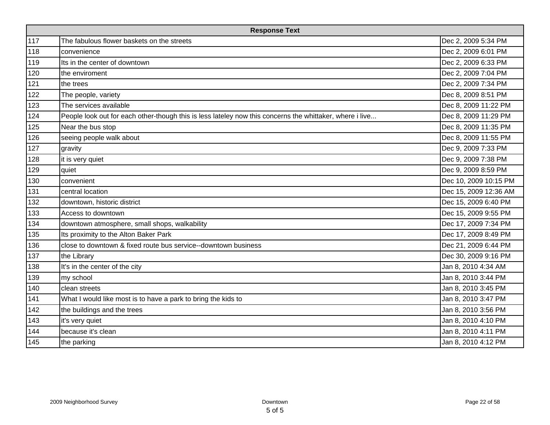| <b>Response Text</b> |                                                                                                          |                       |  |  |  |
|----------------------|----------------------------------------------------------------------------------------------------------|-----------------------|--|--|--|
| 117                  | The fabulous flower baskets on the streets                                                               | Dec 2, 2009 5:34 PM   |  |  |  |
| 118                  | convenience                                                                                              | Dec 2, 2009 6:01 PM   |  |  |  |
| 119                  | Its in the center of downtown                                                                            | Dec 2, 2009 6:33 PM   |  |  |  |
| 120                  | the enviroment                                                                                           | Dec 2, 2009 7:04 PM   |  |  |  |
| 121                  | the trees                                                                                                | Dec 2, 2009 7:34 PM   |  |  |  |
| 122                  | The people, variety                                                                                      | Dec 8, 2009 8:51 PM   |  |  |  |
| 123                  | The services available                                                                                   | Dec 8, 2009 11:22 PM  |  |  |  |
| 124                  | People look out for each other-though this is less lateley now this concerns the whittaker, where i live | Dec 8, 2009 11:29 PM  |  |  |  |
| 125                  | Near the bus stop                                                                                        | Dec 8, 2009 11:35 PM  |  |  |  |
| 126                  | seeing people walk about                                                                                 | Dec 8, 2009 11:55 PM  |  |  |  |
| 127                  | gravity                                                                                                  | Dec 9, 2009 7:33 PM   |  |  |  |
| 128                  | it is very quiet                                                                                         | Dec 9, 2009 7:38 PM   |  |  |  |
| 129                  | quiet                                                                                                    | Dec 9, 2009 8:59 PM   |  |  |  |
| 130                  | convenient                                                                                               | Dec 10, 2009 10:15 PM |  |  |  |
| 131                  | central location                                                                                         | Dec 15, 2009 12:36 AM |  |  |  |
| 132                  | downtown, historic district                                                                              | Dec 15, 2009 6:40 PM  |  |  |  |
| 133                  | Access to downtown                                                                                       | Dec 15, 2009 9:55 PM  |  |  |  |
| 134                  | downtown atmosphere, small shops, walkability                                                            | Dec 17, 2009 7:34 PM  |  |  |  |
| 135                  | Its proximity to the Alton Baker Park                                                                    | Dec 17, 2009 8:49 PM  |  |  |  |
| 136                  | close to downtown & fixed route bus service--downtown business                                           | Dec 21, 2009 6:44 PM  |  |  |  |
| 137                  | the Library                                                                                              | Dec 30, 2009 9:16 PM  |  |  |  |
| 138                  | It's in the center of the city                                                                           | Jan 8, 2010 4:34 AM   |  |  |  |
| 139                  | my school                                                                                                | Jan 8, 2010 3:44 PM   |  |  |  |
| 140                  | clean streets                                                                                            | Jan 8, 2010 3:45 PM   |  |  |  |
| 141                  | What I would like most is to have a park to bring the kids to                                            | Jan 8, 2010 3:47 PM   |  |  |  |
| 142                  | the buildings and the trees                                                                              | Jan 8, 2010 3:56 PM   |  |  |  |
| 143                  | it's very quiet                                                                                          | Jan 8, 2010 4:10 PM   |  |  |  |
| 144                  | because it's clean                                                                                       | Jan 8, 2010 4:11 PM   |  |  |  |
| 145                  | the parking                                                                                              | Jan 8, 2010 4:12 PM   |  |  |  |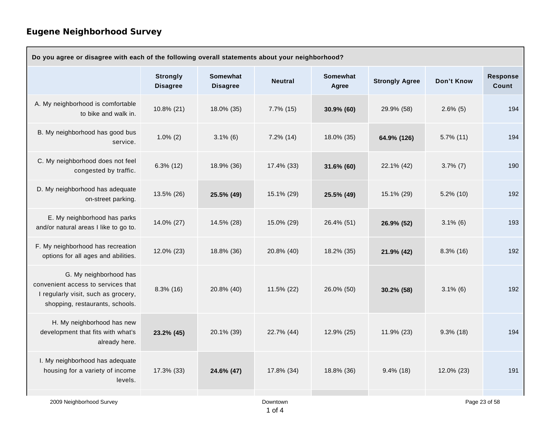| Do you agree or disagree with each of the following overall statements about your neighborhood?                                        |                                    |                                    |                |                          |                       |              |                          |  |
|----------------------------------------------------------------------------------------------------------------------------------------|------------------------------------|------------------------------------|----------------|--------------------------|-----------------------|--------------|--------------------------|--|
|                                                                                                                                        | <b>Strongly</b><br><b>Disagree</b> | <b>Somewhat</b><br><b>Disagree</b> | <b>Neutral</b> | <b>Somewhat</b><br>Agree | <b>Strongly Agree</b> | Don't Know   | <b>Response</b><br>Count |  |
| A. My neighborhood is comfortable<br>to bike and walk in.                                                                              | 10.8% (21)                         | 18.0% (35)                         | $7.7\%$ (15)   | 30.9% (60)               | 29.9% (58)            | $2.6\%$ (5)  | 194                      |  |
| B. My neighborhood has good bus<br>service.                                                                                            | $1.0\%$ (2)                        | $3.1\%$ (6)                        | 7.2% (14)      | 18.0% (35)               | 64.9% (126)           | $5.7\%$ (11) | 194                      |  |
| C. My neighborhood does not feel<br>congested by traffic.                                                                              | $6.3\%$ (12)                       | 18.9% (36)                         | 17.4% (33)     | 31.6% (60)               | 22.1% (42)            | $3.7\%$ (7)  | 190                      |  |
| D. My neighborhood has adequate<br>on-street parking.                                                                                  | 13.5% (26)                         | 25.5% (49)                         | 15.1% (29)     | 25.5% (49)               | 15.1% (29)            | $5.2\%$ (10) | 192                      |  |
| E. My neighborhood has parks<br>and/or natural areas I like to go to.                                                                  | 14.0% (27)                         | 14.5% (28)                         | 15.0% (29)     | 26.4% (51)               | 26.9% (52)            | $3.1\%$ (6)  | 193                      |  |
| F. My neighborhood has recreation<br>options for all ages and abilities.                                                               | 12.0% (23)                         | 18.8% (36)                         | 20.8% (40)     | 18.2% (35)               | 21.9% (42)            | $8.3\%$ (16) | 192                      |  |
| G. My neighborhood has<br>convenient access to services that<br>I regularly visit, such as grocery,<br>shopping, restaurants, schools. | $8.3\%$ (16)                       | 20.8% (40)                         | 11.5% (22)     | 26.0% (50)               | 30.2% (58)            | $3.1\%$ (6)  | 192                      |  |
| H. My neighborhood has new<br>development that fits with what's<br>already here.                                                       | 23.2% (45)                         | 20.1% (39)                         | 22.7% (44)     | 12.9% (25)               | 11.9% (23)            | $9.3\%$ (18) | 194                      |  |
| I. My neighborhood has adequate<br>housing for a variety of income<br>levels.                                                          | 17.3% (33)                         | 24.6% (47)                         | 17.8% (34)     | 18.8% (36)               | $9.4\%$ (18)          | 12.0% (23)   | 191                      |  |
| 2009 Neighborhood Survey                                                                                                               |                                    |                                    | Downtown       |                          |                       |              | Page 23 of 58            |  |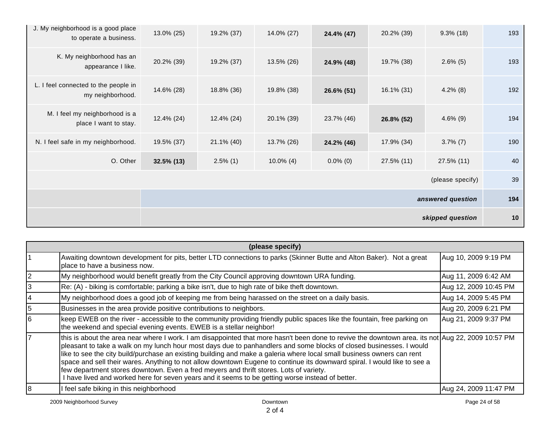| J. My neighborhood is a good place<br>to operate a business. | 13.0% (25)    | 19.2% (37)    | 14.0% (27)   | 24.4% (47)  | 20.2% (39)    | $9.3\%$ (18)      | 193 |
|--------------------------------------------------------------|---------------|---------------|--------------|-------------|---------------|-------------------|-----|
| K. My neighborhood has an<br>appearance I like.              | 20.2% (39)    | 19.2% (37)    | 13.5% (26)   | 24.9% (48)  | 19.7% (38)    | $2.6\%$ (5)       | 193 |
| L. I feel connected to the people in<br>my neighborhood.     | 14.6% (28)    | 18.8% (36)    | 19.8% (38)   | 26.6% (51)  | $16.1\%$ (31) | $4.2\%$ (8)       | 192 |
| M. I feel my neighborhood is a<br>place I want to stay.      | $12.4\%$ (24) | 12.4% (24)    | 20.1% (39)   | 23.7% (46)  | 26.8% (52)    | $4.6\%$ (9)       | 194 |
| N. I feel safe in my neighborhood.                           | 19.5% (37)    | $21.1\%$ (40) | 13.7% (26)   | 24.2% (46)  | 17.9% (34)    | $3.7\%$ (7)       | 190 |
| O. Other                                                     | $32.5\%$ (13) | $2.5\%$ (1)   | $10.0\%$ (4) | $0.0\%$ (0) | 27.5% (11)    | 27.5% (11)        | 40  |
|                                                              |               |               |              |             |               | (please specify)  | 39  |
|                                                              |               |               |              |             |               | answered question | 194 |
|                                                              |               |               |              |             |               | skipped question  | 10  |

| (please specify)                                                                                                                                                                                                                                                                                                                                                                                                                                                                                                                                                                                                                                                                                                             |                       |  |  |  |  |  |
|------------------------------------------------------------------------------------------------------------------------------------------------------------------------------------------------------------------------------------------------------------------------------------------------------------------------------------------------------------------------------------------------------------------------------------------------------------------------------------------------------------------------------------------------------------------------------------------------------------------------------------------------------------------------------------------------------------------------------|-----------------------|--|--|--|--|--|
| Awaiting downtown development for pits, better LTD connections to parks (Skinner Butte and Alton Baker). Not a great<br>place to have a business now.                                                                                                                                                                                                                                                                                                                                                                                                                                                                                                                                                                        | Aug 10, 2009 9:19 PM  |  |  |  |  |  |
| My neighborhood would benefit greatly from the City Council approving downtown URA funding.                                                                                                                                                                                                                                                                                                                                                                                                                                                                                                                                                                                                                                  | Aug 11, 2009 6:42 AM  |  |  |  |  |  |
| Re: (A) - biking is comfortable; parking a bike isn't, due to high rate of bike theft downtown.                                                                                                                                                                                                                                                                                                                                                                                                                                                                                                                                                                                                                              | Aug 12, 2009 10:45 PM |  |  |  |  |  |
| My neighborhood does a good job of keeping me from being harassed on the street on a daily basis.                                                                                                                                                                                                                                                                                                                                                                                                                                                                                                                                                                                                                            | Aug 14, 2009 5:45 PM  |  |  |  |  |  |
| Businesses in the area provide positive contributions to neighbors.                                                                                                                                                                                                                                                                                                                                                                                                                                                                                                                                                                                                                                                          | Aug 20, 2009 6:21 PM  |  |  |  |  |  |
| keep EWEB on the river - accessible to the community providing friendly public spaces like the fountain, free parking on<br>the weekend and special evening events. EWEB is a stellar neighbor!                                                                                                                                                                                                                                                                                                                                                                                                                                                                                                                              | Aug 21, 2009 9:37 PM  |  |  |  |  |  |
| this is about the area near where I work. I am disappointed that more hasn't been done to revive the downtown area. its not Aug 22, 2009 10:57 PM<br>pleasant to take a walk on my lunch hour most days due to panhandlers and some blocks of closed businesses. I would<br>like to see the city build/purchase an existing building and make a galeria where local small business owners can rent<br>space and sell their wares. Anything to not allow downtown Eugene to continue its downward spiral. I would like to see a<br>few department stores downtown. Even a fred meyers and thrift stores. Lots of variety.<br>I have lived and worked here for seven years and it seems to be getting worse instead of better. |                       |  |  |  |  |  |
| I feel safe biking in this neighborhood                                                                                                                                                                                                                                                                                                                                                                                                                                                                                                                                                                                                                                                                                      | Aug 24, 2009 11:47 PM |  |  |  |  |  |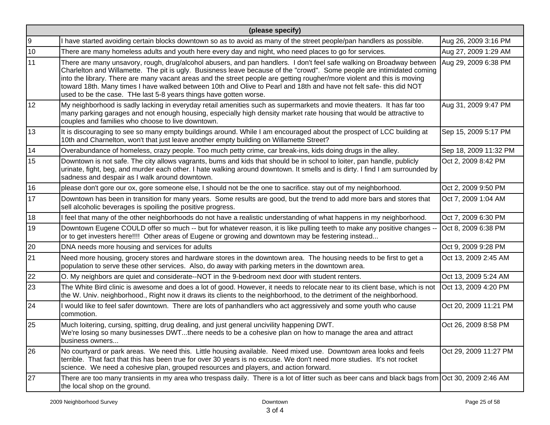|    | (please specify)                                                                                                                                                                                                                                                                                                                                                                                                                                                                                                                                                       |                       |  |  |  |  |  |
|----|------------------------------------------------------------------------------------------------------------------------------------------------------------------------------------------------------------------------------------------------------------------------------------------------------------------------------------------------------------------------------------------------------------------------------------------------------------------------------------------------------------------------------------------------------------------------|-----------------------|--|--|--|--|--|
| 9  | have started avoiding certain blocks downtown so as to avoid as many of the street people/pan handlers as possible.                                                                                                                                                                                                                                                                                                                                                                                                                                                    | Aug 26, 2009 3:16 PM  |  |  |  |  |  |
| 10 | There are many homeless adults and youth here every day and night, who need places to go for services.                                                                                                                                                                                                                                                                                                                                                                                                                                                                 | Aug 27, 2009 1:29 AM  |  |  |  |  |  |
| 11 | There are many unsavory, rough, drug/alcohol abusers, and pan handlers. I don't feel safe walking on Broadway between<br>Charlelton and Willamette. The pit is ugly. Busisness leave because of the "crowd". Some people are intimidated coming<br>into the library. There are many vacant areas and the street people are getting rougher/more violent and this is moving<br>toward 18th. Many times I have walked between 10th and Olive to Pearl and 18th and have not felt safe- this did NOT<br>used to be the case. THe last 5-8 years things have gotten worse. | Aug 29, 2009 6:38 PM  |  |  |  |  |  |
| 12 | My neighborhood is sadly lacking in everyday retail amenities such as supermarkets and movie theaters. It has far too<br>many parking garages and not enough housing, especially high density market rate housing that would be attractive to<br>couples and families who choose to live downtown.                                                                                                                                                                                                                                                                     | Aug 31, 2009 9:47 PM  |  |  |  |  |  |
| 13 | It is discouraging to see so many empty buildings around. While I am encouraged about the prospect of LCC building at<br>10th and Charnelton, won't that just leave another empty building on Willamette Street?                                                                                                                                                                                                                                                                                                                                                       | Sep 15, 2009 5:17 PM  |  |  |  |  |  |
| 14 | Overabundance of homeless, crazy people. Too much petty crime, car break-ins, kids doing drugs in the alley.                                                                                                                                                                                                                                                                                                                                                                                                                                                           | Sep 18, 2009 11:32 PM |  |  |  |  |  |
| 15 | Downtown is not safe. The city allows vagrants, bums and kids that should be in school to loiter, pan handle, publicly<br>urinate, fight, beg, and murder each other. I hate walking around downtown. It smells and is dirty. I find I am surrounded by<br>sadness and despair as I walk around downtown.                                                                                                                                                                                                                                                              | Oct 2, 2009 8:42 PM   |  |  |  |  |  |
| 16 | please don't gore our ox, gore someone else, I should not be the one to sacrifice. stay out of my neighborhood.                                                                                                                                                                                                                                                                                                                                                                                                                                                        | Oct 2, 2009 9:50 PM   |  |  |  |  |  |
| 17 | Downtown has been in transition for many years. Some results are good, but the trend to add more bars and stores that<br>sell alcoholic beverages is spoiling the positive progress.                                                                                                                                                                                                                                                                                                                                                                                   | Oct 7, 2009 1:04 AM   |  |  |  |  |  |
| 18 | I feel that many of the other neighborhoods do not have a realistic understanding of what happens in my neighborhood.                                                                                                                                                                                                                                                                                                                                                                                                                                                  | Oct 7, 2009 6:30 PM   |  |  |  |  |  |
| 19 | Downtown Eugene COULD offer so much -- but for whatever reason, it is like pulling teeth to make any positive changes --<br>or to get investers here!!!! Other areas of Eugene or growing and downtown may be festering instead                                                                                                                                                                                                                                                                                                                                        | Oct 8, 2009 6:38 PM   |  |  |  |  |  |
| 20 | DNA needs more housing and services for adults                                                                                                                                                                                                                                                                                                                                                                                                                                                                                                                         | Oct 9, 2009 9:28 PM   |  |  |  |  |  |
| 21 | Need more housing, grocery stores and hardware stores in the downtown area. The housing needs to be first to get a<br>population to serve these other services. Also, do away with parking meters in the downtown area.                                                                                                                                                                                                                                                                                                                                                | Oct 13, 2009 2:45 AM  |  |  |  |  |  |
| 22 | O. My neighbors are quiet and considerate--NOT in the 9-bedroom next door with student renters.                                                                                                                                                                                                                                                                                                                                                                                                                                                                        | Oct 13, 2009 5:24 AM  |  |  |  |  |  |
| 23 | The White Bird clinic is awesome and does a lot of good. However, it needs to relocate near to its client base, which is not<br>the W. Univ. neighborhood., Right now it draws its clients to the neighborhood, to the detriment of the neighborhood.                                                                                                                                                                                                                                                                                                                  | Oct 13, 2009 4:20 PM  |  |  |  |  |  |
| 24 | I would like to feel safer downtown. There are lots of panhandlers who act aggressively and some youth who cause<br>commotion.                                                                                                                                                                                                                                                                                                                                                                                                                                         | Oct 20, 2009 11:21 PM |  |  |  |  |  |
| 25 | Much loitering, cursing, spitting, drug dealing, and just general uncivility happening DWT.<br>We're losing so many businesses DWTthere needs to be a cohesive plan on how to manage the area and attract<br>business owners                                                                                                                                                                                                                                                                                                                                           | Oct 26, 2009 8:58 PM  |  |  |  |  |  |
| 26 | No courtyard or park areas. We need this. Little housing available. Need mixed use. Downtown area looks and feels<br>terrible. That fact that this has been true for over 30 years is no excuse. We don't need more studies. It's not rocket<br>science. We need a cohesive plan, grouped resources and players, and action forward.                                                                                                                                                                                                                                   | Oct 29, 2009 11:27 PM |  |  |  |  |  |
| 27 | There are too many transients in my area who trespass daily. There is a lot of litter such as beer cans and black bags from Oct 30, 2009 2:46 AM<br>the local shop on the ground.                                                                                                                                                                                                                                                                                                                                                                                      |                       |  |  |  |  |  |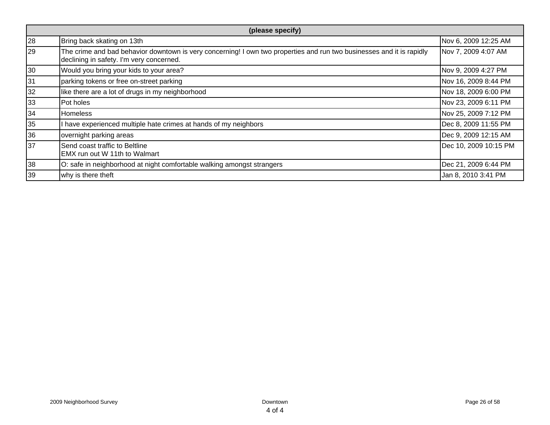|    | (please specify)                                                                                                                                                  |                       |  |  |  |
|----|-------------------------------------------------------------------------------------------------------------------------------------------------------------------|-----------------------|--|--|--|
| 28 | Bring back skating on 13th                                                                                                                                        | Nov 6, 2009 12:25 AM  |  |  |  |
| 29 | The crime and bad behavior downtown is very concerning! I own two properties and run two businesses and it is rapidly<br>declining in safety. I'm very concerned. | Nov 7, 2009 4:07 AM   |  |  |  |
| 30 | Would you bring your kids to your area?                                                                                                                           | Nov 9, 2009 4:27 PM   |  |  |  |
| 31 | parking tokens or free on-street parking                                                                                                                          | Nov 16, 2009 8:44 PM  |  |  |  |
| 32 | like there are a lot of drugs in my neighborhood                                                                                                                  | Nov 18, 2009 6:00 PM  |  |  |  |
| 33 | Pot holes                                                                                                                                                         | Nov 23, 2009 6:11 PM  |  |  |  |
| 34 | <b>Homeless</b>                                                                                                                                                   | Nov 25, 2009 7:12 PM  |  |  |  |
| 35 | I have experienced multiple hate crimes at hands of my neighbors                                                                                                  | Dec 8, 2009 11:55 PM  |  |  |  |
| 36 | overnight parking areas                                                                                                                                           | Dec 9, 2009 12:15 AM  |  |  |  |
| 37 | Send coast traffic to Beltline<br>EMX run out W 11th to Walmart                                                                                                   | Dec 10, 2009 10:15 PM |  |  |  |
| 38 | O: safe in neighborhood at night comfortable walking amongst strangers                                                                                            | Dec 21, 2009 6:44 PM  |  |  |  |
| 39 | why is there theft                                                                                                                                                | Jan 8, 2010 3:41 PM   |  |  |  |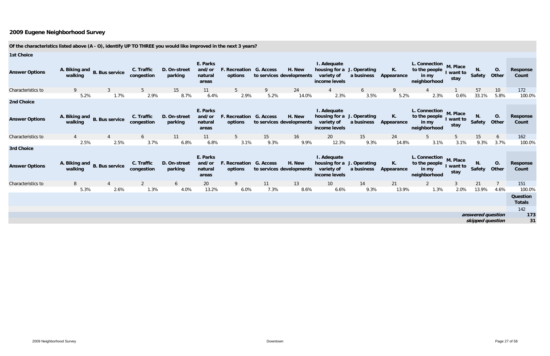| <b>1st Choice</b>                          |         |                              |                          |                         |                                        |                                           |      |                                    |                                                                          |                  |                  |                                                                  |                               |                   |                    |                           |
|--------------------------------------------|---------|------------------------------|--------------------------|-------------------------|----------------------------------------|-------------------------------------------|------|------------------------------------|--------------------------------------------------------------------------|------------------|------------------|------------------------------------------------------------------|-------------------------------|-------------------|--------------------|---------------------------|
| <b>Answer Options</b>                      | walking | A. Biking and B. Bus service | C. Traffic<br>congestion | D. On-street<br>parking | E. Parks<br>and/or<br>natural<br>areas | F. Recreation G. Access<br>options        |      | H. New<br>to services developments | I. Adequate<br>housing for a J. Operating<br>variety of<br>income levels | a business       | К.<br>Appearance | L. Connection M. Place<br>to the people<br>in my<br>neighborhood | I want to<br>stay             | N.<br>Safety      | <b>O.</b><br>Other | <b>Response</b><br>Count  |
| Characteristics to                         | 9       | 3                            | 5 <sup>5</sup>           | 15                      | 11                                     | 5 <sup>5</sup>                            | 9    | 24                                 |                                                                          | 6                | -9               |                                                                  |                               | 57                | 10                 | 172                       |
|                                            | 5.2%    | 1.7%                         | 2.9%                     | 8.7%                    | 6.4%                                   | 2.9%                                      | 5.2% | 14.0%                              | 2.3%                                                                     | 3.5%             | 5.2%             | 2.3%                                                             | 0.6%                          | 33.1%             | 5.8%               | 100.0%                    |
| <b>2nd Choice</b>                          |         |                              |                          |                         |                                        |                                           |      |                                    |                                                                          |                  |                  |                                                                  |                               |                   |                    |                           |
| <b>Answer Options</b>                      | walking | A. Biking and B. Bus service | C. Traffic<br>congestion | D. On-street<br>parking | E. Parks<br>and/or<br>natural<br>areas | <b>F. Recreation G. Access</b><br>options |      | H. New<br>to services developments | I. Adequate<br>housing for a J. Operating<br>variety of<br>income levels | a business       | К.<br>Appearance | L. Connection M. Place<br>to the people<br>in my<br>neighborhood | I want to<br>stay             | N.<br>Safety      | O.<br>Other        | <b>Response</b><br>Count  |
| Characteristics to                         |         |                              | 6                        | 11                      | 11                                     | 5 <sup>5</sup>                            | 15   | 16                                 | 20                                                                       | 15 <sup>15</sup> | 24               |                                                                  | 5                             | 15                | 6                  | 162                       |
|                                            | 2.5%    | 2.5%                         | 3.7%                     | 6.8%                    | 6.8%                                   | 3.1%                                      | 9.3% | 9.9%                               | 12.3%                                                                    | 9.3%             | 14.8%            | 3.1%                                                             | 3.1%                          | 9.3%              | 3.7%               | 100.0%                    |
| <b>3rd Choice</b><br><b>Answer Options</b> | walking | A. Biking and B. Bus service | C. Traffic<br>congestion | D. On-street<br>parking | E. Parks<br>and/or<br>natural<br>areas | F. Recreation G. Access<br>options        |      | H. New<br>to services developments | I. Adequate<br>housing for a J. Operating<br>variety of<br>income levels | a business       | К.<br>Appearance | L. Connection<br>to the people<br>in my<br>neighborhood          | M. Place<br>I want to<br>stay | N.<br>Safety      | O.<br>Other        | Response<br>Count         |
| Characteristics to                         | 8       |                              |                          | 6                       | 20                                     | 9                                         | 11   | 13                                 | 10 <sup>°</sup>                                                          | 14               | 21               | 2                                                                | 3                             | 21                |                    | 151                       |
|                                            | 5.3%    | 2.6%                         | 1.3%                     | 4.0%                    | 13.2%                                  | 6.0%                                      | 7.3% | 8.6%                               | 6.6%                                                                     | 9.3%             | 13.9%            | 1.3%                                                             | 2.0%                          | 13.9%             | 4.6%               | 100.0%                    |
|                                            |         |                              |                          |                         |                                        |                                           |      |                                    |                                                                          |                  |                  |                                                                  |                               |                   |                    | Question<br><b>Totals</b> |
|                                            |         |                              |                          |                         |                                        |                                           |      |                                    |                                                                          |                  |                  |                                                                  |                               |                   |                    | 142                       |
|                                            |         |                              |                          |                         |                                        |                                           |      |                                    |                                                                          |                  |                  |                                                                  |                               | answered question |                    | 173                       |
|                                            |         |                              |                          |                         |                                        |                                           |      |                                    |                                                                          |                  |                  |                                                                  |                               | skipped question  |                    | 31                        |

### **Of the characteristics listed above (A - O), identify UP TO THREE you would like improved in the next 3 years?**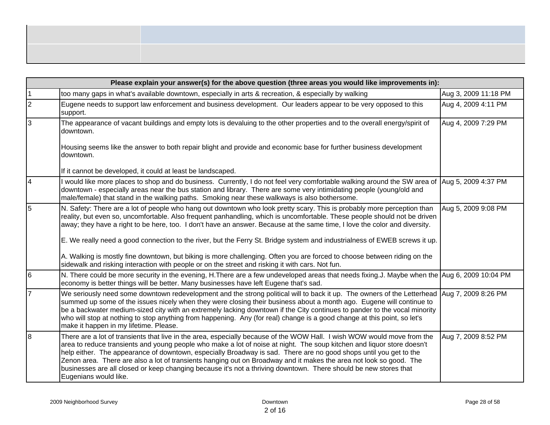|                | Please explain your answer(s) for the above question (three areas you would like improvements in):                                                                                                                                                                                                                                                                                                                                                                                                                                                                                                                                        |                      |
|----------------|-------------------------------------------------------------------------------------------------------------------------------------------------------------------------------------------------------------------------------------------------------------------------------------------------------------------------------------------------------------------------------------------------------------------------------------------------------------------------------------------------------------------------------------------------------------------------------------------------------------------------------------------|----------------------|
| $\mathbf{1}$   | too many gaps in what's available downtown, especially in arts & recreation, & especially by walking                                                                                                                                                                                                                                                                                                                                                                                                                                                                                                                                      | Aug 3, 2009 11:18 PM |
| $\overline{2}$ | Eugene needs to support law enforcement and business development. Our leaders appear to be very opposed to this<br>support.                                                                                                                                                                                                                                                                                                                                                                                                                                                                                                               | Aug 4, 2009 4:11 PM  |
| $\overline{3}$ | The appearance of vacant buildings and empty lots is devaluing to the other properties and to the overall energy/spirit of<br>downtown.                                                                                                                                                                                                                                                                                                                                                                                                                                                                                                   | Aug 4, 2009 7:29 PM  |
|                | Housing seems like the answer to both repair blight and provide and economic base for further business development<br>downtown.                                                                                                                                                                                                                                                                                                                                                                                                                                                                                                           |                      |
|                | If it cannot be developed, it could at least be landscaped.                                                                                                                                                                                                                                                                                                                                                                                                                                                                                                                                                                               |                      |
| $\overline{4}$ | would like more places to shop and do business. Currently, I do not feel very comfortable walking around the SW area of  Aug 5, 2009 4:37 PM<br>downtown - especially areas near the bus station and library. There are some very intimidating people (young/old and<br>male/female) that stand in the walking paths. Smoking near these walkways is also bothersome.                                                                                                                                                                                                                                                                     |                      |
| 5              | N. Safety: There are a lot of people who hang out downtown who look pretty scary. This is probably more perception than<br>reality, but even so, uncomfortable. Also frequent panhandling, which is uncomfortable. These people should not be driven<br>away; they have a right to be here, too. I don't have an answer. Because at the same time, I love the color and diversity.                                                                                                                                                                                                                                                        | Aug 5, 2009 9:08 PM  |
|                | E. We really need a good connection to the river, but the Ferry St. Bridge system and industrialness of EWEB screws it up.                                                                                                                                                                                                                                                                                                                                                                                                                                                                                                                |                      |
|                | A. Walking is mostly fine downtown, but biking is more challenging. Often you are forced to choose between riding on the<br>sidewalk and risking interaction with people or on the street and risking it with cars. Not fun.                                                                                                                                                                                                                                                                                                                                                                                                              |                      |
| 6              | N. There could be more security in the evening, H.There are a few undeveloped areas that needs fixing.J. Maybe when the Aug 6, 2009 10:04 PM<br>economy is better things will be better. Many businesses have left Eugene that's sad.                                                                                                                                                                                                                                                                                                                                                                                                     |                      |
| $\overline{7}$ | We seriously need some downtown redevelopment and the strong political will to back it up. The owners of the Letterhead  Aug 7, 2009 8:26 PM<br>summed up some of the issues nicely when they were closing their business about a month ago. Eugene will continue to<br>be a backwater medium-sized city with an extremely lacking downtown if the City continues to pander to the vocal minority<br>who will stop at nothing to stop anything from happening. Any (for real) change is a good change at this point, so let's<br>make it happen in my lifetime. Please.                                                                   |                      |
| $\overline{8}$ | There are a lot of transients that live in the area, especially because of the WOW Hall. I wish WOW would move from the<br>area to reduce transients and young people who make a lot of noise at night. The soup kitchen and liquor store doesn't<br>help either. The appearance of downtown, especially Broadway is sad. There are no good shops until you get to the<br>Zenon area. There are also a lot of transients hanging out on Broadway and it makes the area not look so good. The<br>businesses are all closed or keep changing because it's not a thriving downtown. There should be new stores that<br>Eugenians would like. | Aug 7, 2009 8:52 PM  |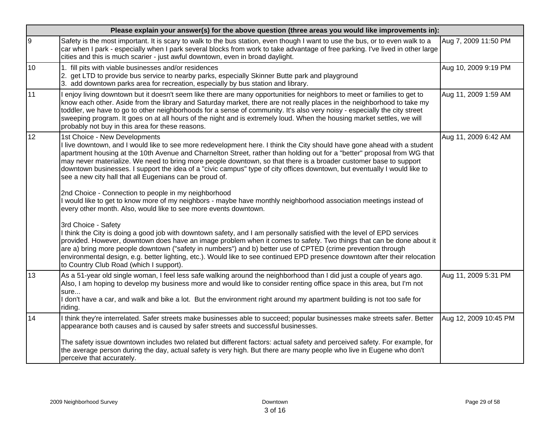|    | Please explain your answer(s) for the above question (three areas you would like improvements in):                                                                                                                                                                                                                                                                                                                                                                                                                                                                                                 |                       |  |  |  |  |  |
|----|----------------------------------------------------------------------------------------------------------------------------------------------------------------------------------------------------------------------------------------------------------------------------------------------------------------------------------------------------------------------------------------------------------------------------------------------------------------------------------------------------------------------------------------------------------------------------------------------------|-----------------------|--|--|--|--|--|
| l9 | Safety is the most important. It is scary to walk to the bus station, even though I want to use the bus, or to even walk to a<br>car when I park - especially when I park several blocks from work to take advantage of free parking. I've lived in other large<br>cities and this is much scarier - just awful downtown, even in broad daylight.                                                                                                                                                                                                                                                  | Aug 7, 2009 11:50 PM  |  |  |  |  |  |
| 10 | 1. fill pits with viable businesses and/or residences<br>2. get LTD to provide bus service to nearby parks, especially Skinner Butte park and playground<br>3. add downtown parks area for recreation, especially by bus station and library.                                                                                                                                                                                                                                                                                                                                                      | Aug 10, 2009 9:19 PM  |  |  |  |  |  |
| 11 | I enjoy living downtown but it doesn't seem like there are many opportunities for neighbors to meet or families to get to<br>know each other. Aside from the library and Saturday market, there are not really places in the neighborhood to take my<br>toddler, we have to go to other neighborhoods for a sense of community. It's also very noisy - especially the city street<br>sweeping program. It goes on at all hours of the night and is extremely loud. When the housing market settles, we will<br>probably not buy in this area for these reasons.                                    | Aug 11, 2009 1:59 AM  |  |  |  |  |  |
| 12 | 1st Choice - New Developments<br>I live downtown, and I would like to see more redevelopment here. I think the City should have gone ahead with a student<br>apartment housing at the 10th Avenue and Charnelton Street, rather than holding out for a "better" proposal from WG that<br>may never materialize. We need to bring more people downtown, so that there is a broader customer base to support<br>downtown businesses. I support the idea of a "civic campus" type of city offices downtown, but eventually I would like to<br>see a new city hall that all Eugenians can be proud of. | Aug 11, 2009 6:42 AM  |  |  |  |  |  |
|    | 2nd Choice - Connection to people in my neighborhood<br>I would like to get to know more of my neighbors - maybe have monthly neighborhood association meetings instead of<br>every other month. Also, would like to see more events downtown.                                                                                                                                                                                                                                                                                                                                                     |                       |  |  |  |  |  |
|    | 3rd Choice - Safety<br>I think the City is doing a good job with downtown safety, and I am personally satisfied with the level of EPD services<br>provided. However, downtown does have an image problem when it comes to safety. Two things that can be done about it<br>are a) bring more people downtown ("safety in numbers") and b) better use of CPTED (crime prevention through<br>environmental design, e.g. better lighting, etc.). Would like to see continued EPD presence downtown after their relocation<br>to Country Club Road (which I support).                                   |                       |  |  |  |  |  |
| 13 | As a 51-year old single woman, I feel less safe walking around the neighborhood than I did just a couple of years ago.<br>Also, I am hoping to develop my business more and would like to consider renting office space in this area, but I'm not<br>sure<br>I don't have a car, and walk and bike a lot. But the environment right around my apartment building is not too safe for<br>riding.                                                                                                                                                                                                    | Aug 11, 2009 5:31 PM  |  |  |  |  |  |
| 14 | I think they're interrelated. Safer streets make businesses able to succeed; popular businesses make streets safer. Better<br>appearance both causes and is caused by safer streets and successful businesses.                                                                                                                                                                                                                                                                                                                                                                                     | Aug 12, 2009 10:45 PM |  |  |  |  |  |
|    | The safety issue downtown includes two related but different factors: actual safety and perceived safety. For example, for<br>the average person during the day, actual safety is very high. But there are many people who live in Eugene who don't<br>perceive that accurately.                                                                                                                                                                                                                                                                                                                   |                       |  |  |  |  |  |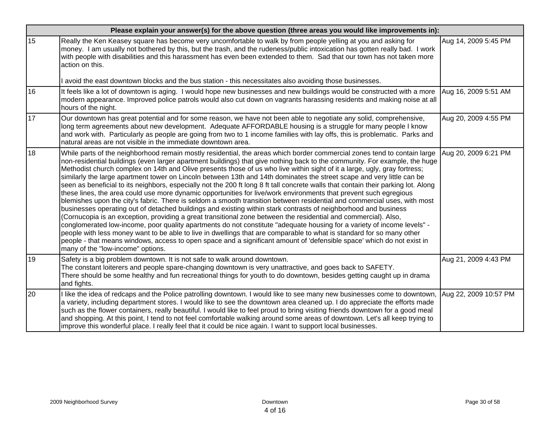|    | Please explain your answer(s) for the above question (three areas you would like improvements in):                                                                                                                                                                                                                                                                                                                                                                                                                                                                                                                                                                                                                                                                                                                                                                                                                                                                                                                                                                                                                                                                                                                                                                                                                                                                                                                                                                                                                                                            |                      |
|----|---------------------------------------------------------------------------------------------------------------------------------------------------------------------------------------------------------------------------------------------------------------------------------------------------------------------------------------------------------------------------------------------------------------------------------------------------------------------------------------------------------------------------------------------------------------------------------------------------------------------------------------------------------------------------------------------------------------------------------------------------------------------------------------------------------------------------------------------------------------------------------------------------------------------------------------------------------------------------------------------------------------------------------------------------------------------------------------------------------------------------------------------------------------------------------------------------------------------------------------------------------------------------------------------------------------------------------------------------------------------------------------------------------------------------------------------------------------------------------------------------------------------------------------------------------------|----------------------|
| 15 | Really the Ken Keasey square has become very uncomfortable to walk by from people yelling at you and asking for<br>money. I am usually not bothered by this, but the trash, and the rudeness/public intoxication has gotten really bad. I work<br>with people with disabilities and this harassment has even been extended to them. Sad that our town has not taken more<br>action on this.                                                                                                                                                                                                                                                                                                                                                                                                                                                                                                                                                                                                                                                                                                                                                                                                                                                                                                                                                                                                                                                                                                                                                                   | Aug 14, 2009 5:45 PM |
|    | l avoid the east downtown blocks and the bus station - this necessitates also avoiding those businesses.                                                                                                                                                                                                                                                                                                                                                                                                                                                                                                                                                                                                                                                                                                                                                                                                                                                                                                                                                                                                                                                                                                                                                                                                                                                                                                                                                                                                                                                      |                      |
| 16 | It feels like a lot of downtown is aging. I would hope new businesses and new buildings would be constructed with a more<br>modern appearance. Improved police patrols would also cut down on vagrants harassing residents and making noise at all<br>hours of the night.                                                                                                                                                                                                                                                                                                                                                                                                                                                                                                                                                                                                                                                                                                                                                                                                                                                                                                                                                                                                                                                                                                                                                                                                                                                                                     | Aug 16, 2009 5:51 AM |
| 17 | Our downtown has great potential and for some reason, we have not been able to negotiate any solid, comprehensive,<br>long term agreements about new development. Adequate AFFORDABLE housing is a struggle for many people I know<br>and work with. Particularly as people are going from two to 1 income families with lay offs, this is problematic. Parks and<br>natural areas are not visible in the immediate downtown area.                                                                                                                                                                                                                                                                                                                                                                                                                                                                                                                                                                                                                                                                                                                                                                                                                                                                                                                                                                                                                                                                                                                            | Aug 20, 2009 4:55 PM |
| 18 | While parts of the neighborhood remain mostly residential, the areas which border commercial zones tend to contain large<br>non-residential buildings (even larger apartment buildings) that give nothing back to the community. For example, the huge<br>Methodist church complex on 14th and Olive presents those of us who live within sight of it a large, ugly, gray fortress;<br>similarly the large apartment tower on Lincoln between 13th and 14th dominates the street scape and very little can be<br>seen as beneficial to its neighbors, especially not the 200 ft long 8 ft tall concrete walls that contain their parking lot. Along<br>these lines, the area could use more dynamic opportunities for live/work environments that prevent such egregious<br>blemishes upon the city's fabric. There is seldom a smooth transition between residential and commercial uses, with most<br>businesses operating out of detached buildings and existing within stark contrasts of neighborhood and business<br>(Cornucopia is an exception, providing a great transitional zone between the residential and commercial). Also,<br>conglomerated low-income, poor quality apartments do not constitute "adequate housing for a variety of income levels" -<br>people with less money want to be able to live in dwellings that are comparable to what is standard for so many other<br>people - that means windows, access to open space and a significant amount of 'defensible space' which do not exist in<br>many of the "low-income" options. | Aug 20, 2009 6:21 PM |
| 19 | Safety is a big problem downtown. It is not safe to walk around downtown.<br>The constant loiterers and people spare-changing downtown is very unattractive, and goes back to SAFETY.<br>There should be some healthy and fun recreational things for youth to do downtown, besides getting caught up in drama<br>and fights.                                                                                                                                                                                                                                                                                                                                                                                                                                                                                                                                                                                                                                                                                                                                                                                                                                                                                                                                                                                                                                                                                                                                                                                                                                 | Aug 21, 2009 4:43 PM |
| 20 | I like the idea of redcaps and the Police patrolling downtown. I would like to see many new businesses come to downtown, Aug 22, 2009 10:57 PM<br>a variety, including department stores. I would like to see the downtown area cleaned up. I do appreciate the efforts made<br>such as the flower containers, really beautiful. I would like to feel proud to bring visiting friends downtown for a good meal<br>and shopping. At this point, I tend to not feel comfortable walking around some areas of downtown. Let's all keep trying to<br>improve this wonderful place. I really feel that it could be nice again. I want to support local businesses.                                                                                                                                                                                                                                                                                                                                                                                                                                                                                                                                                                                                                                                                                                                                                                                                                                                                                                 |                      |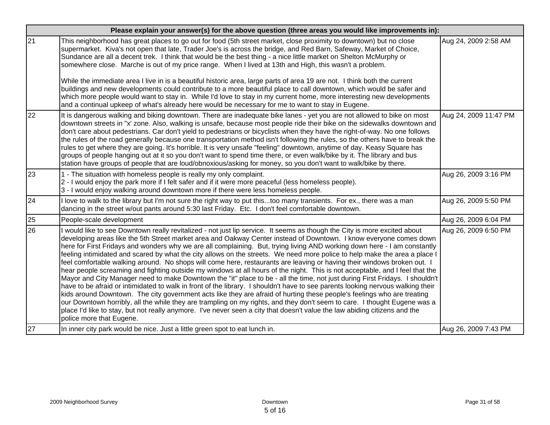|    | Please explain your answer(s) for the above question (three areas you would like improvements in):                                                                                                                                                                                                                                                                                                                                                                                                                                                                                                                                                                                                                                                                                                                                                                                                                                                                                                                                                                                                                                                                                                                                                                                                                                                                                                                                                         |                       |  |  |  |  |
|----|------------------------------------------------------------------------------------------------------------------------------------------------------------------------------------------------------------------------------------------------------------------------------------------------------------------------------------------------------------------------------------------------------------------------------------------------------------------------------------------------------------------------------------------------------------------------------------------------------------------------------------------------------------------------------------------------------------------------------------------------------------------------------------------------------------------------------------------------------------------------------------------------------------------------------------------------------------------------------------------------------------------------------------------------------------------------------------------------------------------------------------------------------------------------------------------------------------------------------------------------------------------------------------------------------------------------------------------------------------------------------------------------------------------------------------------------------------|-----------------------|--|--|--|--|
| 21 | This neighborhood has great places to go out for food (5th street market, close proximity to downtown) but no close<br>supermarket. Kiva's not open that late, Trader Joe's is across the bridge, and Red Barn, Safeway, Market of Choice,<br>Sundance are all a decent trek. I think that would be the best thing - a nice little market on Shelton McMurphy or<br>somewhere close. Marche is out of my price range. When I lived at 13th and High, this wasn't a problem.<br>While the immediate area I live in is a beautiful historic area, large parts of area 19 are not. I think both the current<br>buildings and new developments could contribute to a more beautiful place to call downtown, which would be safer and<br>which more people would want to stay in. While I'd love to stay in my current home, more interesting new developments<br>and a continual upkeep of what's already here would be necessary for me to want to stay in Eugene.                                                                                                                                                                                                                                                                                                                                                                                                                                                                                            | Aug 24, 2009 2:58 AM  |  |  |  |  |
| 22 | It is dangerous walking and biking downtown. There are inadequate bike lanes - yet you are not allowed to bike on most<br>downtown streets in "x' zone. Also, walking is unsafe, because most people ride their bike on the sidewalks downtown and<br>don't care about pedestrians. Car don't yield to pedestrians or bicyclists when they have the right-of-way. No one follows<br>the rules of the road generally because one transportation method isn't following the rules, so the others have to break the<br>rules to get where they are going. It's horrible. It is very unsafe "feeling" downtown, anytime of day. Keasy Square has<br>groups of people hanging out at it so you don't want to spend time there, or even walk/bike by it. The library and bus<br>station have groups of people that are loud/obnoxious/asking for money, so you don't want to walk/bike by there.                                                                                                                                                                                                                                                                                                                                                                                                                                                                                                                                                                 | Aug 24, 2009 11:47 PM |  |  |  |  |
| 23 | 1 - The situation with homeless people is really my only complaint.<br>2 - I would enjoy the park more if I felt safer and if it were more peaceful (less homeless people).<br>3 - I would enjoy walking around downtown more if there were less homeless people.                                                                                                                                                                                                                                                                                                                                                                                                                                                                                                                                                                                                                                                                                                                                                                                                                                                                                                                                                                                                                                                                                                                                                                                          | Aug 26, 2009 3:16 PM  |  |  |  |  |
| 24 | I love to walk to the library but I'm not sure the right way to put thistoo many transients. For ex., there was a man<br>dancing in the street w/out pants around 5:30 last Friday. Etc. I don't feel comfortable downtown.                                                                                                                                                                                                                                                                                                                                                                                                                                                                                                                                                                                                                                                                                                                                                                                                                                                                                                                                                                                                                                                                                                                                                                                                                                | Aug 26, 2009 5:50 PM  |  |  |  |  |
| 25 | People-scale development                                                                                                                                                                                                                                                                                                                                                                                                                                                                                                                                                                                                                                                                                                                                                                                                                                                                                                                                                                                                                                                                                                                                                                                                                                                                                                                                                                                                                                   | Aug 26, 2009 6:04 PM  |  |  |  |  |
| 26 | I would like to see Downtown really revitalized - not just lip service. It seems as though the City is more excited about<br>developing areas like the 5th Street market area and Oakway Center instead of Downtown. I know everyone comes down<br>here for First Fridays and wonders why we are all complaining. But, trying living AND working down here - I am constantly<br>feeling intimidated and scared by what the city allows on the streets. We need more police to help make the area a place I<br>feel comfortable walking around. No shops will come here, restaurants are leaving or having their windows broken out. I<br>hear people screaming and fighting outside my windows at all hours of the night. This is not acceptable, and I feel that the<br>Mayor and City Manager need to make Downtown the "it" place to be - all the time, not just during First Fridays. I shouldn't<br>have to be afraid or intimidated to walk in front of the library. I shouldn't have to see parents looking nervous walking their<br>kids around Downtown. The city government acts like they are afraid of hurting these people's feelings who are treating<br>our Downtown horribly, all the while they are trampling on my rights, and they don't seem to care. I thought Eugene was a<br>place I'd like to stay, but not really anymore. I've never seen a city that doesn't value the law abiding citizens and the<br>police more that Eugene. | Aug 26, 2009 6:50 PM  |  |  |  |  |
| 27 | In inner city park would be nice. Just a little green spot to eat lunch in.                                                                                                                                                                                                                                                                                                                                                                                                                                                                                                                                                                                                                                                                                                                                                                                                                                                                                                                                                                                                                                                                                                                                                                                                                                                                                                                                                                                | Aug 26, 2009 7:43 PM  |  |  |  |  |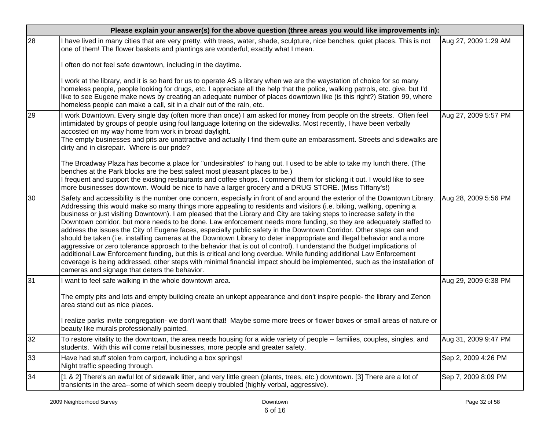|    | Please explain your answer(s) for the above question (three areas you would like improvements in):                                                                                                                                                                                                                                                                                                                                                                                                                                                                                                                                                                                                                                                                                                                                                                                                                                                                                                                                                                                                                                                                                   |                      |
|----|--------------------------------------------------------------------------------------------------------------------------------------------------------------------------------------------------------------------------------------------------------------------------------------------------------------------------------------------------------------------------------------------------------------------------------------------------------------------------------------------------------------------------------------------------------------------------------------------------------------------------------------------------------------------------------------------------------------------------------------------------------------------------------------------------------------------------------------------------------------------------------------------------------------------------------------------------------------------------------------------------------------------------------------------------------------------------------------------------------------------------------------------------------------------------------------|----------------------|
| 28 | I have lived in many cities that are very pretty, with trees, water, shade, sculpture, nice benches, quiet places. This is not<br>one of them! The flower baskets and plantings are wonderful; exactly what I mean.                                                                                                                                                                                                                                                                                                                                                                                                                                                                                                                                                                                                                                                                                                                                                                                                                                                                                                                                                                  | Aug 27, 2009 1:29 AM |
|    | often do not feel safe downtown, including in the daytime.                                                                                                                                                                                                                                                                                                                                                                                                                                                                                                                                                                                                                                                                                                                                                                                                                                                                                                                                                                                                                                                                                                                           |                      |
|    | l work at the library, and it is so hard for us to operate AS a library when we are the waystation of choice for so many<br>homeless people, people looking for drugs, etc. I appreciate all the help that the police, walking patrols, etc. give, but I'd<br>like to see Eugene make news by creating an adequate number of places downtown like (is this right?) Station 99, where<br>homeless people can make a call, sit in a chair out of the rain, etc.                                                                                                                                                                                                                                                                                                                                                                                                                                                                                                                                                                                                                                                                                                                        |                      |
| 29 | I work Downtown. Every single day (often more than once) I am asked for money from people on the streets. Often feel<br>intimidated by groups of people using foul language loitering on the sidewalks. Most recently, I have been verbally<br>accosted on my way home from work in broad daylight.<br>The empty businesses and pits are unattractive and actually I find them quite an embarassment. Streets and sidewalks are<br>dirty and in disrepair. Where is our pride?                                                                                                                                                                                                                                                                                                                                                                                                                                                                                                                                                                                                                                                                                                       | Aug 27, 2009 5:57 PM |
|    | The Broadway Plaza has become a place for "undesirables" to hang out. I used to be able to take my lunch there. (The<br>benches at the Park blocks are the best safest most pleasant places to be.)<br>I frequent and support the existing restaurants and coffee shops. I commend them for sticking it out. I would like to see<br>more businesses downtown. Would be nice to have a larger grocery and a DRUG STORE. (Miss Tiffany's!)                                                                                                                                                                                                                                                                                                                                                                                                                                                                                                                                                                                                                                                                                                                                             |                      |
| 30 | Safety and accessibility is the number one concern, especially in front of and around the exterior of the Downtown Library.<br>Addressing this would make so many things more appealing to residents and visitors (i.e. biking, walking, opening a<br>business or just visiting Downtown). I am pleased that the Library and City are taking steps to increase safety in the<br>Downtown corridor, but more needs to be done. Law enforcement needs more funding, so they are adequately staffed to<br>address the issues the City of Eugene faces, especially public safety in the Downtown Corridor. Other steps can and<br>should be taken (i.e. installing cameras at the Downtown Library to deter inappropriate and illegal behavior and a more<br>aggressive or zero tolerance approach to the behavior that is out of control). I understand the Budget implications of<br>additional Law Enforcement funding, but this is critical and long overdue. While funding additional Law Enforcement<br>coverage is being addressed, other steps with minimal financial impact should be implemented, such as the installation of<br>cameras and signage that deters the behavior. | Aug 28, 2009 5:56 PM |
| 31 | want to feel safe walking in the whole downtown area.<br>The empty pits and lots and empty building create an unkept appearance and don't inspire people- the library and Zenon<br>area stand out as nice places.                                                                                                                                                                                                                                                                                                                                                                                                                                                                                                                                                                                                                                                                                                                                                                                                                                                                                                                                                                    | Aug 29, 2009 6:38 PM |
|    | I realize parks invite congregation- we don't want that! Maybe some more trees or flower boxes or small areas of nature or<br>beauty like murals professionally painted.                                                                                                                                                                                                                                                                                                                                                                                                                                                                                                                                                                                                                                                                                                                                                                                                                                                                                                                                                                                                             |                      |
| 32 | To restore vitality to the downtown, the area needs housing for a wide variety of people -- families, couples, singles, and<br>students. With this will come retail businesses, more people and greater safety.                                                                                                                                                                                                                                                                                                                                                                                                                                                                                                                                                                                                                                                                                                                                                                                                                                                                                                                                                                      | Aug 31, 2009 9:47 PM |
| 33 | Have had stuff stolen from carport, including a box springs!<br>Night traffic speeding through.                                                                                                                                                                                                                                                                                                                                                                                                                                                                                                                                                                                                                                                                                                                                                                                                                                                                                                                                                                                                                                                                                      | Sep 2, 2009 4:26 PM  |
| 34 | [1 & 2] There's an awful lot of sidewalk litter, and very little green (plants, trees, etc.) downtown. [3] There are a lot of<br>transients in the area--some of which seem deeply troubled (highly verbal, aggressive).                                                                                                                                                                                                                                                                                                                                                                                                                                                                                                                                                                                                                                                                                                                                                                                                                                                                                                                                                             | Sep 7, 2009 8:09 PM  |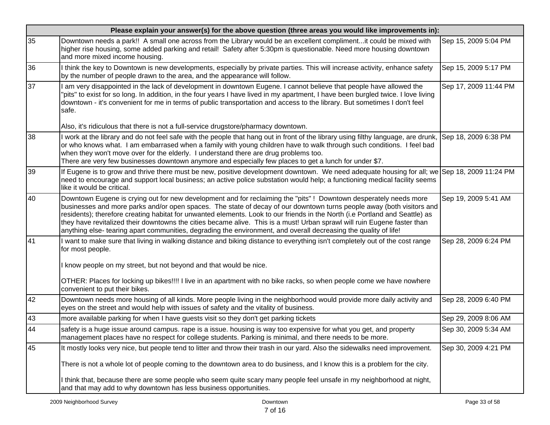|    | Please explain your answer(s) for the above question (three areas you would like improvements in):                                                                                                                                                                                                                                                                                                                                                                                                                                                                                                                         |                       |
|----|----------------------------------------------------------------------------------------------------------------------------------------------------------------------------------------------------------------------------------------------------------------------------------------------------------------------------------------------------------------------------------------------------------------------------------------------------------------------------------------------------------------------------------------------------------------------------------------------------------------------------|-----------------------|
| 35 | Downtown needs a park!! A small one across from the Library would be an excellent complimentit could be mixed with<br>higher rise housing, some added parking and retail! Safety after 5:30pm is questionable. Need more housing downtown<br>and more mixed income housing.                                                                                                                                                                                                                                                                                                                                                | Sep 15, 2009 5:04 PM  |
| 36 | think the key to Downtown is new developments, especially by private parties. This will increase activity, enhance safety<br>by the number of people drawn to the area, and the appearance will follow.                                                                                                                                                                                                                                                                                                                                                                                                                    | Sep 15, 2009 5:17 PM  |
| 37 | am very disappointed in the lack of development in downtown Eugene. I cannot believe that people have allowed the<br>pits" to exist for so long. In addition, in the four years I have lived in my apartment, I have been burgled twice. I love living<br>downtown - it's convenient for me in terms of public transportation and access to the library. But sometimes I don't feel<br>safe.                                                                                                                                                                                                                               | Sep 17, 2009 11:44 PM |
|    | Also, it's ridiculous that there is not a full-service drugstore/pharmacy downtown.                                                                                                                                                                                                                                                                                                                                                                                                                                                                                                                                        |                       |
| 38 | work at the library and do not feel safe with the people that hang out in front of the library using filthy language, are drunk, Sep 18, 2009 6:38 PM<br>or who knows what. I am embarrased when a family with young children have to walk through such conditions. I feel bad<br>when they won't move over for the elderly. I understand there are drug problems too.<br>There are very few businesses downtown anymore and especially few places to get a lunch for under \$7.                                                                                                                                           |                       |
| 39 | If Eugene is to grow and thrive there must be new, positive development downtown. We need adequate housing for all; we Sep 18, 2009 11:24 PM<br>need to encourage and support local business; an active police substation would help; a functioning medical facility seems<br>like it would be critical.                                                                                                                                                                                                                                                                                                                   |                       |
| 40 | Downtown Eugene is crying out for new development and for reclaiming the "pits" ! Downtown desperately needs more<br>businesses and more parks and/or open spaces. The state of decay of our downtown turns people away (both visitors and<br>residents); therefore creating habitat for unwanted elements. Look to our friends in the North (i.e Portland and Seattle) as<br>they have revitalized their downtowns the cities became alive. This is a must! Urban sprawl will ruin Eugene faster than<br>anything else- tearing apart communities, degrading the environment, and overall decreasing the quality of life! | Sep 19, 2009 5:41 AM  |
| 41 | I want to make sure that living in walking distance and biking distance to everything isn't completely out of the cost range<br>for most people.                                                                                                                                                                                                                                                                                                                                                                                                                                                                           | Sep 28, 2009 6:24 PM  |
|    | I know people on my street, but not beyond and that would be nice.                                                                                                                                                                                                                                                                                                                                                                                                                                                                                                                                                         |                       |
|    | OTHER: Places for locking up bikes!!!! I live in an apartment with no bike racks, so when people come we have nowhere<br>convenient to put their bikes.                                                                                                                                                                                                                                                                                                                                                                                                                                                                    |                       |
| 42 | Downtown needs more housing of all kinds. More people living in the neighborhood would provide more daily activity and<br>eyes on the street and would help with issues of safety and the vitality of business.                                                                                                                                                                                                                                                                                                                                                                                                            | Sep 28, 2009 6:40 PM  |
| 43 | more available parking for when I have guests visit so they don't get parking tickets                                                                                                                                                                                                                                                                                                                                                                                                                                                                                                                                      | Sep 29, 2009 8:06 AM  |
| 44 | safety is a huge issue around campus. rape is a issue. housing is way too expensive for what you get, and property<br>management places have no respect for college students. Parking is minimal, and there needs to be more.                                                                                                                                                                                                                                                                                                                                                                                              | Sep 30, 2009 5:34 AM  |
| 45 | It mostly looks very nice, but people tend to litter and throw their trash in our yard. Also the sidewalks need improvement.                                                                                                                                                                                                                                                                                                                                                                                                                                                                                               | Sep 30, 2009 4:21 PM  |
|    | There is not a whole lot of people coming to the downtown area to do business, and I know this is a problem for the city.                                                                                                                                                                                                                                                                                                                                                                                                                                                                                                  |                       |
|    | I think that, because there are some people who seem quite scary many people feel unsafe in my neighborhood at night,<br>and that may add to why downtown has less business opportunities.                                                                                                                                                                                                                                                                                                                                                                                                                                 |                       |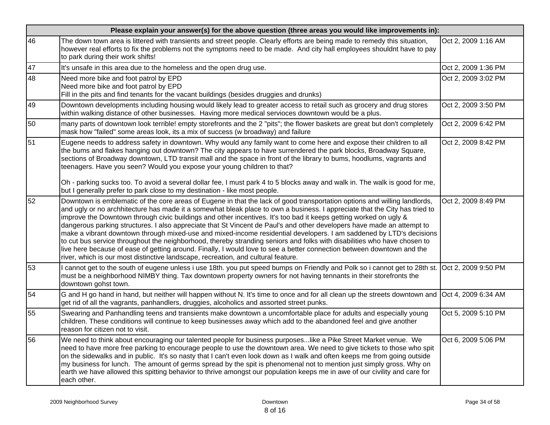|                 | Please explain your answer(s) for the above question (three areas you would like improvements in):                                                                                                                                                                                                                                                                                                                                                                                                                                                                                                                                                                                                                                                                                                                                                                                                                                                                       |                     |  |  |  |  |  |
|-----------------|--------------------------------------------------------------------------------------------------------------------------------------------------------------------------------------------------------------------------------------------------------------------------------------------------------------------------------------------------------------------------------------------------------------------------------------------------------------------------------------------------------------------------------------------------------------------------------------------------------------------------------------------------------------------------------------------------------------------------------------------------------------------------------------------------------------------------------------------------------------------------------------------------------------------------------------------------------------------------|---------------------|--|--|--|--|--|
| 46              | The down town area is littered with transients and street people. Clearly efforts are being made to remedy this situation,<br>however real efforts to fix the problems not the symptoms need to be made. And city hall employees shouldnt have to pay<br>to park during their work shifts!                                                                                                                                                                                                                                                                                                                                                                                                                                                                                                                                                                                                                                                                               | Oct 2, 2009 1:16 AM |  |  |  |  |  |
| 47              | It's unsafe in this area due to the homeless and the open drug use.                                                                                                                                                                                                                                                                                                                                                                                                                                                                                                                                                                                                                                                                                                                                                                                                                                                                                                      | Oct 2, 2009 1:36 PM |  |  |  |  |  |
| $\overline{48}$ | Need more bike and foot patrol by EPD<br>Need more bike and foot patrol by EPD<br>Fill in the pits and find tenants for the vacant buildings (besides druggies and drunks)                                                                                                                                                                                                                                                                                                                                                                                                                                                                                                                                                                                                                                                                                                                                                                                               | Oct 2, 2009 3:02 PM |  |  |  |  |  |
| 49              | Downtown developments including housing would likely lead to greater access to retail such as grocery and drug stores<br>within walking distance of other businesses. Having more medical servioces downtown would be a plus.                                                                                                                                                                                                                                                                                                                                                                                                                                                                                                                                                                                                                                                                                                                                            | Oct 2, 2009 3:50 PM |  |  |  |  |  |
| 50              | many parts of downtown look terrible! empty storefronts and the 2 "pits"; the flower baskets are great but don't completely<br>mask how "failed" some areas look, its a mix of success (w broadway) and failure                                                                                                                                                                                                                                                                                                                                                                                                                                                                                                                                                                                                                                                                                                                                                          | Oct 2, 2009 6:42 PM |  |  |  |  |  |
| 51              | Eugene needs to address safety in downtown. Why would any family want to come here and expose their children to all<br>the bums and flakes hanging out downtown? The city appears to have surrendered the park blocks, Broadway Square,<br>sections of Broadway downtown, LTD transit mall and the space in front of the library to bums, hoodlums, vagrants and<br>teenagers. Have you seen? Would you expose your young children to that?<br>Oh - parking sucks too. To avoid a several dollar fee, I must park 4 to 5 blocks away and walk in. The walk is good for me,                                                                                                                                                                                                                                                                                                                                                                                               | Oct 2, 2009 8:42 PM |  |  |  |  |  |
|                 | but I generally prefer to park close to my destination - like most people.                                                                                                                                                                                                                                                                                                                                                                                                                                                                                                                                                                                                                                                                                                                                                                                                                                                                                               |                     |  |  |  |  |  |
| 52              | Downtown is emblematic of the core areas of Eugene in that the lack of good transportation options and willing landlords,<br>and ugly or no archhitecture has made it a somewhat bleak place to own a business. I appreciate that the City has tried to<br>improve the Downtown through civic buildings and other incentives. It's too bad it keeps getting worked on ugly &<br>dangerous parking structures. I also appreciate that St Vincent de Paul's and other developers have made an attempt to<br>make a vibrant downtown through mixed-use and mixed-income residential developers. I am saddened by LTD's decisions<br>to cut bus service throughout the neighborhood, thereby stranding seniors and folks with disabilities who have chosen to<br>live here because of ease of getting around. Finally, I would love to see a better connection between downtown and the<br>river, which is our most distinctive landscape, recreation, and cultural feature. | Oct 2, 2009 8:49 PM |  |  |  |  |  |
| 53              | cannot get to the south of eugene unless i use 18th. you put speed bumps on Friendly and Polk so i cannot get to 28th st. Oct 2, 2009 9:50 PM<br>must be a neighborhood NIMBY thing. Tax downtown property owners for not having tennants in their storefronts the<br>downtown gohst town.                                                                                                                                                                                                                                                                                                                                                                                                                                                                                                                                                                                                                                                                               |                     |  |  |  |  |  |
| 54              | G and H go hand in hand, but neither will happen without N. It's time to once and for all clean up the streets downtown and Oct 4, 2009 6:34 AM<br>get rid of all the vagrants, panhandlers, druggies, alcoholics and assorted street punks.                                                                                                                                                                                                                                                                                                                                                                                                                                                                                                                                                                                                                                                                                                                             |                     |  |  |  |  |  |
| 55              | Swearing and Panhandling teens and transients make downtown a uncomfortable place for adults and especially young<br>children. These conditions will continue to keep businesses away which add to the abandoned feel and give another<br>reason for citizen not to visit.                                                                                                                                                                                                                                                                                                                                                                                                                                                                                                                                                                                                                                                                                               | Oct 5, 2009 5:10 PM |  |  |  |  |  |
| 56              | We need to think about encouraging our talented people for business purposeslike a Pike Street Market venue. We<br>need to have more free parking to encourage people to use the downtown area. We need to give tickets to those who spit<br>on the sidewalks and in public. It's so nasty that I can't even look down as I walk and often keeps me from going outside<br>my business for lunch. The amount of germs spread by the spit is phenomenal not to mention just simply gross. Why on<br>earth we have allowed this spitting behavior to thrive amongst our population keeps me in awe of our civility and care for<br>each other.                                                                                                                                                                                                                                                                                                                              | Oct 6, 2009 5:06 PM |  |  |  |  |  |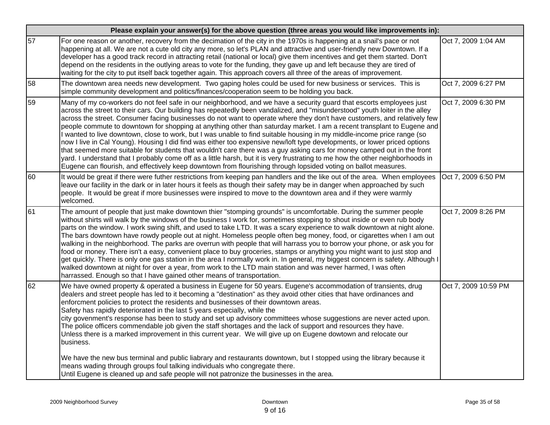|    | Please explain your answer(s) for the above question (three areas you would like improvements in):                                                                                                                                                                                                                                                                                                                                                                                                                                                                                                                                                                                                                                                                                                                                                                                                                                                                                                                                                                                                                                                |                      |
|----|---------------------------------------------------------------------------------------------------------------------------------------------------------------------------------------------------------------------------------------------------------------------------------------------------------------------------------------------------------------------------------------------------------------------------------------------------------------------------------------------------------------------------------------------------------------------------------------------------------------------------------------------------------------------------------------------------------------------------------------------------------------------------------------------------------------------------------------------------------------------------------------------------------------------------------------------------------------------------------------------------------------------------------------------------------------------------------------------------------------------------------------------------|----------------------|
| 57 | For one reason or another, recovery from the decimation of the city in the 1970s is happening at a snail's pace or not<br>happening at all. We are not a cute old city any more, so let's PLAN and attractive and user-friendly new Downtown. If a<br>developer has a good track record in attracting retail (national or local) give them incentives and get them started. Don't<br>depend on the residents in the outlying areas to vote for the funding, they gave up and left because they are tired of<br>waiting for the city to put itself back together again. This approach covers all three of the areas of improvement.                                                                                                                                                                                                                                                                                                                                                                                                                                                                                                                | Oct 7, 2009 1:04 AM  |
| 58 | The downtown area needs new development. Two gaping holes could be used for new business or services. This is<br>simple community development and politics/finances/cooperation seem to be holding you back.                                                                                                                                                                                                                                                                                                                                                                                                                                                                                                                                                                                                                                                                                                                                                                                                                                                                                                                                      | Oct 7, 2009 6:27 PM  |
| 59 | Many of my co-workers do not feel safe in our neighborhood, and we have a security guard that escorts employees just<br>across the street to their cars. Our building has repeatedly been vandalized, and "misunderstood" youth loiter in the alley<br>across the street. Consumer facing businesses do not want to operate where they don't have customers, and relatively few<br>people commute to downtown for shopping at anything other than saturday market. I am a recent transplant to Eugene and<br>I wanted to live downtown, close to work, but I was unable to find suitable housing in my middle-income price range (so<br>now I live in Cal Young). Housing I did find was either too expensive new/loft type developments, or lower priced options<br>that seemed more suitable for students that wouldn't care there was a guy asking cars for money camped out in the front<br>yard. I understand that I probably come off as a little harsh, but it is very frustrating to me how the other neighborhoods in<br>Eugene can flourish, and effectively keep downtown from flourishing through lopsided voting on ballot measures. | Oct 7, 2009 6:30 PM  |
| 60 | It would be great if there were futher restrictions from keeping pan handlers and the like out of the area. When employees<br>leave our facility in the dark or in later hours it feels as though their safety may be in danger when approached by such<br>people. It would be great if more businesses were inspired to move to the downtown area and if they were warmly<br>welcomed.                                                                                                                                                                                                                                                                                                                                                                                                                                                                                                                                                                                                                                                                                                                                                           | Oct 7, 2009 6:50 PM  |
| 61 | The amount of people that just make downtown thier "stomping grounds" is uncomfortable. During the summer people<br>without shirts will walk by the windows of the business I work for, sometimes stopping to shout inside or even rub body<br>parts on the window. I work swing shift, and used to take LTD. It was a scary experience to walk downtown at night alone.<br>The bars downtown have rowdy people out at night. Homeless people often beg money, food, or cigarettes when I am out<br>walking in the neighborhood. The parks are overrun with people that will harrass you to borrow your phone, or ask you for<br>food or money. There isn't a easy, convenient place to buy groceries, stamps or anything you might want to just stop and<br>get quickly. There is only one gas station in the area I normally work in. In general, my biggest concern is safety. Although I<br>walked downtown at night for over a year, from work to the LTD main station and was never harmed, I was often<br>harrassed. Enough so that I have gained other means of transportation.                                                           | Oct 7, 2009 8:26 PM  |
| 62 | We have owned property & operated a business in Eugene for 50 years. Eugene's accommodation of transients, drug<br>dealers and street people has led to it becoming a "destination" as they avoid other cities that have ordinances and<br>enforcment policies to protect the residents and businesses of their downtown areas.<br>Safety has rapidly deteriorated in the last 5 years especially, while the<br>city govenment's response has been to study and set up advisory committees whose suggestions are never acted upon.<br>The police officers commendable job given the staff shortages and the lack of support and resources they have.<br>Unless there is a marked improvement in this current year. We will give up on Eugene dowtown and relocate our<br>business.<br>We have the new bus terminal and public liabrary and restaurants downtown, but I stopped using the library because it                                                                                                                                                                                                                                       | Oct 7, 2009 10:59 PM |
|    | means wading through groups foul talking individuals who congregate there.<br>Until Eugene is cleaned up and safe people will not patronize the businesses in the area.                                                                                                                                                                                                                                                                                                                                                                                                                                                                                                                                                                                                                                                                                                                                                                                                                                                                                                                                                                           |                      |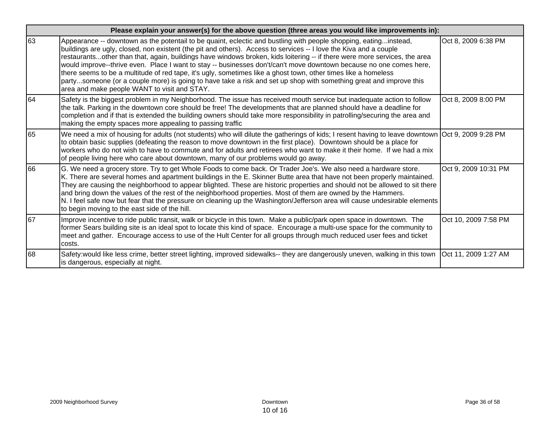|    | Please explain your answer(s) for the above question (three areas you would like improvements in):                                                                                                                                                                                                                                                                                                                                                                                                                                                                                                                                                                                                                                                                                |                      |
|----|-----------------------------------------------------------------------------------------------------------------------------------------------------------------------------------------------------------------------------------------------------------------------------------------------------------------------------------------------------------------------------------------------------------------------------------------------------------------------------------------------------------------------------------------------------------------------------------------------------------------------------------------------------------------------------------------------------------------------------------------------------------------------------------|----------------------|
| 63 | Appearance -- downtown as the potentail to be quaint, eclectic and bustling with people shopping, eatinginstead,<br>buildings are ugly, closed, non existent (the pit and others). Access to services -- I love the Kiva and a couple<br>restaurantsother than that, again, buildings have windows broken, kids loitering -- if there were more services, the area<br>would improve--thrive even. Place I want to stay -- businesses don't/can't move downtown because no one comes here,<br>there seems to be a multitude of red tape, it's ugly, sometimes like a ghost town, other times like a homeless<br>partysomeone (or a couple more) is going to have take a risk and set up shop with something great and improve this<br>area and make people WANT to visit and STAY. | Oct 8, 2009 6:38 PM  |
| 64 | Safety is the biggest problem in my Neighborhood. The issue has received mouth service but inadequate action to follow<br>the talk. Parking in the downtown core should be free! The developments that are planned should have a deadline for<br>completion and if that is extended the building owners should take more responsibility in patrolling/securing the area and<br>making the empty spaces more appealing to passing traffic                                                                                                                                                                                                                                                                                                                                          | Oct 8, 2009 8:00 PM  |
| 65 | We need a mix of housing for adults (not students) who will dilute the gatherings of kids; I resent having to leave downtown Oct 9, 2009 9:28 PM<br>to obtain basic supplies (defeating the reason to move downtown in the first place). Downtown should be a place for<br>workers who do not wish to have to commute and for adults and retirees who want to make it their home. If we had a mix<br>of people living here who care about downtown, many of our problems would go away.                                                                                                                                                                                                                                                                                           |                      |
| 66 | G. We need a grocery store. Try to get Whole Foods to come back. Or Trader Joe's. We also need a hardware store.<br>K. There are several homes and apartment buildings in the E. Skinner Butte area that have not been properly maintained.<br>They are causing the neighborhood to appear blighted. These are historic properties and should not be allowed to sit there<br>and bring down the values of the rest of the neighborhood properties. Most of them are owned by the Hammers.<br>N. I feel safe now but fear that the pressure on cleaning up the Washington/Jefferson area will cause undesirable elements<br>to begin moving to the east side of the hill.                                                                                                          | Oct 9, 2009 10:31 PM |
| 67 | Improve incentive to ride public transit, walk or bicycle in this town. Make a public/park open space in downtown. The<br>former Sears building site is an ideal spot to locate this kind of space. Encourage a multi-use space for the community to<br>meet and gather. Encourage access to use of the Hult Center for all groups through much reduced user fees and ticket<br>costs.                                                                                                                                                                                                                                                                                                                                                                                            | Oct 10, 2009 7:58 PM |
| 68 | Safety:would like less crime, better street lighting, improved sidewalks-- they are dangerously uneven, walking in this town  Oct 11, 2009 1:27 AM<br>is dangerous, especially at night.                                                                                                                                                                                                                                                                                                                                                                                                                                                                                                                                                                                          |                      |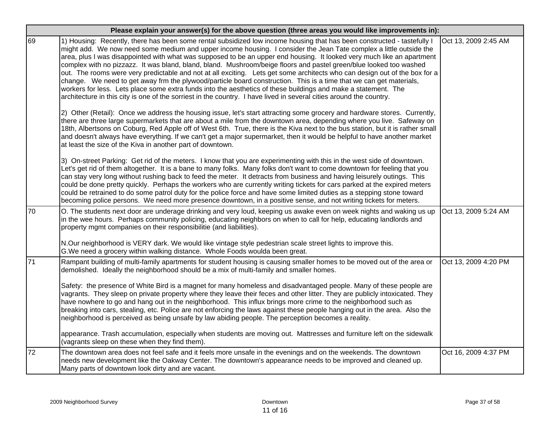|    | Please explain your answer(s) for the above question (three areas you would like improvements in):                                                                                                                                                                                                                                                                                                                                                                                                                                                                                                                                                                                                                                                                                                                                                                                                                                                                                         |                      |  |
|----|--------------------------------------------------------------------------------------------------------------------------------------------------------------------------------------------------------------------------------------------------------------------------------------------------------------------------------------------------------------------------------------------------------------------------------------------------------------------------------------------------------------------------------------------------------------------------------------------------------------------------------------------------------------------------------------------------------------------------------------------------------------------------------------------------------------------------------------------------------------------------------------------------------------------------------------------------------------------------------------------|----------------------|--|
| 69 | 1) Housing: Recently, there has been some rental subsidized low income housing that has been constructed - tastefully I<br>might add. We now need some medium and upper income housing. I consider the Jean Tate complex a little outside the<br>area, plus I was disappointed with what was supposed to be an upper end housing. It looked very much like an apartment<br>complex with no pizzazz. It was bland, bland, bland. Mushroom/beige floors and pastel green/blue looked too washed<br>out. The rooms were very predictable and not at all exciting. Lets get some architects who can design out of the box for a<br>change. We need to get away frm the plywood/particle board construction. This is a time that we can get materials,<br>workers for less. Lets place some extra funds into the aesthetics of these buildings and make a statement. The<br>architecture in this city is one of the sorriest in the country. I have lived in several cities around the country. | Oct 13, 2009 2:45 AM |  |
|    | 2) Other (Retail): Once we address the housing issue, let's start attracting some grocery and hardware stores. Currently,<br>there are three large supermarkets that are about a mile from the downtown area, depending where you live. Safeway on<br>18th, Albertsons on Coburg, Red Apple off of West 6th. True, there is the Kiva next to the bus station, but it is rather small<br>and doesn't always have everything. If we can't get a major supermarket, then it would be helpful to have another market<br>at least the size of the Kiva in another part of downtown.                                                                                                                                                                                                                                                                                                                                                                                                             |                      |  |
|    | 3) On-street Parking: Get rid of the meters. I know that you are experimenting with this in the west side of downtown.<br>Let's get rid of them altogether. It is a bane to many folks. Many folks don't want to come downtown for feeling that you<br>can stay very long without rushing back to feed the meter. It detracts from business and having leisurely outings. This<br>could be done pretty quickly. Perhaps the workers who are currently writing tickets for cars parked at the expired meters<br>could be retrained to do some patrol duty for the police force and have some limited duties as a stepping stone toward<br>becoming police persons. We need more presence downtown, in a positive sense, and not writing tickets for meters.                                                                                                                                                                                                                                 |                      |  |
| 70 | O. The students next door are underage drinking and very loud, keeping us awake even on week nights and waking us up<br>in the wee hours. Perhaps community policing, educating neighbors on when to call for help, educating landlords and<br>property mgmt companies on their responsibilitie (and liabilities).                                                                                                                                                                                                                                                                                                                                                                                                                                                                                                                                                                                                                                                                         | Oct 13, 2009 5:24 AM |  |
|    | N.Our neighborhood is VERY dark. We would like vintage style pedestrian scale street lights to improve this.<br>G. We need a grocery within walking distance. Whole Foods woulda been great.                                                                                                                                                                                                                                                                                                                                                                                                                                                                                                                                                                                                                                                                                                                                                                                               |                      |  |
| 71 | Rampant building of multi-family apartments for student housing is causing smaller homes to be moved out of the area or<br>demolished. Ideally the neighborhood should be a mix of multi-family and smaller homes.                                                                                                                                                                                                                                                                                                                                                                                                                                                                                                                                                                                                                                                                                                                                                                         | Oct 13, 2009 4:20 PM |  |
|    | Safety: the presence of White Bird is a magnet for many homeless and disadvantaged people. Many of these people are<br>vagrants. They sleep on private property where they leave their feces and other litter. They are publicly intoxicated. They<br>have nowhere to go and hang out in the neighborhood. This influx brings more crime to the neighborhood such as<br>breaking into cars, stealing, etc. Police are not enforcing the laws against these people hanging out in the area. Also the<br>neighborhood is perceived as being unsafe by law abiding people. The perception becomes a reality.                                                                                                                                                                                                                                                                                                                                                                                  |                      |  |
|    | appearance. Trash accumulation, especially when students are moving out. Mattresses and furniture left on the sidewalk<br>(vagrants sleep on these when they find them).                                                                                                                                                                                                                                                                                                                                                                                                                                                                                                                                                                                                                                                                                                                                                                                                                   |                      |  |
| 72 | The downtown area does not feel safe and it feels more unsafe in the evenings and on the weekends. The downtown<br>needs new development like the Oakway Center. The downtown's appearance needs to be improved and cleaned up.<br>Many parts of downtown look dirty and are vacant.                                                                                                                                                                                                                                                                                                                                                                                                                                                                                                                                                                                                                                                                                                       | Oct 16, 2009 4:37 PM |  |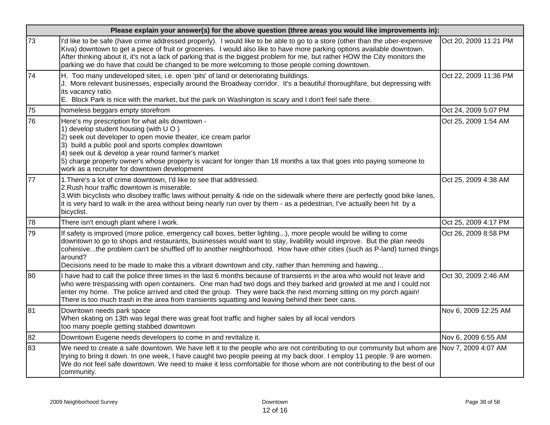|    | Please explain your answer(s) for the above question (three areas you would like improvements in):                                                                                                                                                                                                                                                                                                                                                                                        |                       |  |  |
|----|-------------------------------------------------------------------------------------------------------------------------------------------------------------------------------------------------------------------------------------------------------------------------------------------------------------------------------------------------------------------------------------------------------------------------------------------------------------------------------------------|-----------------------|--|--|
| 73 | I'd like to be safe (have crime addressed properly). I would like to be able to go to a store (other than the uber-expensive<br>Kiva) downtown to get a piece of fruit or groceries. I would also like to have more parking options available downtown.<br>After thinking about it, it's not a lack of parking that is the biggest problem for me, but rather HOW the City monitors the<br>parking we do have that could be changed to be more welcoming to those people coming downtown. | Oct 20, 2009 11:21 PM |  |  |
| 74 | H. Too many undeveloped sites, i.e. open 'pits' of land or deteriorating buildings.<br>J. More relevant businesses, especially around the Broadway corridor. It's a beautiful thoroughfare, but depressing with<br>its vacancy ratio.<br>E. Block Park is nice with the market, but the park on Washington is scary and I don't feel safe there.                                                                                                                                          | Oct 22, 2009 11:36 PM |  |  |
| 75 | homeless beggars empty storefrom                                                                                                                                                                                                                                                                                                                                                                                                                                                          | Oct 24, 2009 5:07 PM  |  |  |
| 76 | Here's my prescription for what ails downtown -<br>1) develop student housing (with UO)<br>2) seek out developer to open movie theater, ice cream parlor<br>3) build a public pool and sports complex downtown<br>4) seek out & develop a year round farmer's market<br>5) charge property owner's whose property is vacant for longer than 18 months a tax that goes into paying someone to<br>work as a recruiter for downtown development                                              | Oct 25, 2009 1:54 AM  |  |  |
| 77 | 1. There's a lot of crime downtown, I'd like to see that addressed.<br>2. Rush hour traffic downtown is miserable.<br>3. With bicyclists who disobey traffic laws without penalty & ride on the sidewalk where there are perfectly good bike lanes,<br>it is very hard to walk in the area without being nearly run over by them - as a pedestrian, I've actually been hit by a<br>bicyclist.                                                                                             | Oct 25, 2009 4:38 AM  |  |  |
| 78 | There isn't enough plant where I work.                                                                                                                                                                                                                                                                                                                                                                                                                                                    | Oct 25, 2009 4:17 PM  |  |  |
| 79 | If safety is improved (more police, emergency call boxes, better lighting), more people would be willing to come<br>downtown to go to shops and restaurants, businesses would want to stay, livability would improve. But the plan needs<br>coheisivethe problem can't be shuffled off to another neighborhood. How have other cities (such as P-land) turned things<br>around?<br>Decisions need to be made to make this a vibrant downtown and city, rather than hemming and hawing     | Oct 26, 2009 8:58 PM  |  |  |
| 80 | I have had to call the police three times in the last 6 months because of transients in the area who would not leave and<br>who were trespassing with open containers. One man had two dogs and they barked and growled at me and I could not<br>enter my home. The police arrived and cited the group. They were back the next morning sitting on my porch again!<br>There is too much trash in the area from transients squatting and leaving behind their beer cans.                   | Oct 30, 2009 2:46 AM  |  |  |
| 81 | Downtown needs park space<br>When skating on 13th was legal there was great foot traffic and higher sales by all local vendors<br>too many poeple getting stabbed downtown                                                                                                                                                                                                                                                                                                                | Nov 6, 2009 12:25 AM  |  |  |
| 82 | Downtown Eugene needs developers to come in and revitalize it.                                                                                                                                                                                                                                                                                                                                                                                                                            | Nov 6, 2009 6:55 AM   |  |  |
| 83 | We need to create a safe downtown. We have left it to the people who are not contributing to our community but whom are Nov 7, 2009 4:07 AM<br>trying to bring it down. In one week, I have caught two people peeing at my back door. I employ 11 people. 9 are women.<br>We do not feel safe downtown. We need to make it less comfortable for those whom are not contributing to the best of our<br>community.                                                                          |                       |  |  |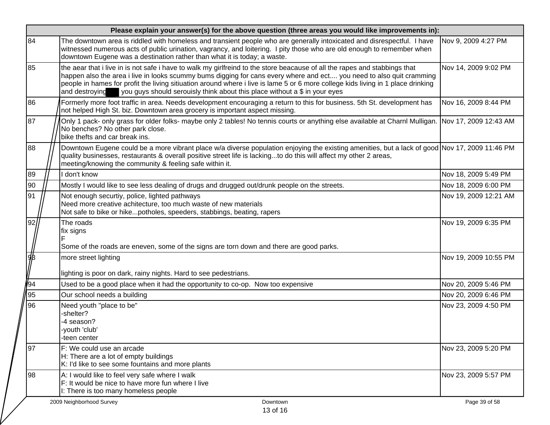|               | Please explain your answer(s) for the above question (three areas you would like improvements in):                                                                                                                                                                                                                                                                                                                                                                                     |                       |  |
|---------------|----------------------------------------------------------------------------------------------------------------------------------------------------------------------------------------------------------------------------------------------------------------------------------------------------------------------------------------------------------------------------------------------------------------------------------------------------------------------------------------|-----------------------|--|
| 84            | The downtown area is riddled with homeless and transient people who are generally intoxicated and disrespectful. I have<br>witnessed numerous acts of public urination, vagrancy, and loitering. I pity those who are old enough to remember when<br>downtown Eugene was a destination rather than what it is today; a waste.                                                                                                                                                          | Nov 9, 2009 4:27 PM   |  |
| 85            | the aear that i live in is not safe i have to walk my girlfreind to the store beacause of all the rapes and stabbings that<br>happen also the area i live in looks scummy bums digging for cans every where and ect you need to also quit cramming<br>people in hames for profit the living sitiuation around where i live is lame 5 or 6 more college kids living in 1 place drinking<br>you guys should serouisly think about this place without a \$ in your eyes<br>and destroying | Nov 14, 2009 9:02 PM  |  |
| 86            | Formerly more foot traffic in area. Needs development encouraging a return to this for business. 5th St. development has<br>not helped High St. biz. Downtown area grocery is important aspect missing.                                                                                                                                                                                                                                                                                | Nov 16, 2009 8:44 PM  |  |
| 87            | Only 1 pack- only grass for older folks- maybe only 2 tables! No tennis courts or anything else available at Charnl Mulligan. Nov 17, 2009 12:43 AM<br>No benches? No other park close.<br>bike thefts and car break ins.                                                                                                                                                                                                                                                              |                       |  |
| 88            | Downtown Eugene could be a more vibrant place w/a diverse population enjoying the existing amenities, but a lack of good Nov 17, 2009 11:46 PM<br>quality businesses, restaurants & overall positive street life is lackingto do this will affect my other 2 areas,<br>meeting/knowing the community & feeling safe within it.                                                                                                                                                         |                       |  |
| 89            | I don't know                                                                                                                                                                                                                                                                                                                                                                                                                                                                           | Nov 18, 2009 5:49 PM  |  |
| 90            | Mostly I would like to see less dealing of drugs and drugged out/drunk people on the streets.                                                                                                                                                                                                                                                                                                                                                                                          | Nov 18, 2009 6:00 PM  |  |
| 91            | Not enough securtiy, police, lighted pathways<br>Need more creative achitecture, too much waste of new materials<br>Not safe to bike or hikepotholes, speeders, stabbings, beating, rapers                                                                                                                                                                                                                                                                                             | Nov 19, 2009 12:21 AM |  |
| 92            | The roads<br>fix signs                                                                                                                                                                                                                                                                                                                                                                                                                                                                 | Nov 19, 2009 6:35 PM  |  |
|               | Some of the roads are eneven, some of the signs are torn down and there are good parks.                                                                                                                                                                                                                                                                                                                                                                                                |                       |  |
| $\frac{1}{2}$ | more street lighting                                                                                                                                                                                                                                                                                                                                                                                                                                                                   | Nov 19, 2009 10:55 PM |  |
|               | lighting is poor on dark, rainy nights. Hard to see pedestrians.                                                                                                                                                                                                                                                                                                                                                                                                                       |                       |  |
| <b>S</b> 4    | Used to be a good place when it had the opportunity to co-op. Now too expensive                                                                                                                                                                                                                                                                                                                                                                                                        | Nov 20, 2009 5:46 PM  |  |
| 95            | Our school needs a building                                                                                                                                                                                                                                                                                                                                                                                                                                                            | Nov 20, 2009 6:46 PM  |  |
| 96            | Need youth "place to be"<br>-shelter?<br>-4 season?<br>-youth 'club'<br>-teen center                                                                                                                                                                                                                                                                                                                                                                                                   | Nov 23, 2009 4:50 PM  |  |
| 97            | F: We could use an arcade<br>H: There are a lot of empty buildings<br>K: I'd like to see some fountains and more plants                                                                                                                                                                                                                                                                                                                                                                | Nov 23, 2009 5:20 PM  |  |
| 98            | A: I would like to feel very safe where I walk<br>F: It would be nice to have more fun where I live<br>I: There is too many homeless people                                                                                                                                                                                                                                                                                                                                            | Nov 23, 2009 5:57 PM  |  |
|               | 2009 Neighborhood Survey<br>Downtown<br>13 of 16                                                                                                                                                                                                                                                                                                                                                                                                                                       | Page 39 of 58         |  |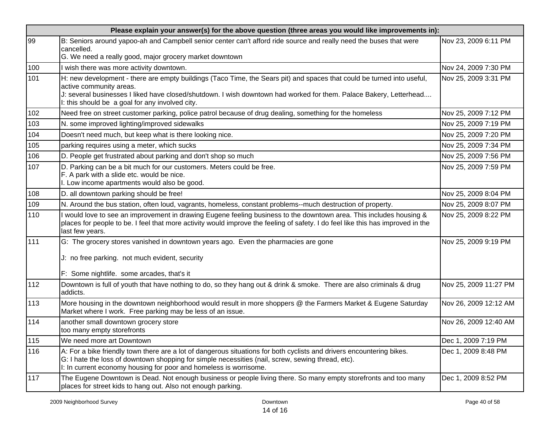|     | Please explain your answer(s) for the above question (three areas you would like improvements in):                                                                                                                                                                                                                         |                       |  |  |
|-----|----------------------------------------------------------------------------------------------------------------------------------------------------------------------------------------------------------------------------------------------------------------------------------------------------------------------------|-----------------------|--|--|
| 99  | B: Seniors around yapoo-ah and Campbell senior center can't afford ride source and really need the buses that were<br>cancelled.<br>G. We need a really good, major grocery market downtown                                                                                                                                | Nov 23, 2009 6:11 PM  |  |  |
| 100 | wish there was more activity downtown.                                                                                                                                                                                                                                                                                     | Nov 24, 2009 7:30 PM  |  |  |
| 101 | H: new development - there are empty buildings (Taco Time, the Sears pit) and spaces that could be turned into useful,<br>active community areas.<br>J: several businesses I liked have closed/shutdown. I wish downtown had worked for them. Palace Bakery, Letterhead<br>I: this should be a goal for any involved city. | Nov 25, 2009 3:31 PM  |  |  |
| 102 | Need free on street customer parking, police patrol because of drug dealing, something for the homeless                                                                                                                                                                                                                    | Nov 25, 2009 7:12 PM  |  |  |
| 103 | N. some improved lighting/improved sidewalks                                                                                                                                                                                                                                                                               | Nov 25, 2009 7:19 PM  |  |  |
| 104 | Doesn't need much, but keep what is there looking nice.                                                                                                                                                                                                                                                                    | Nov 25, 2009 7:20 PM  |  |  |
| 105 | parking requires using a meter, which sucks                                                                                                                                                                                                                                                                                | Nov 25, 2009 7:34 PM  |  |  |
| 106 | D. People get frustrated about parking and don't shop so much                                                                                                                                                                                                                                                              | Nov 25, 2009 7:56 PM  |  |  |
| 107 | D. Parking can be a bit much for our customers. Meters could be free.<br>F. A park with a slide etc. would be nice.<br>I. Low income apartments would also be good.                                                                                                                                                        | Nov 25, 2009 7:59 PM  |  |  |
| 108 | D. all downtown parking should be free!                                                                                                                                                                                                                                                                                    | Nov 25, 2009 8:04 PM  |  |  |
| 109 | N. Around the bus station, often loud, vagrants, homeless, constant problems--much destruction of property.                                                                                                                                                                                                                | Nov 25, 2009 8:07 PM  |  |  |
| 110 | would love to see an improvement in drawing Eugene feeling business to the downtown area. This includes housing &<br>places for people to be. I feel that more activity would improve the feeling of safety. I do feel like this has improved in the<br>last few years.                                                    | Nov 25, 2009 8:22 PM  |  |  |
| 111 | G: The grocery stores vanished in downtown years ago. Even the pharmacies are gone<br>J: no free parking. not much evident, security<br>F: Some nightlife. some arcades, that's it                                                                                                                                         | Nov 25, 2009 9:19 PM  |  |  |
| 112 | Downtown is full of youth that have nothing to do, so they hang out & drink & smoke. There are also criminals & drug<br>addicts.                                                                                                                                                                                           | Nov 25, 2009 11:27 PM |  |  |
| 113 | More housing in the downtown neighborhood would result in more shoppers @ the Farmers Market & Eugene Saturday<br>Market where I work. Free parking may be less of an issue.                                                                                                                                               | Nov 26, 2009 12:12 AM |  |  |
| 114 | another small downtown grocery store<br>too many empty storefronts                                                                                                                                                                                                                                                         | Nov 26, 2009 12:40 AM |  |  |
| 115 | We need more art Downtown                                                                                                                                                                                                                                                                                                  | Dec 1, 2009 7:19 PM   |  |  |
| 116 | A: For a bike friendly town there are a lot of dangerous situations for both cyclists and drivers encountering bikes.<br>G: I hate the loss of downtown shopping for simple necessities (nail, screw, sewing thread, etc).<br>I: In current economy housing for poor and homeless is worrisome.                            | Dec 1, 2009 8:48 PM   |  |  |
| 117 | The Eugene Downtown is Dead. Not enough business or people living there. So many empty storefronts and too many<br>places for street kids to hang out. Also not enough parking.                                                                                                                                            | Dec 1, 2009 8:52 PM   |  |  |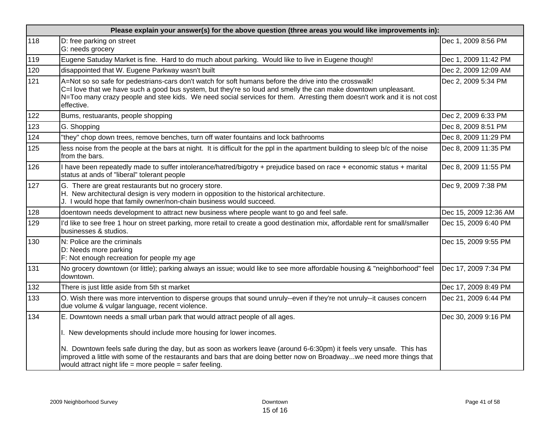|     | Please explain your answer(s) for the above question (three areas you would like improvements in):                                                                                                                                                                                                                                                                |                       |  |  |
|-----|-------------------------------------------------------------------------------------------------------------------------------------------------------------------------------------------------------------------------------------------------------------------------------------------------------------------------------------------------------------------|-----------------------|--|--|
| 118 | D: free parking on street<br>G: needs grocery                                                                                                                                                                                                                                                                                                                     | Dec 1, 2009 8:56 PM   |  |  |
| 119 | Eugene Satuday Market is fine. Hard to do much about parking. Would like to live in Eugene though!                                                                                                                                                                                                                                                                | Dec 1, 2009 11:42 PM  |  |  |
| 120 | disappointed that W. Eugene Parkway wasn't built                                                                                                                                                                                                                                                                                                                  | Dec 2, 2009 12:09 AM  |  |  |
| 121 | A=Not so so safe for pedestrians-cars don't watch for soft humans before the drive into the crosswalk!<br>C=I love that we have such a good bus system, but they're so loud and smelly the can make downtown unpleasant.<br>N=Too many crazy people and stee kids. We need social services for them. Arresting them doesn't work and it is not cost<br>effective. | Dec 2, 2009 5:34 PM   |  |  |
| 122 | Bums, restuarants, people shopping                                                                                                                                                                                                                                                                                                                                | Dec 2, 2009 6:33 PM   |  |  |
| 123 | G. Shopping                                                                                                                                                                                                                                                                                                                                                       | Dec 8, 2009 8:51 PM   |  |  |
| 124 | "they" chop down trees, remove benches, turn off water fountains and lock bathrooms                                                                                                                                                                                                                                                                               | Dec 8, 2009 11:29 PM  |  |  |
| 125 | less noise from the people at the bars at night. It is difficult for the ppl in the apartment building to sleep b/c of the noise<br>from the bars.                                                                                                                                                                                                                | Dec 8, 2009 11:35 PM  |  |  |
| 126 | I have been repeatedly made to suffer intolerance/hatred/bigotry + prejudice based on race + economic status + marital<br>status at ands of "liberal" tolerant people                                                                                                                                                                                             | Dec 8, 2009 11:55 PM  |  |  |
| 127 | G. There are great restaurants but no grocery store.<br>H. New architectural design is very modern in opposition to the historical architecture.<br>J. I would hope that family owner/non-chain business would succeed.                                                                                                                                           | Dec 9, 2009 7:38 PM   |  |  |
| 128 | doentown needs development to attract new business where people want to go and feel safe.                                                                                                                                                                                                                                                                         | Dec 15, 2009 12:36 AM |  |  |
| 129 | I'd like to see free 1 hour on street parking, more retail to create a good destination mix, affordable rent for small/smaller<br>businesses & studios.                                                                                                                                                                                                           | Dec 15, 2009 6:40 PM  |  |  |
| 130 | N: Police are the criminals<br>D: Needs more parking<br>F: Not enough recreation for people my age                                                                                                                                                                                                                                                                | Dec 15, 2009 9:55 PM  |  |  |
| 131 | No grocery downtown (or little); parking always an issue; would like to see more affordable housing & "neighborhood" feel<br>downtown.                                                                                                                                                                                                                            | Dec 17, 2009 7:34 PM  |  |  |
| 132 | There is just little aside from 5th st market                                                                                                                                                                                                                                                                                                                     | Dec 17, 2009 8:49 PM  |  |  |
| 133 | O. Wish there was more intervention to disperse groups that sound unruly--even if they're not unruly--it causes concern<br>due volume & vulgar language, recent violence.                                                                                                                                                                                         | Dec 21, 2009 6:44 PM  |  |  |
| 134 | E. Downtown needs a small urban park that would attract people of all ages.                                                                                                                                                                                                                                                                                       | Dec 30, 2009 9:16 PM  |  |  |
|     | I. New developments should include more housing for lower incomes.                                                                                                                                                                                                                                                                                                |                       |  |  |
|     | N. Downtown feels safe during the day, but as soon as workers leave (around 6-6:30pm) it feels very unsafe. This has<br>improved a little with some of the restaurants and bars that are doing better now on Broadwaywe need more things that<br>would attract night life = more people = safer feeling.                                                          |                       |  |  |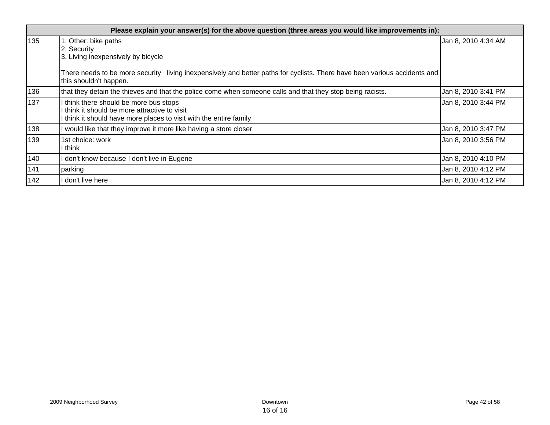|     | Please explain your answer(s) for the above question (three areas you would like improvements in):                                                                                                                               |                     |  |  |
|-----|----------------------------------------------------------------------------------------------------------------------------------------------------------------------------------------------------------------------------------|---------------------|--|--|
| 135 | 1: Other: bike paths<br>2: Security<br>3. Living inexpensively by bicycle<br>There needs to be more security living inexpensively and better paths for cyclists. There have been various accidents and<br>this shouldn't happen. | Jan 8, 2010 4:34 AM |  |  |
| 136 | that they detain the thieves and that the police come when someone calls and that they stop being racists.                                                                                                                       | Jan 8, 2010 3:41 PM |  |  |
| 137 | I think there should be more bus stops<br>I think it should be more attractive to visit<br>I think it should have more places to visit with the entire family                                                                    | Jan 8, 2010 3:44 PM |  |  |
| 138 | I would like that they improve it more like having a store closer                                                                                                                                                                | Jan 8, 2010 3:47 PM |  |  |
| 139 | 1st choice: work<br>l think                                                                                                                                                                                                      | Jan 8, 2010 3:56 PM |  |  |
| 140 | don't know because I don't live in Eugene                                                                                                                                                                                        | Jan 8, 2010 4:10 PM |  |  |
| 141 | parking                                                                                                                                                                                                                          | Jan 8, 2010 4:12 PM |  |  |
| 142 | don't live here                                                                                                                                                                                                                  | Jan 8, 2010 4:12 PM |  |  |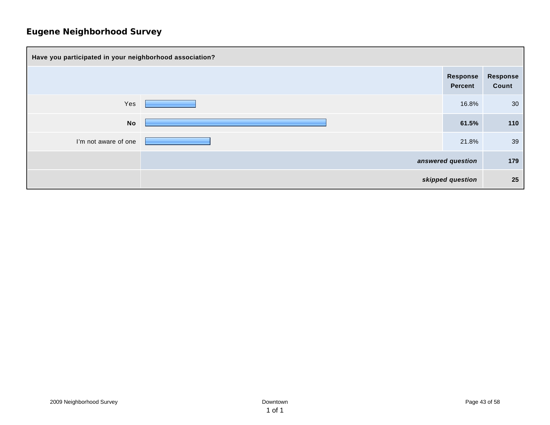| Have you participated in your neighborhood association? |  |  |                     |                          |
|---------------------------------------------------------|--|--|---------------------|--------------------------|
|                                                         |  |  | Response<br>Percent | <b>Response</b><br>Count |
| Yes                                                     |  |  | 16.8%               | 30                       |
| <b>No</b>                                               |  |  | 61.5%               | 110                      |
| I'm not aware of one                                    |  |  | 21.8%               | 39                       |
|                                                         |  |  | answered question   | 179                      |
|                                                         |  |  | skipped question    | 25                       |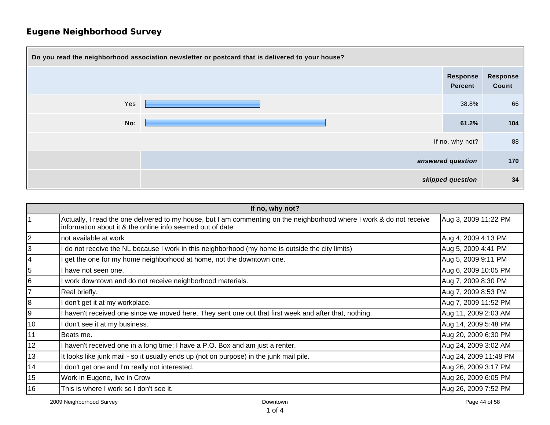| Do you read the neighborhood association newsletter or postcard that is delivered to your house? |  |                            |                   |
|--------------------------------------------------------------------------------------------------|--|----------------------------|-------------------|
|                                                                                                  |  | Response<br><b>Percent</b> | Response<br>Count |
| Yes                                                                                              |  | 38.8%                      | 66                |
| No:                                                                                              |  | 61.2%                      | 104               |
|                                                                                                  |  | If no, why not?            | 88                |
|                                                                                                  |  | answered question          | 170               |
|                                                                                                  |  | skipped question           | 34                |

| If no, why not? |                                                                                                                                                                                    |                       |  |
|-----------------|------------------------------------------------------------------------------------------------------------------------------------------------------------------------------------|-----------------------|--|
|                 | Actually, I read the one delivered to my house, but I am commenting on the neighborhood where I work & do not receive<br>information about it & the online info seemed out of date | Aug 3, 2009 11:22 PM  |  |
| $\overline{2}$  | not available at work                                                                                                                                                              | Aug 4, 2009 4:13 PM   |  |
| 3               | do not receive the NL because I work in this neighborhood (my home is outside the city limits)                                                                                     | Aug 5, 2009 4:41 PM   |  |
| 4               | get the one for my home neighborhood at home, not the downtown one.                                                                                                                | Aug 5, 2009 9:11 PM   |  |
| 5               | I have not seen one.                                                                                                                                                               | Aug 6, 2009 10:05 PM  |  |
| 6               | work downtown and do not receive neighborhood materials.                                                                                                                           | Aug 7, 2009 8:30 PM   |  |
| $\overline{7}$  | Real briefly.                                                                                                                                                                      | Aug 7, 2009 8:53 PM   |  |
| 8               | don't get it at my workplace.                                                                                                                                                      | Aug 7, 2009 11:52 PM  |  |
| 9               | haven't received one since we moved here. They sent one out that first week and after that, nothing.                                                                               | Aug 11, 2009 2:03 AM  |  |
| 10              | don't see it at my business.                                                                                                                                                       | Aug 14, 2009 5:48 PM  |  |
| 11              | Beats me.                                                                                                                                                                          | Aug 20, 2009 6:30 PM  |  |
| 12              | I haven't received one in a long time; I have a P.O. Box and am just a renter.                                                                                                     | Aug 24, 2009 3:02 AM  |  |
| 13              | It looks like junk mail - so it usually ends up (not on purpose) in the junk mail pile.                                                                                            | Aug 24, 2009 11:48 PM |  |
| 14              | don't get one and I'm really not interested.                                                                                                                                       | Aug 26, 2009 3:17 PM  |  |
| 15              | Work in Eugene, live in Crow                                                                                                                                                       | Aug 26, 2009 6:05 PM  |  |
| 16              | This is where I work so I don't see it.                                                                                                                                            | Aug 26, 2009 7:52 PM  |  |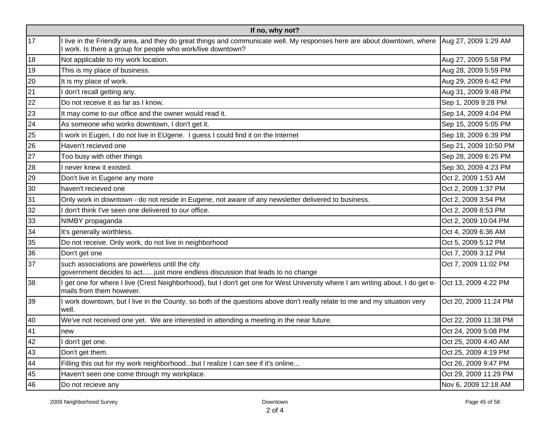| If no, why not? |                                                                                                                                                                                        |                       |  |
|-----------------|----------------------------------------------------------------------------------------------------------------------------------------------------------------------------------------|-----------------------|--|
| 17              | I live in the Friendly area, and they do great things and communicate well. My responses here are about downtown, where<br>I work. Is there a group for people who work/live downtown? | Aug 27, 2009 1:29 AM  |  |
| 18              | Not applicable to my work location.                                                                                                                                                    | Aug 27, 2009 5:58 PM  |  |
| 19              | This is my place of business.                                                                                                                                                          | Aug 28, 2009 5:59 PM  |  |
| 20              | It is my place of work.                                                                                                                                                                | Aug 29, 2009 6:42 PM  |  |
| 21              | don't recall getting any.                                                                                                                                                              | Aug 31, 2009 9:48 PM  |  |
| 22              | Do not receive it as far as I know.                                                                                                                                                    | Sep 1, 2009 9:28 PM   |  |
| 23              | It may come to our office and the owner would read it.                                                                                                                                 | Sep 14, 2009 4:04 PM  |  |
| 24              | As someone who works downtown, I don't get it.                                                                                                                                         | Sep 15, 2009 5:05 PM  |  |
| 25              | I work in Eugen, I do not live in EUgene. I guess I could find it on the Internet                                                                                                      | Sep 18, 2009 6:39 PM  |  |
| 26              | Haven't recieved one                                                                                                                                                                   | Sep 21, 2009 10:50 PM |  |
| 27              | Too busy with other things                                                                                                                                                             | Sep 28, 2009 6:25 PM  |  |
| 28              | I never knew it existed.                                                                                                                                                               | Sep 30, 2009 4:23 PM  |  |
| 29              | Don't live in Eugene any more                                                                                                                                                          | Oct 2, 2009 1:53 AM   |  |
| 30              | haven't recieved one                                                                                                                                                                   | Oct 2, 2009 1:37 PM   |  |
| 31              | Only work in downtown - do not reside in Eugene, not aware of any newsletter delivered to business.                                                                                    | Oct 2, 2009 3:54 PM   |  |
| 32              | I don't think I've seen one delivered to our office.                                                                                                                                   | Oct 2, 2009 8:53 PM   |  |
| 33              | NIMBY propaganda                                                                                                                                                                       | Oct 2, 2009 10:04 PM  |  |
| 34              | It's generally worthless.                                                                                                                                                              | Oct 4, 2009 6:36 AM   |  |
| 35              | Do not receive. Only work, do not live in neighborhood                                                                                                                                 | Oct 5, 2009 5:12 PM   |  |
| 36              | Don't get one                                                                                                                                                                          | Oct 7, 2009 3:12 PM   |  |
| 37              | such associations are powerless until the city<br>government decides to actjust more endless discussion that leads to no change                                                        | Oct 7, 2009 11:02 PM  |  |
| 38              | get one for where I live (Crest Neighborhood), but I don't get one for West University where I am writing about. I do get e-<br>mails from them however.                               | Oct 13, 2009 4:22 PM  |  |
| 39              | I work downtown, but I live in the County, so both of the questions above don't really relate to me and my situation very<br>well.                                                     | Oct 20, 2009 11:24 PM |  |
| 40              | We've not received one yet. We are interested in attending a meeting in the near future.                                                                                               | Oct 22, 2009 11:38 PM |  |
| 41              | new                                                                                                                                                                                    | Oct 24, 2009 5:08 PM  |  |
| 42              | don't get one.                                                                                                                                                                         | Oct 25, 2009 4:40 AM  |  |
| 43              | Don't get them.                                                                                                                                                                        | Oct 25, 2009 4:19 PM  |  |
| 44              | Filling this out for my work neighborhoodbut I realize I can see if it's online                                                                                                        | Oct 26, 2009 9:47 PM  |  |
| 45              | Haven't seen one come through my workplace.                                                                                                                                            | Oct 29, 2009 11:29 PM |  |
| 46              | Do not recieve any                                                                                                                                                                     | Nov 6, 2009 12:18 AM  |  |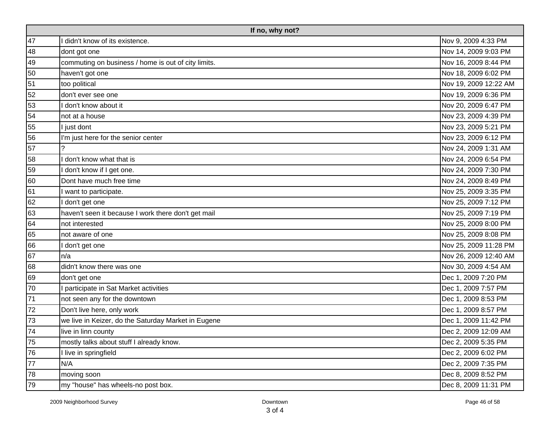|    | If no, why not?                                     |                       |  |  |
|----|-----------------------------------------------------|-----------------------|--|--|
| 47 | didn't know of its existence.                       | Nov 9, 2009 4:33 PM   |  |  |
| 48 | dont got one                                        | Nov 14, 2009 9:03 PM  |  |  |
| 49 | commuting on business / home is out of city limits. | Nov 16, 2009 8:44 PM  |  |  |
| 50 | haven't got one                                     | Nov 18, 2009 6:02 PM  |  |  |
| 51 | too political                                       | Nov 19, 2009 12:22 AM |  |  |
| 52 | don't ever see one                                  | Nov 19, 2009 6:36 PM  |  |  |
| 53 | don't know about it                                 | Nov 20, 2009 6:47 PM  |  |  |
| 54 | not at a house                                      | Nov 23, 2009 4:39 PM  |  |  |
| 55 | I just dont                                         | Nov 23, 2009 5:21 PM  |  |  |
| 56 | I'm just here for the senior center                 | Nov 23, 2009 6:12 PM  |  |  |
| 57 |                                                     | Nov 24, 2009 1:31 AM  |  |  |
| 58 | don't know what that is                             | Nov 24, 2009 6:54 PM  |  |  |
| 59 | don't know if I get one.                            | Nov 24, 2009 7:30 PM  |  |  |
| 60 | Dont have much free time                            | Nov 24, 2009 8:49 PM  |  |  |
| 61 | want to participate.                                | Nov 25, 2009 3:35 PM  |  |  |
| 62 | don't get one                                       | Nov 25, 2009 7:12 PM  |  |  |
| 63 | haven't seen it because I work there don't get mail | Nov 25, 2009 7:19 PM  |  |  |
| 64 | not interested                                      | Nov 25, 2009 8:00 PM  |  |  |
| 65 | not aware of one                                    | Nov 25, 2009 8:08 PM  |  |  |
| 66 | don't get one                                       | Nov 25, 2009 11:28 PM |  |  |
| 67 | n/a                                                 | Nov 26, 2009 12:40 AM |  |  |
| 68 | didn't know there was one                           | Nov 30, 2009 4:54 AM  |  |  |
| 69 | don't get one                                       | Dec 1, 2009 7:20 PM   |  |  |
| 70 | I participate in Sat Market activities              | Dec 1, 2009 7:57 PM   |  |  |
| 71 | not seen any for the downtown                       | Dec 1, 2009 8:53 PM   |  |  |
| 72 | Don't live here, only work                          | Dec 1, 2009 8:57 PM   |  |  |
| 73 | we live in Keizer, do the Saturday Market in Eugene | Dec 1, 2009 11:42 PM  |  |  |
| 74 | live in linn county                                 | Dec 2, 2009 12:09 AM  |  |  |
| 75 | mostly talks about stuff I already know.            | Dec 2, 2009 5:35 PM   |  |  |
| 76 | I live in springfield                               | Dec 2, 2009 6:02 PM   |  |  |
| 77 | N/A                                                 | Dec 2, 2009 7:35 PM   |  |  |
| 78 | moving soon                                         | Dec 8, 2009 8:52 PM   |  |  |
| 79 | my "house" has wheels-no post box.                  | Dec 8, 2009 11:31 PM  |  |  |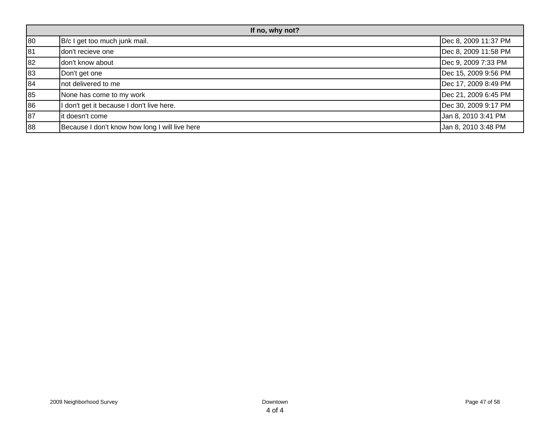| If no, why not? |                                                |                      |
|-----------------|------------------------------------------------|----------------------|
| 80              | B/c I get too much junk mail.                  | Dec 8, 2009 11:37 PM |
| 81              | don't recieve one                              | Dec 8, 2009 11:58 PM |
| 82              | don't know about                               | Dec 9, 2009 7:33 PM  |
| 83              | Don't get one                                  | Dec 15, 2009 9:56 PM |
| 84              | not delivered to me                            | Dec 17, 2009 8:49 PM |
| 85              | None has come to my work                       | Dec 21, 2009 6:45 PM |
| 86              | I don't get it because I don't live here.      | Dec 30, 2009 9:17 PM |
| 87              | it doesn't come                                | Jan 8, 2010 3:41 PM  |
| 88              | Because I don't know how long I will live here | Jan 8, 2010 3:48 PM  |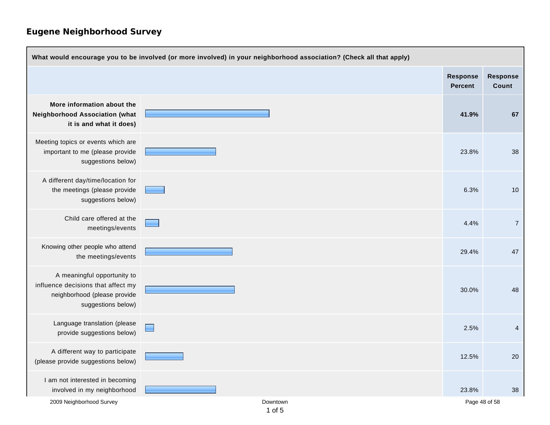| What would encourage you to be involved (or more involved) in your neighborhood association? (Check all that apply)     |                        |                                   |                          |
|-------------------------------------------------------------------------------------------------------------------------|------------------------|-----------------------------------|--------------------------|
|                                                                                                                         |                        | <b>Response</b><br><b>Percent</b> | <b>Response</b><br>Count |
| More information about the<br><b>Neighborhood Association (what</b><br>it is and what it does)                          |                        | 41.9%                             | 67                       |
| Meeting topics or events which are<br>important to me (please provide<br>suggestions below)                             |                        | 23.8%                             | 38                       |
| A different day/time/location for<br>the meetings (please provide<br>suggestions below)                                 |                        | 6.3%                              | 10                       |
| Child care offered at the<br>meetings/events                                                                            |                        | 4.4%                              | $\overline{7}$           |
| Knowing other people who attend<br>the meetings/events                                                                  |                        | 29.4%                             | 47                       |
| A meaningful opportunity to<br>influence decisions that affect my<br>neighborhood (please provide<br>suggestions below) |                        | 30.0%                             | 48                       |
| Language translation (please<br>provide suggestions below)                                                              | $\Box$                 | 2.5%                              | $\overline{4}$           |
| A different way to participate<br>(please provide suggestions below)                                                    |                        | 12.5%                             | 20                       |
| I am not interested in becoming<br>involved in my neighborhood                                                          |                        | 23.8%                             | 38                       |
| 2009 Neighborhood Survey                                                                                                | Downtown<br>$1$ of $5$ | Page 48 of 58                     |                          |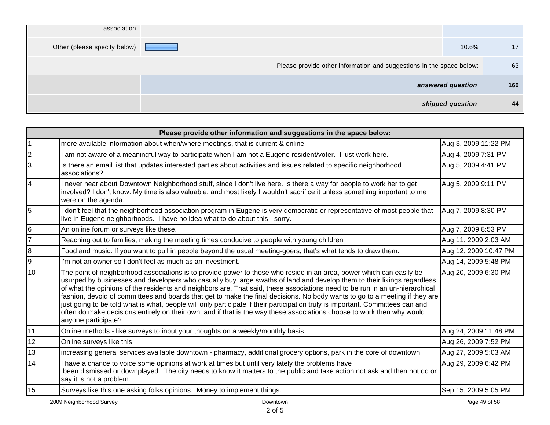|     |                   | association                                                          |
|-----|-------------------|----------------------------------------------------------------------|
| 17  | 10.6%             | Other (please specify below)                                         |
| 63  |                   | Please provide other information and suggestions in the space below: |
| 160 | answered question |                                                                      |
| 44  | skipped question  |                                                                      |

| Please provide other information and suggestions in the space below: |                                                                                                                                                                                                                                                                                                                                                                                                                                                                                                                                                                                                                                                                                                                                                                                                  |                       |  |
|----------------------------------------------------------------------|--------------------------------------------------------------------------------------------------------------------------------------------------------------------------------------------------------------------------------------------------------------------------------------------------------------------------------------------------------------------------------------------------------------------------------------------------------------------------------------------------------------------------------------------------------------------------------------------------------------------------------------------------------------------------------------------------------------------------------------------------------------------------------------------------|-----------------------|--|
| $\overline{1}$                                                       | more available information about when/where meetings, that is current & online                                                                                                                                                                                                                                                                                                                                                                                                                                                                                                                                                                                                                                                                                                                   | Aug 3, 2009 11:22 PM  |  |
| 2                                                                    | am not aware of a meaningful way to participate when I am not a Eugene resident/voter. I just work here.                                                                                                                                                                                                                                                                                                                                                                                                                                                                                                                                                                                                                                                                                         | Aug 4, 2009 7:31 PM   |  |
| 3                                                                    | Is there an email list that updates interested parties about activities and issues related to specific neighborhood<br>associations?                                                                                                                                                                                                                                                                                                                                                                                                                                                                                                                                                                                                                                                             | Aug 5, 2009 4:41 PM   |  |
| 4                                                                    | I never hear about Downtown Neighborhood stuff, since I don't live here. Is there a way for people to work her to get<br>involved? I don't know. My time is also valuable, and most likely I wouldn't sacrifice it unless something important to me<br>were on the agenda.                                                                                                                                                                                                                                                                                                                                                                                                                                                                                                                       | Aug 5, 2009 9:11 PM   |  |
| 5                                                                    | don't feel that the neighborhood association program in Eugene is very democratic or representative of most people that<br>live in Eugene neighborhoods. I have no idea what to do about this - sorry.                                                                                                                                                                                                                                                                                                                                                                                                                                                                                                                                                                                           | Aug 7, 2009 8:30 PM   |  |
| 6                                                                    | An online forum or surveys like these.                                                                                                                                                                                                                                                                                                                                                                                                                                                                                                                                                                                                                                                                                                                                                           | Aug 7, 2009 8:53 PM   |  |
| 7                                                                    | Reaching out to families, making the meeting times conducive to people with young children                                                                                                                                                                                                                                                                                                                                                                                                                                                                                                                                                                                                                                                                                                       | Aug 11, 2009 2:03 AM  |  |
| 8                                                                    | Food and music. If you want to pull in people beyond the usual meeting-goers, that's what tends to draw them.                                                                                                                                                                                                                                                                                                                                                                                                                                                                                                                                                                                                                                                                                    | Aug 12, 2009 10:47 PM |  |
| l9                                                                   | I'm not an owner so I don't feel as much as an investment.                                                                                                                                                                                                                                                                                                                                                                                                                                                                                                                                                                                                                                                                                                                                       | Aug 14, 2009 5:48 PM  |  |
| 10                                                                   | The point of neighborhood associations is to provide power to those who reside in an area, power which can easily be<br>usurped by businesses and developers who casually buy large swaths of land and develop them to their likings regardless<br>of what the opinions of the residents and neighbors are. That said, these associations need to be run in an un-hierarchical<br>fashion, devoid of committees and boards that get to make the final decisions. No body wants to go to a meeting if they are<br>just going to be told what is what, people will only participate if their participation truly is important. Committees can and<br>often do make decisions entirely on their own, and if that is the way these associations choose to work then why would<br>anyone participate? | Aug 20, 2009 6:30 PM  |  |
| 11                                                                   | Online methods - like surveys to input your thoughts on a weekly/monthly basis.                                                                                                                                                                                                                                                                                                                                                                                                                                                                                                                                                                                                                                                                                                                  | Aug 24, 2009 11:48 PM |  |
| 12                                                                   | Online surveys like this.                                                                                                                                                                                                                                                                                                                                                                                                                                                                                                                                                                                                                                                                                                                                                                        | Aug 26, 2009 7:52 PM  |  |
| 13                                                                   | increasing general services available downtown - pharmacy, additional grocery options, park in the core of downtown                                                                                                                                                                                                                                                                                                                                                                                                                                                                                                                                                                                                                                                                              | Aug 27, 2009 5:03 AM  |  |
| 14                                                                   | I have a chance to voice some opinions at work at times but until very lately the problems have<br>been dismissed or downplayed. The city needs to know it matters to the public and take action not ask and then not do or<br>say it is not a problem.                                                                                                                                                                                                                                                                                                                                                                                                                                                                                                                                          | Aug 29, 2009 6:42 PM  |  |
| 15                                                                   | Surveys like this one asking folks opinions. Money to implement things.                                                                                                                                                                                                                                                                                                                                                                                                                                                                                                                                                                                                                                                                                                                          | Sep 15, 2009 5:05 PM  |  |
|                                                                      | 2009 Neighborhood Survey<br>Downtown                                                                                                                                                                                                                                                                                                                                                                                                                                                                                                                                                                                                                                                                                                                                                             | Page 49 of 58         |  |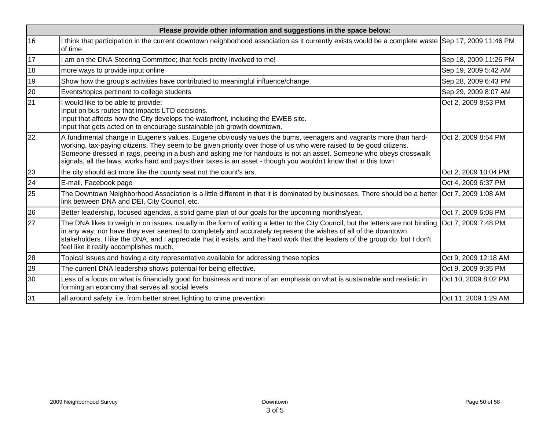|    | Please provide other information and suggestions in the space below:                                                                                                                                                                                                                                                                                                                                                                                                             |                       |  |  |
|----|----------------------------------------------------------------------------------------------------------------------------------------------------------------------------------------------------------------------------------------------------------------------------------------------------------------------------------------------------------------------------------------------------------------------------------------------------------------------------------|-----------------------|--|--|
| 16 | I think that participation in the current downtown neighborhood association as it currently exists would be a complete waste Sep 17, 2009 11:46 PM<br>of time.                                                                                                                                                                                                                                                                                                                   |                       |  |  |
| 17 | am on the DNA Steering Committee; that feels pretty involved to me!                                                                                                                                                                                                                                                                                                                                                                                                              | Sep 18, 2009 11:26 PM |  |  |
| 18 | more ways to provide input online                                                                                                                                                                                                                                                                                                                                                                                                                                                | Sep 19, 2009 5:42 AM  |  |  |
| 19 | Show how the group's activities have contributed to meaningful influence/change.                                                                                                                                                                                                                                                                                                                                                                                                 | Sep 28, 2009 6:43 PM  |  |  |
| 20 | Events/topics pertinent to college students                                                                                                                                                                                                                                                                                                                                                                                                                                      | Sep 29, 2009 8:07 AM  |  |  |
| 21 | I would like to be able to provide:<br>Input on bus routes that impacts LTD decisions.<br>Input that affects how the City develops the waterfront, including the EWEB site.<br>Input that gets acted on to encourage sustainable job growth downtown.                                                                                                                                                                                                                            | Oct 2, 2009 8:53 PM   |  |  |
| 22 | A fundimental change in Eugene's values. Eugene obviously values the bums, teenagers and vagrants more than hard-<br>working, tax-paying citizens. They seem to be given priority over those of us who were raised to be good citizens.<br>Someone dressed in rags, peeing in a bush and asking me for handouts is not an asset. Someone who obeys crosswalk<br>signals, all the laws, works hard and pays their taxes is an asset - though you wouldn't know that in this town. | Oct 2, 2009 8:54 PM   |  |  |
| 23 | the city should act more like the county seat not the count's ars.                                                                                                                                                                                                                                                                                                                                                                                                               | Oct 2, 2009 10:04 PM  |  |  |
| 24 | E-mail, Facebook page                                                                                                                                                                                                                                                                                                                                                                                                                                                            | Oct 4, 2009 6:37 PM   |  |  |
| 25 | The Downtown Neighborhood Association is a little different in that it is dominated by businesses. There should be a better Oct 7, 2009 1:08 AM<br>link between DNA and DEI, City Council, etc.                                                                                                                                                                                                                                                                                  |                       |  |  |
| 26 | Better leadership, focused agendas, a solid game plan of our goals for the upcoming months/year.                                                                                                                                                                                                                                                                                                                                                                                 | Oct 7, 2009 6:08 PM   |  |  |
| 27 | The DNA likes to weigh in on issues, usually in the form of writing a letter to the City Council, but the letters are not binding Oct 7, 2009 7:48 PM<br>in any way, nor have they ever seemed to completely and accurately represent the wishes of all of the downtown<br>stakeholders. I like the DNA, and I appreciate that it exists, and the hard work that the leaders of the group do, but I don't<br>feel like it really accomplishes much.                              |                       |  |  |
| 28 | Topical issues and having a city representative available for addressing these topics                                                                                                                                                                                                                                                                                                                                                                                            | Oct 9, 2009 12:18 AM  |  |  |
| 29 | The current DNA leadership shows potential for being effective.                                                                                                                                                                                                                                                                                                                                                                                                                  | Oct 9, 2009 9:35 PM   |  |  |
| 30 | Less of a focus on what is financially good for business and more of an emphasis on what is sustainable and realistic in<br>forming an economy that serves all social levels.                                                                                                                                                                                                                                                                                                    | Oct 10, 2009 8:02 PM  |  |  |
| 31 | all around safety, i.e. from better street lighting to crime prevention                                                                                                                                                                                                                                                                                                                                                                                                          | Oct 11, 2009 1:29 AM  |  |  |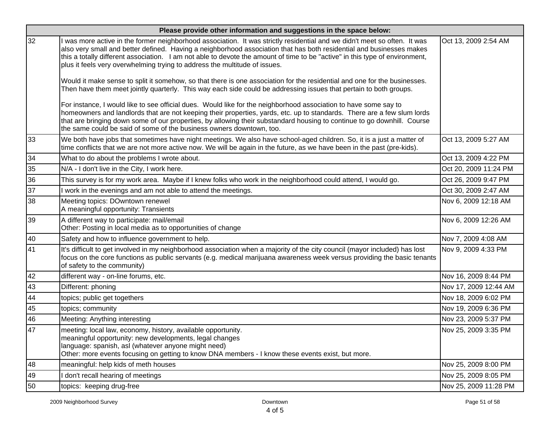|    | Please provide other information and suggestions in the space below:                                                                                                                                                                                                                                                                                                                                                                                          |                       |  |  |
|----|---------------------------------------------------------------------------------------------------------------------------------------------------------------------------------------------------------------------------------------------------------------------------------------------------------------------------------------------------------------------------------------------------------------------------------------------------------------|-----------------------|--|--|
| 32 | was more active in the former neighborhood association. It was strictly residential and we didn't meet so often. It was<br>also very small and better defined. Having a neighborhood association that has both residential and businesses makes<br>this a totally different association. I am not able to devote the amount of time to be "active" in this type of environment,<br>plus it feels very overwhelming trying to address the multitude of issues. | Oct 13, 2009 2:54 AM  |  |  |
|    | Would it make sense to split it somehow, so that there is one association for the residential and one for the businesses.<br>Then have them meet jointly quarterly. This way each side could be addressing issues that pertain to both groups.                                                                                                                                                                                                                |                       |  |  |
|    | For instance, I would like to see official dues. Would like for the neighborhood association to have some say to<br>homeowners and landlords that are not keeping their properties, yards, etc. up to standards. There are a few slum lords<br>that are bringing down some of our properties, by allowing their substandard housing to continue to go downhill. Course<br>the same could be said of some of the business owners downtown, too.                |                       |  |  |
| 33 | We both have jobs that sometimes have night meetings. We also have school-aged children. So, it is a just a matter of<br>time conflicts that we are not more active now. We will be again in the future, as we have been in the past (pre-kids).                                                                                                                                                                                                              | Oct 13, 2009 5:27 AM  |  |  |
| 34 | What to do about the problems I wrote about.                                                                                                                                                                                                                                                                                                                                                                                                                  | Oct 13, 2009 4:22 PM  |  |  |
| 35 | N/A - I don't live in the City, I work here.                                                                                                                                                                                                                                                                                                                                                                                                                  | Oct 20, 2009 11:24 PM |  |  |
| 36 | This survey is for my work area. Maybe if I knew folks who work in the neighborhood could attend, I would go.                                                                                                                                                                                                                                                                                                                                                 | Oct 26, 2009 9:47 PM  |  |  |
| 37 | work in the evenings and am not able to attend the meetings.                                                                                                                                                                                                                                                                                                                                                                                                  | Oct 30, 2009 2:47 AM  |  |  |
| 38 | Meeting topics: DOwntown renewel<br>A meaningful opportunity: Transients                                                                                                                                                                                                                                                                                                                                                                                      | Nov 6, 2009 12:18 AM  |  |  |
| 39 | A different way to participate: mail/email<br>Other: Posting in local media as to opportunities of change                                                                                                                                                                                                                                                                                                                                                     | Nov 6, 2009 12:26 AM  |  |  |
| 40 | Safety and how to influence government to help.                                                                                                                                                                                                                                                                                                                                                                                                               | Nov 7, 2009 4:08 AM   |  |  |
| 41 | It's difficult to get involved in my neighborhood association when a majority of the city council (mayor included) has lost<br>focus on the core functions as public servants (e.g. medical marijuana awareness week versus providing the basic tenants<br>of safety to the community)                                                                                                                                                                        | Nov 9, 2009 4:33 PM   |  |  |
| 42 | different way - on-line forums, etc.                                                                                                                                                                                                                                                                                                                                                                                                                          | Nov 16, 2009 8:44 PM  |  |  |
| 43 | Different: phoning                                                                                                                                                                                                                                                                                                                                                                                                                                            | Nov 17, 2009 12:44 AM |  |  |
| 44 | topics; public get togethers                                                                                                                                                                                                                                                                                                                                                                                                                                  | Nov 18, 2009 6:02 PM  |  |  |
| 45 | topics; community                                                                                                                                                                                                                                                                                                                                                                                                                                             | Nov 19, 2009 6:36 PM  |  |  |
| 46 | Meeting: Anything interesting                                                                                                                                                                                                                                                                                                                                                                                                                                 | Nov 23, 2009 5:37 PM  |  |  |
| 47 | meeting: local law, economy, history, available opportunity.<br>meaningful opportunity: new developments, legal changes<br>language: spanish, asl (whatever anyone might need)<br>Other: more events focusing on getting to know DNA members - I know these events exist, but more.                                                                                                                                                                           | Nov 25, 2009 3:35 PM  |  |  |
| 48 | meaningful: help kids of meth houses                                                                                                                                                                                                                                                                                                                                                                                                                          | Nov 25, 2009 8:00 PM  |  |  |
| 49 | don't recall hearing of meetings                                                                                                                                                                                                                                                                                                                                                                                                                              | Nov 25, 2009 8:05 PM  |  |  |
| 50 | topics: keeping drug-free                                                                                                                                                                                                                                                                                                                                                                                                                                     | Nov 25, 2009 11:28 PM |  |  |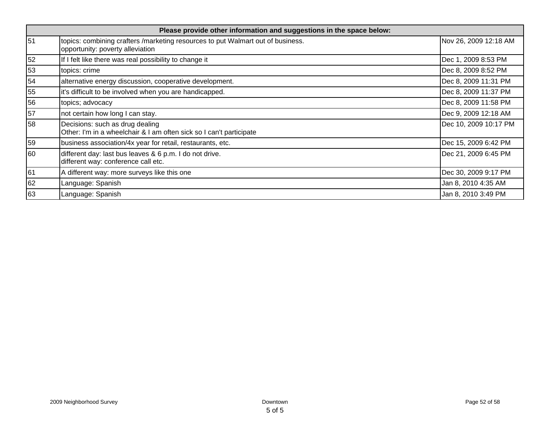|    | Please provide other information and suggestions in the space below:                                                |                       |  |  |
|----|---------------------------------------------------------------------------------------------------------------------|-----------------------|--|--|
| 51 | topics: combining crafters /marketing resources to put Walmart out of business.<br>opportunity: poverty alleviation | Nov 26, 2009 12:18 AM |  |  |
| 52 | If I felt like there was real possibility to change it                                                              | Dec 1, 2009 8:53 PM   |  |  |
| 53 | topics: crime                                                                                                       | Dec 8, 2009 8:52 PM   |  |  |
| 54 | alternative energy discussion, cooperative development.                                                             | Dec 8, 2009 11:31 PM  |  |  |
| 55 | it's difficult to be involved when you are handicapped.                                                             | Dec 8, 2009 11:37 PM  |  |  |
| 56 | topics; advocacy                                                                                                    | Dec 8, 2009 11:58 PM  |  |  |
| 57 | not certain how long I can stay.                                                                                    | Dec 9, 2009 12:18 AM  |  |  |
| 58 | Decisions: such as drug dealing<br>Other: I'm in a wheelchair & I am often sick so I can't participate              | Dec 10, 2009 10:17 PM |  |  |
| 59 | business association/4x year for retail, restaurants, etc.                                                          | Dec 15, 2009 6:42 PM  |  |  |
| 60 | different day: last bus leaves & 6 p.m. I do not drive.<br>different way: conference call etc.                      | Dec 21, 2009 6:45 PM  |  |  |
| 61 | A different way: more surveys like this one                                                                         | Dec 30, 2009 9:17 PM  |  |  |
| 62 | Language: Spanish                                                                                                   | Jan 8, 2010 4:35 AM   |  |  |
| 63 | Language: Spanish                                                                                                   | Jan 8, 2010 3:49 PM   |  |  |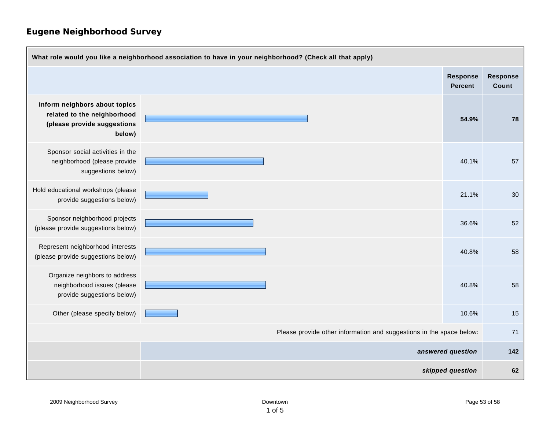| What role would you like a neighborhood association to have in your neighborhood? (Check all that apply) |  |                                                                      |                                   |                   |
|----------------------------------------------------------------------------------------------------------|--|----------------------------------------------------------------------|-----------------------------------|-------------------|
|                                                                                                          |  |                                                                      | <b>Response</b><br><b>Percent</b> | Response<br>Count |
| Inform neighbors about topics<br>related to the neighborhood<br>(please provide suggestions<br>below)    |  |                                                                      | 54.9%                             | 78                |
| Sponsor social activities in the<br>neighborhood (please provide<br>suggestions below)                   |  |                                                                      | 40.1%                             | 57                |
| Hold educational workshops (please<br>provide suggestions below)                                         |  |                                                                      | 21.1%                             | 30                |
| Sponsor neighborhood projects<br>(please provide suggestions below)                                      |  |                                                                      | 36.6%                             | 52                |
| Represent neighborhood interests<br>(please provide suggestions below)                                   |  |                                                                      | 40.8%                             | 58                |
| Organize neighbors to address<br>neighborhood issues (please<br>provide suggestions below)               |  |                                                                      | 40.8%                             | 58                |
| Other (please specify below)                                                                             |  |                                                                      | 10.6%                             | 15                |
|                                                                                                          |  | Please provide other information and suggestions in the space below: |                                   | 71                |
| answered question                                                                                        |  |                                                                      | 142                               |                   |
|                                                                                                          |  |                                                                      | skipped question                  | 62                |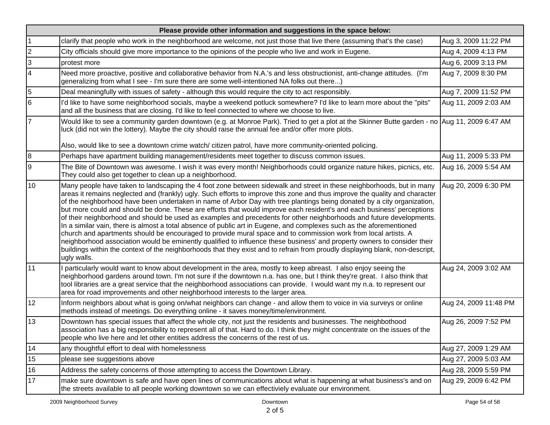|                | Please provide other information and suggestions in the space below:                                                                                                                                                                                                                                                                                                                                                                                                                                                                                                                                                                                                                                                                                                                                                                                                                                                                                                                                                                                                                                                                                    |                       |  |  |
|----------------|---------------------------------------------------------------------------------------------------------------------------------------------------------------------------------------------------------------------------------------------------------------------------------------------------------------------------------------------------------------------------------------------------------------------------------------------------------------------------------------------------------------------------------------------------------------------------------------------------------------------------------------------------------------------------------------------------------------------------------------------------------------------------------------------------------------------------------------------------------------------------------------------------------------------------------------------------------------------------------------------------------------------------------------------------------------------------------------------------------------------------------------------------------|-----------------------|--|--|
|                | clarify that people who work in the neighborhood are welcome, not just those that live there (assuming that's the case)                                                                                                                                                                                                                                                                                                                                                                                                                                                                                                                                                                                                                                                                                                                                                                                                                                                                                                                                                                                                                                 | Aug 3, 2009 11:22 PM  |  |  |
| $\overline{2}$ | City officials should give more importance to the opinions of the people who live and work in Eugene.                                                                                                                                                                                                                                                                                                                                                                                                                                                                                                                                                                                                                                                                                                                                                                                                                                                                                                                                                                                                                                                   | Aug 4, 2009 4:13 PM   |  |  |
| $\vert$ 3      | protest more                                                                                                                                                                                                                                                                                                                                                                                                                                                                                                                                                                                                                                                                                                                                                                                                                                                                                                                                                                                                                                                                                                                                            | Aug 6, 2009 3:13 PM   |  |  |
| $\overline{4}$ | Need more proactive, positive and collaborative behavior from N.A.'s and less obstructionist, anti-change attitudes. (I'm<br>generalizing from what I see - I'm sure there are some well-intentioned NA folks out there)                                                                                                                                                                                                                                                                                                                                                                                                                                                                                                                                                                                                                                                                                                                                                                                                                                                                                                                                | Aug 7, 2009 8:30 PM   |  |  |
| 5              | Deal meaningfully with issues of safety - although this would require the city to act responsibly.                                                                                                                                                                                                                                                                                                                                                                                                                                                                                                                                                                                                                                                                                                                                                                                                                                                                                                                                                                                                                                                      | Aug 7, 2009 11:52 PM  |  |  |
| 6              | l'd like to have some neighborhood socials, maybe a weekend potluck somewhere? I'd like to learn more about the "pits"<br>and all the business that are closing. I'd like to feel connected to where we choose to live.                                                                                                                                                                                                                                                                                                                                                                                                                                                                                                                                                                                                                                                                                                                                                                                                                                                                                                                                 | Aug 11, 2009 2:03 AM  |  |  |
| 7              | Would like to see a community garden downtown (e.g. at Monroe Park). Tried to get a plot at the Skinner Butte garden - no Aug 11, 2009 6:47 AM<br>luck (did not win the lottery). Maybe the city should raise the annual fee and/or offer more plots.                                                                                                                                                                                                                                                                                                                                                                                                                                                                                                                                                                                                                                                                                                                                                                                                                                                                                                   |                       |  |  |
|                | Also, would like to see a downtown crime watch/ citizen patrol, have more community-oriented policing.                                                                                                                                                                                                                                                                                                                                                                                                                                                                                                                                                                                                                                                                                                                                                                                                                                                                                                                                                                                                                                                  |                       |  |  |
| 8              | Perhaps have apartment building management/residents meet together to discuss common issues.                                                                                                                                                                                                                                                                                                                                                                                                                                                                                                                                                                                                                                                                                                                                                                                                                                                                                                                                                                                                                                                            | Aug 11, 2009 5:33 PM  |  |  |
| 9              | The Bite of Downtown was awesome. I wish it was every month! Neighborhoods could organize nature hikes, picnics, etc.<br>They could also get together to clean up a neighborhood.                                                                                                                                                                                                                                                                                                                                                                                                                                                                                                                                                                                                                                                                                                                                                                                                                                                                                                                                                                       | Aug 16, 2009 5:54 AM  |  |  |
| 10             | Many people have taken to landscaping the 4 foot zone between sidewalk and street in these neighborhoods, but in many<br>areas it remains neglected and (frankly) ugly. Such efforts to improve this zone and thus improve the quality and character<br>of the neighborhood have been undertaken in name of Arbor Day with tree plantings being donated by a city organization,<br>but more could and should be done. These are efforts that would improve each resident's and each business' perceptions<br>of their neighborhood and should be used as examples and precedents for other neighborhoods and future developments.<br>In a similar vain, there is almost a total absence of public art in Eugene, and complexes such as the aforementioned<br>church and apartments should be encouraged to provide mural space and to commission work from local artists. A<br>neighborhood association would be eminently qualified to influence these business' and property owners to consider their<br>buildings within the context of the neighborhoods that they exist and to refrain from proudly displaying blank, non-descript,<br>ugly walls. | Aug 20, 2009 6:30 PM  |  |  |
| 11             | I particularly would want to know about development in the area, mostly to keep abreast. I also enjoy seeing the<br>neighborhood gardens around town. I'm not sure if the downtown n.a. has one, but I think they're great. I also think that<br>tool libraries are a great service that the neighborhood associations can provide. I would want my n.a. to represent our<br>area for road improvements and other neighborhood interests to the larger area.                                                                                                                                                                                                                                                                                                                                                                                                                                                                                                                                                                                                                                                                                            | Aug 24, 2009 3:02 AM  |  |  |
| 12             | Inform neighbors about what is going on/what neighbors can change - and allow them to voice in via surveys or online<br>methods instead of meetings. Do everything online - it saves money/time/environment.                                                                                                                                                                                                                                                                                                                                                                                                                                                                                                                                                                                                                                                                                                                                                                                                                                                                                                                                            | Aug 24, 2009 11:48 PM |  |  |
| 13             | Downtown has special issues that affect the whole city, not just the residents and businesses. The neighbothood<br>association has a big responsibility to represent all of that. Hard to do. I think they might concentrate on the issues of the<br>people who live here and let other entities address the concerns of the rest of us.                                                                                                                                                                                                                                                                                                                                                                                                                                                                                                                                                                                                                                                                                                                                                                                                                | Aug 26, 2009 7:52 PM  |  |  |
| 14             | any thoughtful effort to deal with homelessness                                                                                                                                                                                                                                                                                                                                                                                                                                                                                                                                                                                                                                                                                                                                                                                                                                                                                                                                                                                                                                                                                                         | Aug 27, 2009 1:29 AM  |  |  |
| 15             | please see suggestions above                                                                                                                                                                                                                                                                                                                                                                                                                                                                                                                                                                                                                                                                                                                                                                                                                                                                                                                                                                                                                                                                                                                            | Aug 27, 2009 5:03 AM  |  |  |
| 16             | Address the safety concerns of those attempting to access the Downtown Library.                                                                                                                                                                                                                                                                                                                                                                                                                                                                                                                                                                                                                                                                                                                                                                                                                                                                                                                                                                                                                                                                         | Aug 28, 2009 5:59 PM  |  |  |
| 17             | make sure downtown is safe and have open lines of communications about what is happening at what business's and on<br>the streets available to all people working downtown so we can effectiviely evaluate our environment.                                                                                                                                                                                                                                                                                                                                                                                                                                                                                                                                                                                                                                                                                                                                                                                                                                                                                                                             | Aug 29, 2009 6:42 PM  |  |  |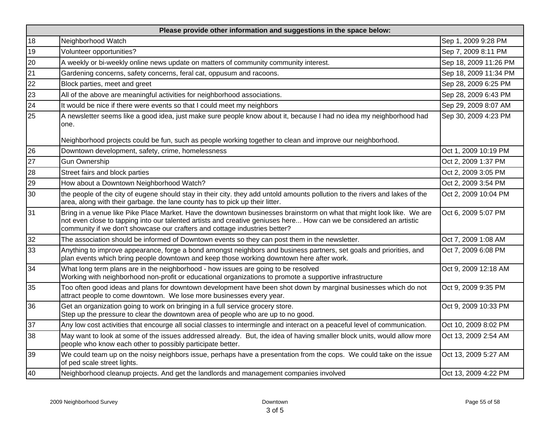| Please provide other information and suggestions in the space below: |                                                                                                                                                                                                                                                                                                                            |                       |  |
|----------------------------------------------------------------------|----------------------------------------------------------------------------------------------------------------------------------------------------------------------------------------------------------------------------------------------------------------------------------------------------------------------------|-----------------------|--|
| 18                                                                   | Neighborhood Watch                                                                                                                                                                                                                                                                                                         | Sep 1, 2009 9:28 PM   |  |
| 19                                                                   | Volunteer opportunities?                                                                                                                                                                                                                                                                                                   | Sep 7, 2009 8:11 PM   |  |
| 20                                                                   | A weekly or bi-weekly online news update on matters of community community interest.                                                                                                                                                                                                                                       | Sep 18, 2009 11:26 PM |  |
| 21                                                                   | Gardening concerns, safety concerns, feral cat, oppusum and racoons.                                                                                                                                                                                                                                                       | Sep 18, 2009 11:34 PM |  |
| 22                                                                   | Block parties, meet and greet                                                                                                                                                                                                                                                                                              | Sep 28, 2009 6:25 PM  |  |
| 23                                                                   | All of the above are meaningful activities for neighborhood associations.                                                                                                                                                                                                                                                  | Sep 28, 2009 6:43 PM  |  |
| 24                                                                   | It would be nice if there were events so that I could meet my neighbors                                                                                                                                                                                                                                                    | Sep 29, 2009 8:07 AM  |  |
| 25                                                                   | A newsletter seems like a good idea, just make sure people know about it, because I had no idea my neighborhood had<br>one.                                                                                                                                                                                                | Sep 30, 2009 4:23 PM  |  |
|                                                                      | Neighborhood projects could be fun, such as people working together to clean and improve our neighborhood.                                                                                                                                                                                                                 |                       |  |
| 26                                                                   | Downtown development, safety, crime, homelessness                                                                                                                                                                                                                                                                          | Oct 1, 2009 10:19 PM  |  |
| 27                                                                   | <b>Gun Ownership</b>                                                                                                                                                                                                                                                                                                       | Oct 2, 2009 1:37 PM   |  |
| 28                                                                   | Street fairs and block parties                                                                                                                                                                                                                                                                                             | Oct 2, 2009 3:05 PM   |  |
| 29                                                                   | How about a Downtown Neighborhood Watch?                                                                                                                                                                                                                                                                                   | Oct 2, 2009 3:54 PM   |  |
| 30                                                                   | the people of the city of eugene should stay in their city. they add untold amounts pollution to the rivers and lakes of the<br>area, along with their garbage. the lane county has to pick up their litter.                                                                                                               | Oct 2, 2009 10:04 PM  |  |
| 31                                                                   | Bring in a venue like Pike Place Market. Have the downtown businesses brainstorm on what that might look like. We are<br>not even close to tapping into our talented artists and creative geniuses here How can we be considered an artistic<br>community if we don't showcase our crafters and cottage industries better? | Oct 6, 2009 5:07 PM   |  |
| 32                                                                   | The association should be informed of Downtown events so they can post them in the newsletter.                                                                                                                                                                                                                             | Oct 7, 2009 1:08 AM   |  |
| 33                                                                   | Anything to improve appearance, forge a bond amongst neighbors and business partners, set goals and priorities, and<br>plan events which bring people downtown and keep those working downtown here after work.                                                                                                            | Oct 7, 2009 6:08 PM   |  |
| 34                                                                   | What long term plans are in the neighborhood - how issues are going to be resolved<br>Working with neighborhood non-profit or educational organizations to promote a supportive infrastructure                                                                                                                             | Oct 9, 2009 12:18 AM  |  |
| 35                                                                   | Too often good ideas and plans for downtown development have been shot down by marginal businesses which do not<br>attract people to come downtown. We lose more businesses every year.                                                                                                                                    | Oct 9, 2009 9:35 PM   |  |
| 36                                                                   | Get an organization going to work on bringing in a full service grocery store.<br>Step up the pressure to clear the downtown area of people who are up to no good.                                                                                                                                                         | Oct 9, 2009 10:33 PM  |  |
| 37                                                                   | Any low cost activities that encourge all social classes to intermingle and interact on a peaceful level of communication.                                                                                                                                                                                                 | Oct 10, 2009 8:02 PM  |  |
| 38                                                                   | May want to look at some of the issues addressed already. But, the idea of having smaller block units, would allow more<br>people who know each other to possibly participate better.                                                                                                                                      | Oct 13, 2009 2:54 AM  |  |
| 39                                                                   | We could team up on the noisy neighbors issue, perhaps have a presentation from the cops. We could take on the issue<br>of ped scale street lights.                                                                                                                                                                        | Oct 13, 2009 5:27 AM  |  |
| 40                                                                   | Neighborhood cleanup projects. And get the landlords and management companies involved                                                                                                                                                                                                                                     | Oct 13, 2009 4:22 PM  |  |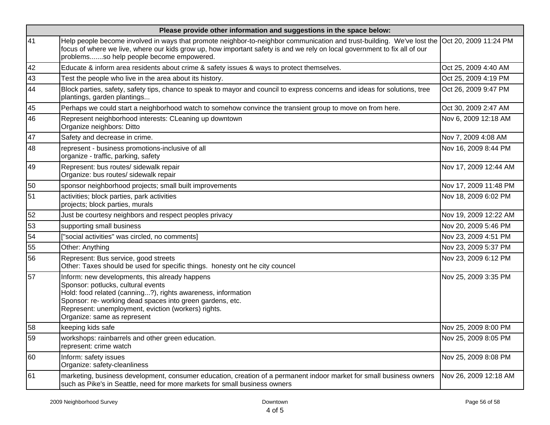|    | Please provide other information and suggestions in the space below:                                                                                                                                                                                                                                                  |                       |  |  |
|----|-----------------------------------------------------------------------------------------------------------------------------------------------------------------------------------------------------------------------------------------------------------------------------------------------------------------------|-----------------------|--|--|
| 41 | Help people become involved in ways that promote neighbor-to-neighbor communication and trust-building. We've lost the Oct 20, 2009 11:24 PM<br>focus of where we live, where our kids grow up, how important safety is and we rely on local government to fix all of our<br>problemsso help people become empowered. |                       |  |  |
| 42 | Educate & inform area residents about crime & safety issues & ways to protect themselves.                                                                                                                                                                                                                             | Oct 25, 2009 4:40 AM  |  |  |
| 43 | Test the people who live in the area about its history.                                                                                                                                                                                                                                                               | Oct 25, 2009 4:19 PM  |  |  |
| 44 | Block parties, safety, safety tips, chance to speak to mayor and council to express concerns and ideas for solutions, tree<br>plantings, garden plantings                                                                                                                                                             | Oct 26, 2009 9:47 PM  |  |  |
| 45 | Perhaps we could start a neighborhood watch to somehow convince the transient group to move on from here.                                                                                                                                                                                                             | Oct 30, 2009 2:47 AM  |  |  |
| 46 | Represent neighborhood interests: CLeaning up downtown<br>Organize neighbors: Ditto                                                                                                                                                                                                                                   | Nov 6, 2009 12:18 AM  |  |  |
| 47 | Safety and decrease in crime.                                                                                                                                                                                                                                                                                         | Nov 7, 2009 4:08 AM   |  |  |
| 48 | represent - business promotions-inclusive of all<br>organize - traffic, parking, safety                                                                                                                                                                                                                               | Nov 16, 2009 8:44 PM  |  |  |
| 49 | Represent: bus routes/ sidewalk repair<br>Organize: bus routes/ sidewalk repair                                                                                                                                                                                                                                       | Nov 17, 2009 12:44 AM |  |  |
| 50 | sponsor neighborhood projects; small built improvements                                                                                                                                                                                                                                                               | Nov 17, 2009 11:48 PM |  |  |
| 51 | activities; block parties, park activities<br>projects; block parties, murals                                                                                                                                                                                                                                         | Nov 18, 2009 6:02 PM  |  |  |
| 52 | Just be courtesy neighbors and respect peoples privacy                                                                                                                                                                                                                                                                | Nov 19, 2009 12:22 AM |  |  |
| 53 | supporting small business                                                                                                                                                                                                                                                                                             | Nov 20, 2009 5:46 PM  |  |  |
| 54 | "social activities" was circled, no comments]                                                                                                                                                                                                                                                                         | Nov 23, 2009 4:51 PM  |  |  |
| 55 | Other: Anything                                                                                                                                                                                                                                                                                                       | Nov 23, 2009 5:37 PM  |  |  |
| 56 | Represent: Bus service, good streets<br>Other: Taxes should be used for specific things. honesty ont he city councel                                                                                                                                                                                                  | Nov 23, 2009 6:12 PM  |  |  |
| 57 | Inform: new developments, this already happens<br>Sponsor: potlucks, cultural events<br>Hold: food related (canning?), rights awareness, information<br>Sponsor: re- working dead spaces into green gardens, etc.<br>Represent: unemployment, eviction (workers) rights.<br>Organize: same as represent               | Nov 25, 2009 3:35 PM  |  |  |
| 58 | keeping kids safe                                                                                                                                                                                                                                                                                                     | Nov 25, 2009 8:00 PM  |  |  |
| 59 | workshops: rainbarrels and other green education.<br>represent: crime watch                                                                                                                                                                                                                                           | Nov 25, 2009 8:05 PM  |  |  |
| 60 | Inform: safety issues<br>Organize: safety-cleanliness                                                                                                                                                                                                                                                                 | Nov 25, 2009 8:08 PM  |  |  |
| 61 | marketing, business development, consumer education, creation of a permanent indoor market for small business owners<br>such as Pike's in Seattle, need for more markets for small business owners                                                                                                                    | Nov 26, 2009 12:18 AM |  |  |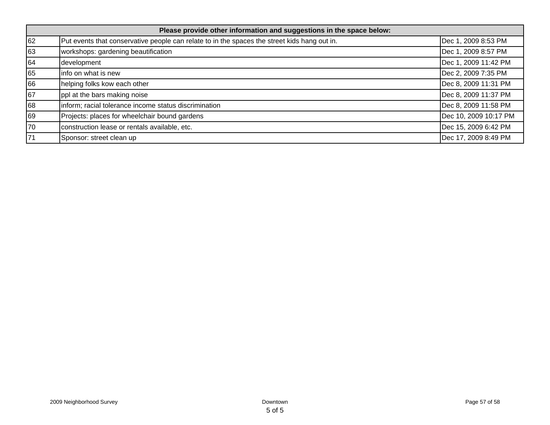| Please provide other information and suggestions in the space below: |                                                                                              |                       |  |
|----------------------------------------------------------------------|----------------------------------------------------------------------------------------------|-----------------------|--|
| 62                                                                   | Put events that conservative people can relate to in the spaces the street kids hang out in. | Dec 1, 2009 8:53 PM   |  |
| 63                                                                   | workshops: gardening beautification                                                          | Dec 1, 2009 8:57 PM   |  |
| 64                                                                   | development                                                                                  | Dec 1, 2009 11:42 PM  |  |
| 65                                                                   | info on what is new                                                                          | Dec 2, 2009 7:35 PM   |  |
| 66                                                                   | helping folks kow each other                                                                 | Dec 8, 2009 11:31 PM  |  |
| 67                                                                   | ppl at the bars making noise                                                                 | Dec 8, 2009 11:37 PM  |  |
| 68                                                                   | inform; racial tolerance income status discrimination                                        | Dec 8, 2009 11:58 PM  |  |
| 69                                                                   | Projects: places for wheelchair bound gardens                                                | Dec 10, 2009 10:17 PM |  |
| 70                                                                   | construction lease or rentals available, etc.                                                | Dec 15, 2009 6:42 PM  |  |
| 71                                                                   | Sponsor: street clean up                                                                     | Dec 17, 2009 8:49 PM  |  |